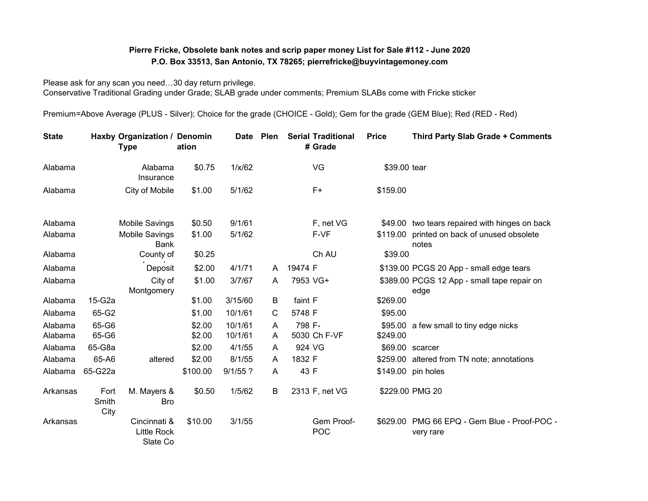## **Pierre Fricke, Obsolete bank notes and scrip paper money List for Sale #112 - June 2020 P.O. Box 33513, San Antonio, TX 78265; pierrefricke@buyvintagemoney.com**

Please ask for any scan you need…30 day return privilege. Conservative Traditional Grading under Grade; SLAB grade under comments; Premium SLABs come with Fricke sticker

Premium=Above Average (PLUS - Silver); Choice for the grade (CHOICE - Gold); Gem for the grade (GEM Blue); Red (RED - Red)

| <b>State</b>       |                       | Haxby Organization / Denomin<br><b>Type</b>    | ation            | <b>Date</b>        | Plen   |         | <b>Serial Traditional</b><br># Grade | <b>Price</b> | <b>Third Party Slab Grade + Comments</b>                  |
|--------------------|-----------------------|------------------------------------------------|------------------|--------------------|--------|---------|--------------------------------------|--------------|-----------------------------------------------------------|
| Alabama            |                       | Alabama<br>Insurance                           | \$0.75           | 1/x/62             |        |         | VG                                   | \$39.00 tear |                                                           |
| Alabama            |                       | City of Mobile                                 | \$1.00           | 5/1/62             |        |         | F+                                   | \$159.00     |                                                           |
| Alabama            |                       | <b>Mobile Savings</b>                          | \$0.50           | 9/1/61             |        |         | F, net VG                            |              | \$49.00 two tears repaired with hinges on back            |
| Alabama            |                       | <b>Mobile Savings</b><br><b>Bank</b>           | \$1.00           | 5/1/62             |        |         | F-VF                                 |              | \$119.00 printed on back of unused obsolete<br>notes      |
| Alabama            |                       | County of                                      | \$0.25           |                    |        |         | Ch AU                                | \$39.00      |                                                           |
| Alabama            |                       | Deposit                                        | \$2.00           | 4/1/71             | A      | 19474 F |                                      |              | \$139.00 PCGS 20 App - small edge tears                   |
| Alabama            |                       | City of<br>Montgomery                          | \$1.00           | 3/7/67             | A      |         | 7953 VG+                             |              | \$389.00 PCGS 12 App - small tape repair on<br>edge       |
| Alabama            | 15-G2a                |                                                | \$1.00           | 3/15/60            | B      | faint F |                                      | \$269.00     |                                                           |
| Alabama            | 65-G2                 |                                                | \$1.00           | 10/1/61            | C      | 5748 F  |                                      | \$95.00      |                                                           |
| Alabama<br>Alabama | 65-G6<br>65-G6        |                                                | \$2.00<br>\$2.00 | 10/1/61<br>10/1/61 | A<br>A | 798 F-  | 5030 Ch F-VF                         | \$249.00     | \$95.00 a few small to tiny edge nicks                    |
| Alabama            | 65-G8a                |                                                | \$2.00           | 4/1/55             | A      | 924 VG  |                                      |              | \$69.00 scarcer                                           |
| Alabama            | 65-A6                 | altered                                        | \$2.00           | 8/1/55             | A      | 1832 F  |                                      |              | \$259.00 altered from TN note; annotations                |
| Alabama            | 65-G22a               |                                                | \$100.00         | $9/1/55$ ?         | A      | 43 F    |                                      |              | \$149.00 pin holes                                        |
| Arkansas           | Fort<br>Smith<br>City | M. Mayers &<br><b>Bro</b>                      | \$0.50           | 1/5/62             | B      |         | 2313 F, net VG                       |              | \$229.00 PMG 20                                           |
| Arkansas           |                       | Cincinnati &<br><b>Little Rock</b><br>Slate Co | \$10.00          | 3/1/55             |        |         | Gem Proof-<br>POC                    |              | \$629.00 PMG 66 EPQ - Gem Blue - Proof-POC -<br>very rare |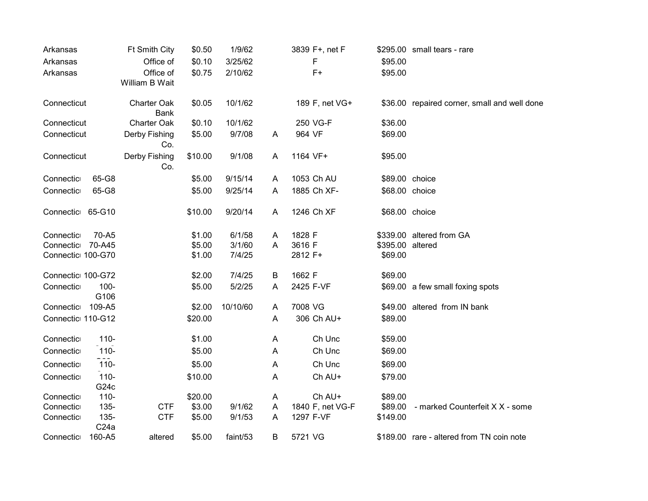| Arkansas          |                             | Ft Smith City        | \$0.50  | 1/9/62   |   | 3839 F+, net F   |                  | \$295.00 small tears - rare                  |
|-------------------|-----------------------------|----------------------|---------|----------|---|------------------|------------------|----------------------------------------------|
| Arkansas          |                             | Office of            | \$0.10  | 3/25/62  |   | F                | \$95.00          |                                              |
| Arkansas          |                             | Office of            | \$0.75  | 2/10/62  |   | $F+$             | \$95.00          |                                              |
|                   |                             | William B Wait       |         |          |   |                  |                  |                                              |
| Connecticut       |                             | <b>Charter Oak</b>   | \$0.05  | 10/1/62  |   | 189 F, net VG+   |                  | \$36.00 repaired corner, small and well done |
|                   |                             | <b>Bank</b>          |         |          |   |                  |                  |                                              |
| Connecticut       |                             | Charter Oak          | \$0.10  | 10/1/62  |   | 250 VG-F         | \$36.00          |                                              |
| Connecticut       |                             | Derby Fishing<br>Co. | \$5.00  | 9/7/08   | A | 964 VF           | \$69.00          |                                              |
| Connecticut       |                             | Derby Fishing        | \$10.00 | 9/1/08   | A | 1164 VF+         | \$95.00          |                                              |
|                   |                             | Co.                  |         |          |   |                  |                  |                                              |
| Connectic         | 65-G8                       |                      | \$5.00  | 9/15/14  | A | 1053 Ch AU       | \$89.00 choice   |                                              |
| Connectic         | 65-G8                       |                      | \$5.00  | 9/25/14  | A | 1885 Ch XF-      | \$68.00 choice   |                                              |
| Connectic 65-G10  |                             |                      | \$10.00 | 9/20/14  | A | 1246 Ch XF       | \$68.00 choice   |                                              |
|                   |                             |                      |         |          |   |                  |                  |                                              |
| Connectic         | 70-A5                       |                      | \$1.00  | 6/1/58   | A | 1828 F           |                  | \$339.00 altered from GA                     |
| Connectic         | 70-A45                      |                      | \$5.00  | 3/1/60   | A | 3616 F           | \$395.00 altered |                                              |
| Connectic 100-G70 |                             |                      | \$1.00  | 7/4/25   |   | 2812 F+          | \$69.00          |                                              |
| Connectic 100-G72 |                             |                      | \$2.00  | 7/4/25   | B | 1662 F           | \$69.00          |                                              |
| Connectic         | $100 -$                     |                      | \$5.00  | 5/2/25   | A | 2425 F-VF        |                  | \$69.00 a few small foxing spots             |
|                   | G106                        |                      |         |          |   |                  |                  |                                              |
| Connectic         | 109-A5                      |                      | \$2.00  | 10/10/60 | A | 7008 VG          |                  | \$49.00 altered from IN bank                 |
| Connectic 110-G12 |                             |                      | \$20.00 |          | A | 306 Ch AU+       | \$89.00          |                                              |
| Connectic         | $110 -$                     |                      | \$1.00  |          | A | Ch Unc           | \$59.00          |                                              |
| Connectic         | $110 -$                     |                      | \$5.00  |          | A | Ch Unc           | \$69.00          |                                              |
| Connectic         | $110 -$                     |                      | \$5.00  |          | A | Ch Unc           | \$69.00          |                                              |
| Connectic         | $110 -$                     |                      | \$10.00 |          | A | Ch AU+           | \$79.00          |                                              |
|                   | G <sub>24</sub> c           |                      |         |          |   |                  |                  |                                              |
| Connectic         | $110 -$                     |                      | \$20.00 |          | A | Ch AU+           | \$89.00          |                                              |
| Connectic         | $135 -$                     | <b>CTF</b>           | \$3.00  | 9/1/62   | A | 1840 F, net VG-F | \$89.00          | - marked Counterfeit X X - some              |
| Connectic         | $135 -$<br>C <sub>24a</sub> | <b>CTF</b>           | \$5.00  | 9/1/53   | A | 1297 F-VF        | \$149.00         |                                              |
| Connectic         | 160-A5                      | altered              | \$5.00  | faint/53 | B | 5721 VG          |                  | \$189.00 rare - altered from TN coin note    |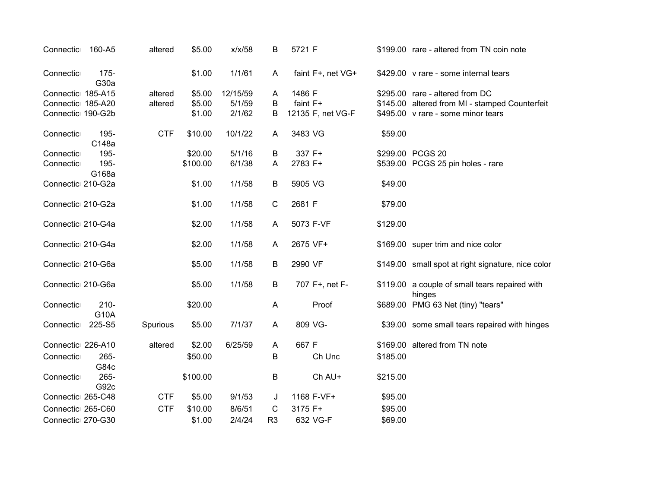| Connectic         | 160-A5          | altered    | \$5.00   | x/x/58   | В              | 5721 F            |          | \$199.00 rare - altered from TN coin note                |
|-------------------|-----------------|------------|----------|----------|----------------|-------------------|----------|----------------------------------------------------------|
| Connectic         | 175-<br>G30a    |            | \$1.00   | 1/1/61   | A              | faint F+, net VG+ |          | \$429.00 v rare - some internal tears                    |
| Connectic 185-A15 |                 | altered    | \$5.00   | 12/15/59 | A              | 1486 F            |          | \$295.00 rare - altered from DC                          |
| Connectic 185-A20 |                 | altered    | \$5.00   | 5/1/59   | B              | faint F+          |          | \$145.00 altered from MI - stamped Counterfeit           |
| Connectic 190-G2b |                 |            | \$1.00   | 2/1/62   | B              | 12135 F, net VG-F |          | \$495.00 v rare - some minor tears                       |
| Connectic         | 195-<br>C148a   | <b>CTF</b> | \$10.00  | 10/1/22  | A              | 3483 VG           | \$59.00  |                                                          |
| Connectic         | 195-            |            | \$20.00  | 5/1/16   | B              | 337 F+            |          | \$299.00 PCGS 20                                         |
| Connectic         | 195-<br>G168a   |            | \$100.00 | 6/1/38   | A              | 2783 F+           |          | \$539.00 PCGS 25 pin holes - rare                        |
| Connectic 210-G2a |                 |            | \$1.00   | 1/1/58   | B              | 5905 VG           | \$49.00  |                                                          |
| Connectic 210-G2a |                 |            | \$1.00   | 1/1/58   | $\mathbf C$    | 2681 F            | \$79.00  |                                                          |
| Connectic 210-G4a |                 |            | \$2.00   | 1/1/58   | A              | 5073 F-VF         | \$129.00 |                                                          |
| Connectic 210-G4a |                 |            | \$2.00   | 1/1/58   | A              | 2675 VF+          |          | \$169.00 super trim and nice color                       |
| Connectic 210-G6a |                 |            | \$5.00   | 1/1/58   | B              | 2990 VF           |          | \$149.00 small spot at right signature, nice color       |
| Connectic 210-G6a |                 |            | \$5.00   | 1/1/58   | B              | 707 F+, net F-    |          | \$119.00 a couple of small tears repaired with<br>hinges |
| Connectic         | $210 -$<br>G10A |            | \$20.00  |          | A              | Proof             |          | \$689.00 PMG 63 Net (tiny) "tears"                       |
| Connectic         | 225-S5          | Spurious   | \$5.00   | 7/1/37   | A              | 809 VG-           |          | \$39.00 some small tears repaired with hinges            |
| Connectic 226-A10 |                 | altered    | \$2.00   | 6/25/59  | A              | 667 F             |          | \$169.00 altered from TN note                            |
| Connectic         | $265 -$<br>G84c |            | \$50.00  |          | B              | Ch Unc            | \$185.00 |                                                          |
| Connectic         | 265-<br>G92c    |            | \$100.00 |          | $\sf B$        | Ch AU+            | \$215.00 |                                                          |
| Connectic 265-C48 |                 | <b>CTF</b> | \$5.00   | 9/1/53   | J              | 1168 F-VF+        | \$95.00  |                                                          |
| Connectic 265-C60 |                 | <b>CTF</b> | \$10.00  | 8/6/51   | C              | 3175 F+           | \$95.00  |                                                          |
| Connectic 270-G30 |                 |            | \$1.00   | 2/4/24   | R <sub>3</sub> | 632 VG-F          | \$69.00  |                                                          |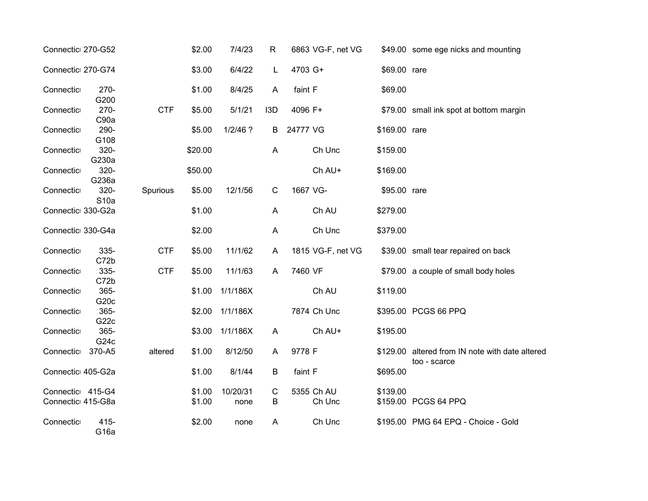| Connectic 270-G52                     |                             |            | \$2.00           | 7/4/23           | $\mathsf{R}$     | 6863 VG-F, net VG    |               | \$49.00 some ege nicks and mounting                             |
|---------------------------------------|-----------------------------|------------|------------------|------------------|------------------|----------------------|---------------|-----------------------------------------------------------------|
| Connectic 270-G74                     |                             |            | \$3.00           | 6/4/22           | L                | 4703 G+              | \$69.00 rare  |                                                                 |
| Connectic                             | $270 -$<br>G200             |            | \$1.00           | 8/4/25           | A                | faint F              | \$69.00       |                                                                 |
| Connectic                             | $270 -$<br>C90a             | <b>CTF</b> | \$5.00           | 5/1/21           | I <sub>3</sub> D | 4096 F+              |               | \$79.00 small ink spot at bottom margin                         |
| Connectic                             | 290-<br>G108                |            | \$5.00           | $1/2/46$ ?       | B                | 24777 VG             | \$169.00 rare |                                                                 |
| Connectic                             | 320-<br>G230a               |            | \$20.00          |                  | A                | Ch Unc               | \$159.00      |                                                                 |
| Connectic                             | 320-<br>G236a               |            | \$50.00          |                  |                  | Ch AU+               | \$169.00      |                                                                 |
| Connectic⊫                            | 320-<br>S <sub>10</sub> a   | Spurious   | \$5.00           | 12/1/56          | $\mathsf C$      | 1667 VG-             | \$95.00 rare  |                                                                 |
| Connectic 330-G2a                     |                             |            | \$1.00           |                  | A                | Ch AU                | \$279.00      |                                                                 |
| Connectic 330-G4a                     |                             |            | \$2.00           |                  | A                | Ch Unc               | \$379.00      |                                                                 |
| Connectic                             | 335-<br>C72b                | <b>CTF</b> | \$5.00           | 11/1/62          | A                | 1815 VG-F, net VG    |               | \$39.00 small tear repaired on back                             |
| Connectic                             | 335-<br>C72b                | <b>CTF</b> | \$5.00           | 11/1/63          | A                | 7460 VF              |               | \$79.00 a couple of small body holes                            |
| Connectic                             | 365-<br>G <sub>20c</sub>    |            | \$1.00           | 1/1/186X         |                  | Ch AU                | \$119.00      |                                                                 |
| Connectic                             | 365-<br>G <sub>22c</sub>    |            | \$2.00           | 1/1/186X         |                  | 7874 Ch Unc          |               | \$395.00 PCGS 66 PPQ                                            |
| Connectic                             | 365-<br>G <sub>24</sub> c   |            | \$3.00           | 1/1/186X         | $\overline{A}$   | Ch AU+               | \$195.00      |                                                                 |
| Connectic                             | 370-A5                      | altered    | \$1.00           | 8/12/50          | A                | 9778 F               |               | \$129.00 altered from IN note with date altered<br>too - scarce |
| Connectic 405-G2a                     |                             |            | \$1.00           | 8/1/44           | $\sf B$          | faint F              | \$695.00      |                                                                 |
| Connectic 415-G4<br>Connectic 415-G8a |                             |            | \$1.00<br>\$1.00 | 10/20/31<br>none | C<br>B           | 5355 Ch AU<br>Ch Unc | \$139.00      | \$159.00 PCGS 64 PPQ                                            |
| Connectic                             | $415 -$<br>G <sub>16a</sub> |            | \$2.00           | none             | A                | Ch Unc               |               | \$195.00 PMG 64 EPQ - Choice - Gold                             |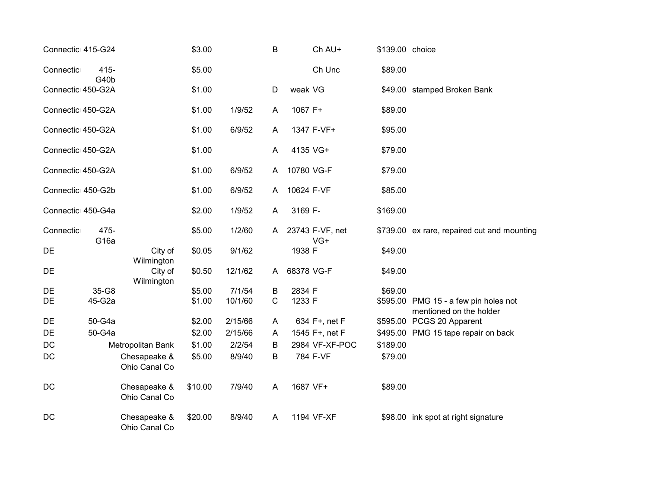| Connectic 415-G24 |                          |                                     | \$3.00  |         | B            | Ch AU+                 | \$139.00 choice |                                                                  |
|-------------------|--------------------------|-------------------------------------|---------|---------|--------------|------------------------|-----------------|------------------------------------------------------------------|
| Connectic         | $415 -$                  |                                     | \$5.00  |         |              | Ch Unc                 | \$89.00         |                                                                  |
| Connectic 450-G2A | G40b                     |                                     | \$1.00  |         | D            | weak VG                |                 | \$49.00 stamped Broken Bank                                      |
| Connectic 450-G2A |                          |                                     | \$1.00  | 1/9/52  | A            | 1067 F+                | \$89.00         |                                                                  |
| Connectic 450-G2A |                          |                                     | \$1.00  | 6/9/52  | A            | 1347 F-VF+             | \$95.00         |                                                                  |
| Connectic 450-G2A |                          |                                     | \$1.00  |         | A            | 4135 VG+               | \$79.00         |                                                                  |
| Connectic 450-G2A |                          |                                     | \$1.00  | 6/9/52  | A            | 10780 VG-F             | \$79.00         |                                                                  |
| Connectic 450-G2b |                          |                                     | \$1.00  | 6/9/52  | A            | 10624 F-VF             | \$85.00         |                                                                  |
| Connectic 450-G4a |                          |                                     | \$2.00  | 1/9/52  | A            | 3169 F-                | \$169.00        |                                                                  |
| Connectic         | 475-<br>G <sub>16a</sub> |                                     | \$5.00  | 1/2/60  | A            | 23743 F-VF, net<br>VG+ |                 | \$739.00 ex rare, repaired cut and mounting                      |
| DE                |                          | City of                             | \$0.05  | 9/1/62  |              | 1938 F                 | \$49.00         |                                                                  |
| DE                |                          | Wilmington<br>City of<br>Wilmington | \$0.50  | 12/1/62 | A            | 68378 VG-F             | \$49.00         |                                                                  |
| DE                | 35-G8                    |                                     | \$5.00  | 7/1/54  | B            | 2834 F                 | \$69.00         |                                                                  |
| DE                | 45-G2a                   |                                     | \$1.00  | 10/1/60 | $\mathsf{C}$ | 1233 F                 |                 | \$595.00 PMG 15 - a few pin holes not<br>mentioned on the holder |
| DE                | 50-G4a                   |                                     | \$2.00  | 2/15/66 | A            | 634 F+, net F          |                 | \$595.00 PCGS 20 Apparent                                        |
| DE                | 50-G4a                   |                                     | \$2.00  | 2/15/66 | A            | 1545 F+, net F         |                 | \$495.00 PMG 15 tape repair on back                              |
| $DC$              |                          | Metropolitan Bank                   | \$1.00  | 2/2/54  | B            | 2984 VF-XF-POC         | \$189.00        |                                                                  |
| DC                |                          | Chesapeake &<br>Ohio Canal Co       | \$5.00  | 8/9/40  | B            | 784 F-VF               | \$79.00         |                                                                  |
| DC                |                          | Chesapeake &<br>Ohio Canal Co       | \$10.00 | 7/9/40  | A            | 1687 VF+               | \$89.00         |                                                                  |
| DC                |                          | Chesapeake &<br>Ohio Canal Co       | \$20.00 | 8/9/40  | A            | 1194 VF-XF             |                 | \$98.00 ink spot at right signature                              |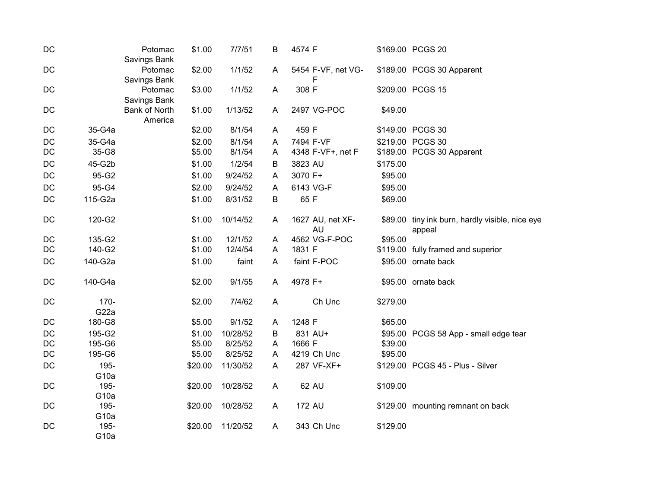| DC |                          | Potomac<br>Savings Bank         | \$1.00  | 7/7/51   | B            | 4574 F                        |          | \$169.00 PCGS 20                                          |
|----|--------------------------|---------------------------------|---------|----------|--------------|-------------------------------|----------|-----------------------------------------------------------|
| DC |                          | Potomac<br>Savings Bank         | \$2.00  | 1/1/52   | A            | 5454 F-VF, net VG-<br>F       |          | \$189.00 PCGS 30 Apparent                                 |
| DC |                          | Potomac<br>Savings Bank         | \$3.00  | 1/1/52   | $\mathsf{A}$ | 308 F                         |          | \$209.00 PCGS 15                                          |
| DC |                          | <b>Bank of North</b><br>America | \$1.00  | 1/13/52  | A            | 2497 VG-POC                   | \$49.00  |                                                           |
| DC | 35-G4a                   |                                 | \$2.00  | 8/1/54   | A            | 459 F                         |          | \$149.00 PCGS 30                                          |
| DC | 35-G4a                   |                                 | \$2.00  | 8/1/54   | Α            | 7494 F-VF                     |          | \$219.00 PCGS 30                                          |
| DC | 35-G8                    |                                 | \$5.00  | 8/1/54   | A            | 4348 F-VF+, net F             |          | \$189.00 PCGS 30 Apparent                                 |
| DC | 45-G2b                   |                                 | \$1.00  | 1/2/54   | B            | 3823 AU                       | \$175.00 |                                                           |
| DC | 95-G2                    |                                 | \$1.00  | 9/24/52  | Α            | 3070 F+                       | \$95.00  |                                                           |
| DC | 95-G4                    |                                 | \$2.00  | 9/24/52  | Α            | 6143 VG-F                     | \$95.00  |                                                           |
| DC | 115-G2a                  |                                 | \$1.00  | 8/31/52  | $\sf B$      | 65 F                          | \$69.00  |                                                           |
| DC | 120-G2                   |                                 | \$1.00  | 10/14/52 | A            | 1627 AU, net XF-<br><b>AU</b> |          | \$89.00 tiny ink burn, hardly visible, nice eye<br>appeal |
| DC | 135-G2                   |                                 | \$1.00  | 12/1/52  | $\mathsf{A}$ | 4562 VG-F-POC                 | \$95.00  |                                                           |
| DC | 140-G2                   |                                 | \$1.00  | 12/4/54  | A            | 1831 F                        |          | \$119.00 fully framed and superior                        |
| DC | 140-G2a                  |                                 | \$1.00  | faint    | $\mathsf{A}$ | faint F-POC                   |          | \$95.00 ornate back                                       |
| DC | 140-G4a                  |                                 | \$2.00  | 9/1/55   | A            | 4978 F+                       |          | \$95.00 ornate back                                       |
| DC | 170-<br>G22a             |                                 | \$2.00  | 7/4/62   | $\mathsf{A}$ | Ch Unc                        | \$279.00 |                                                           |
| DC | 180-G8                   |                                 | \$5.00  | 9/1/52   | A            | 1248 F                        | \$65.00  |                                                           |
| DC | 195-G2                   |                                 | \$1.00  | 10/28/52 | B            | 831 AU+                       |          | \$95.00 PCGS 58 App - small edge tear                     |
| DC | 195-G6                   |                                 | \$5.00  | 8/25/52  | Α            | 1666 F                        | \$39.00  |                                                           |
| DC | 195-G6                   |                                 | \$5.00  | 8/25/52  | A            | 4219 Ch Unc                   | \$95.00  |                                                           |
| DC | 195-                     |                                 | \$20.00 | 11/30/52 | A            | 287 VF-XF+                    |          | \$129.00 PCGS 45 - Plus - Silver                          |
|    | G <sub>10a</sub>         |                                 |         |          |              |                               |          |                                                           |
| DC | 195-                     |                                 | \$20.00 | 10/28/52 | A            | 62 AU                         | \$109.00 |                                                           |
|    | G <sub>10a</sub>         |                                 |         |          |              |                               |          |                                                           |
| DC | 195-                     |                                 | \$20.00 | 10/28/52 | A            | 172 AU                        |          | \$129.00 mounting remnant on back                         |
|    | G <sub>10a</sub>         |                                 |         |          |              |                               |          |                                                           |
| DC | 195-<br>G <sub>10a</sub> |                                 | \$20.00 | 11/20/52 | A            | 343 Ch Unc                    | \$129.00 |                                                           |
|    |                          |                                 |         |          |              |                               |          |                                                           |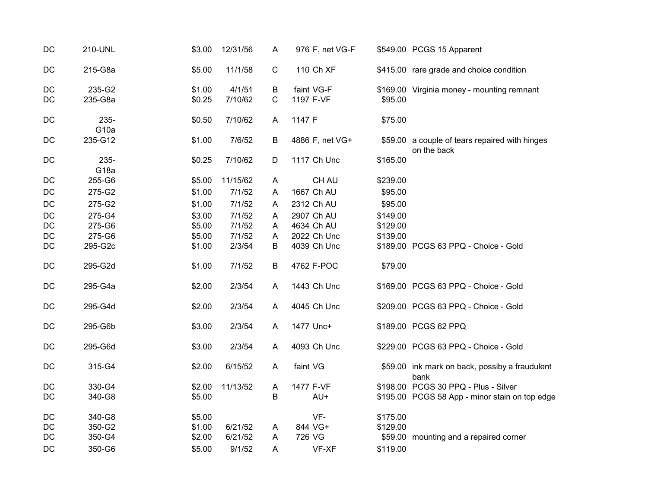| DC | 210-UNL                  | \$3.00 | 12/31/56 | A           | 976 F, net VG-F |          | \$549.00 PCGS 15 Apparent                                     |
|----|--------------------------|--------|----------|-------------|-----------------|----------|---------------------------------------------------------------|
| DC | 215-G8a                  | \$5.00 | 11/1/58  | $\mathbf C$ | 110 Ch XF       |          | \$415.00 rare grade and choice condition                      |
| DC | 235-G2                   | \$1.00 | 4/1/51   | В           | faint VG-F      |          | \$169.00 Virginia money - mounting remnant                    |
| DC | 235-G8a                  | \$0.25 | 7/10/62  | $\mathsf C$ | 1197 F-VF       | \$95.00  |                                                               |
| DC | 235-<br>G <sub>10a</sub> | \$0.50 | 7/10/62  | A           | 1147 F          | \$75.00  |                                                               |
| DC | 235-G12                  | \$1.00 | 7/6/52   | B           | 4886 F, net VG+ |          | \$59.00 a couple of tears repaired with hinges<br>on the back |
| DC | 235-<br>G <sub>18a</sub> | \$0.25 | 7/10/62  | D           | 1117 Ch Unc     | \$165.00 |                                                               |
| DC | 255-G6                   | \$5.00 | 11/15/62 | A           | CH AU           | \$239.00 |                                                               |
| DC | 275-G2                   | \$1.00 | 7/1/52   | A           | 1667 Ch AU      | \$95.00  |                                                               |
| DC | 275-G2                   | \$1.00 | 7/1/52   | A           | 2312 Ch AU      | \$95.00  |                                                               |
| DC | 275-G4                   | \$3.00 | 7/1/52   | A           | 2907 Ch AU      | \$149.00 |                                                               |
| DC | 275-G6                   | \$5.00 | 7/1/52   | A           | 4634 Ch AU      | \$129.00 |                                                               |
| DC | 275-G6                   | \$5.00 | 7/1/52   | A           | 2022 Ch Unc     | \$139.00 |                                                               |
| DC | 295-G2c                  | \$1.00 | 2/3/54   | B           | 4039 Ch Unc     |          | \$189.00 PCGS 63 PPQ - Choice - Gold                          |
| DC | 295-G2d                  | \$1.00 | 7/1/52   | B           | 4762 F-POC      | \$79.00  |                                                               |
| DC | 295-G4a                  | \$2.00 | 2/3/54   | A           | 1443 Ch Unc     |          | \$169.00 PCGS 63 PPQ - Choice - Gold                          |
| DC | 295-G4d                  | \$2.00 | 2/3/54   | A           | 4045 Ch Unc     |          | \$209.00 PCGS 63 PPQ - Choice - Gold                          |
| DC | 295-G6b                  | \$3.00 | 2/3/54   | A           | 1477 Unc+       |          | \$189.00 PCGS 62 PPQ                                          |
| DC | 295-G6d                  | \$3.00 | 2/3/54   | A           | 4093 Ch Unc     |          | \$229.00 PCGS 63 PPQ - Choice - Gold                          |
| DC | 315-G4                   | \$2.00 | 6/15/52  | A           | faint VG        |          | \$59.00 ink mark on back, possiby a fraudulent<br>bank        |
| DC | 330-G4                   | \$2.00 | 11/13/52 | A           | 1477 F-VF       |          | \$198.00 PCGS 30 PPQ - Plus - Silver                          |
| DC | 340-G8                   | \$5.00 |          | B           | AU+             |          | \$195.00 PCGS 58 App - minor stain on top edge                |
| DC | 340-G8                   | \$5.00 |          |             | VF-             | \$175.00 |                                                               |
| DC | 350-G2                   | \$1.00 | 6/21/52  | A           | 844 VG+         | \$129.00 |                                                               |
| DC | 350-G4                   | \$2.00 | 6/21/52  | A           | 726 VG          |          | \$59.00 mounting and a repaired corner                        |
| DC | 350-G6                   | \$5.00 | 9/1/52   | A           | VF-XF           | \$119.00 |                                                               |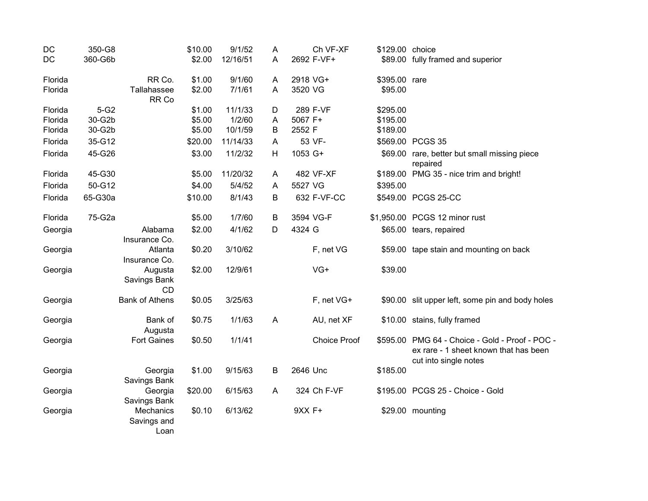| DC      | 350-G8  |                                  | \$10.00 | 9/1/52   | A |          | Ch VF-XF            | \$129.00 choice |                                                                                                          |
|---------|---------|----------------------------------|---------|----------|---|----------|---------------------|-----------------|----------------------------------------------------------------------------------------------------------|
| DC      | 360-G6b |                                  | \$2.00  | 12/16/51 | A |          | 2692 F-VF+          |                 | \$89.00 fully framed and superior                                                                        |
| Florida |         | RR Co.                           | \$1.00  | 9/1/60   | A | 2918 VG+ |                     | \$395.00 rare   |                                                                                                          |
| Florida |         | Tallahassee<br>RR Co             | \$2.00  | 7/1/61   | A | 3520 VG  |                     | \$95.00         |                                                                                                          |
| Florida | $5-G2$  |                                  | \$1.00  | 11/1/33  | D |          | 289 F-VF            | \$295.00        |                                                                                                          |
| Florida | 30-G2b  |                                  | \$5.00  | 1/2/60   | A | 5067 F+  |                     | \$195.00        |                                                                                                          |
| Florida | 30-G2b  |                                  | \$5.00  | 10/1/59  | B | 2552 F   |                     | \$189.00        |                                                                                                          |
| Florida | 35-G12  |                                  | \$20.00 | 11/14/33 | A |          | 53 VF-              |                 | \$569.00 PCGS 35                                                                                         |
| Florida | 45-G26  |                                  | \$3.00  | 11/2/32  | H | 1053 G+  |                     |                 | \$69.00 rare, better but small missing piece<br>repaired                                                 |
| Florida | 45-G30  |                                  | \$5.00  | 11/20/32 | A |          | 482 VF-XF           |                 | \$189.00 PMG 35 - nice trim and bright!                                                                  |
| Florida | 50-G12  |                                  | \$4.00  | 5/4/52   | A | 5527 VG  |                     | \$395.00        |                                                                                                          |
| Florida | 65-G30a |                                  | \$10.00 | 8/1/43   | B |          | 632 F-VF-CC         |                 | \$549.00 PCGS 25-CC                                                                                      |
| Florida | 75-G2a  |                                  | \$5.00  | 1/7/60   | B |          | 3594 VG-F           |                 | \$1,950.00 PCGS 12 minor rust                                                                            |
| Georgia |         | Alabama<br>Insurance Co.         | \$2.00  | 4/1/62   | D | 4324 G   |                     |                 | \$65.00 tears, repaired                                                                                  |
| Georgia |         | Atlanta<br>Insurance Co.         | \$0.20  | 3/10/62  |   |          | F, net VG           |                 | \$59.00 tape stain and mounting on back                                                                  |
| Georgia |         | Augusta<br>Savings Bank<br>CD    | \$2.00  | 12/9/61  |   |          | $VG+$               | \$39.00         |                                                                                                          |
| Georgia |         | <b>Bank of Athens</b>            | \$0.05  | 3/25/63  |   |          | F, net VG+          |                 | \$90.00 slit upper left, some pin and body holes                                                         |
| Georgia |         | Bank of<br>Augusta               | \$0.75  | 1/1/63   | A |          | AU, net XF          |                 | \$10.00 stains, fully framed                                                                             |
| Georgia |         | <b>Fort Gaines</b>               | \$0.50  | 1/1/41   |   |          | <b>Choice Proof</b> | \$595.00        | PMG 64 - Choice - Gold - Proof - POC -<br>ex rare - 1 sheet known that has been<br>cut into single notes |
| Georgia |         | Georgia<br>Savings Bank          | \$1.00  | 9/15/63  | B | 2646 Unc |                     | \$185.00        |                                                                                                          |
| Georgia |         | Georgia<br>Savings Bank          | \$20.00 | 6/15/63  | A |          | 324 Ch F-VF         |                 | \$195.00 PCGS 25 - Choice - Gold                                                                         |
| Georgia |         | Mechanics<br>Savings and<br>Loan | \$0.10  | 6/13/62  |   | 9XX F+   |                     |                 | \$29.00 mounting                                                                                         |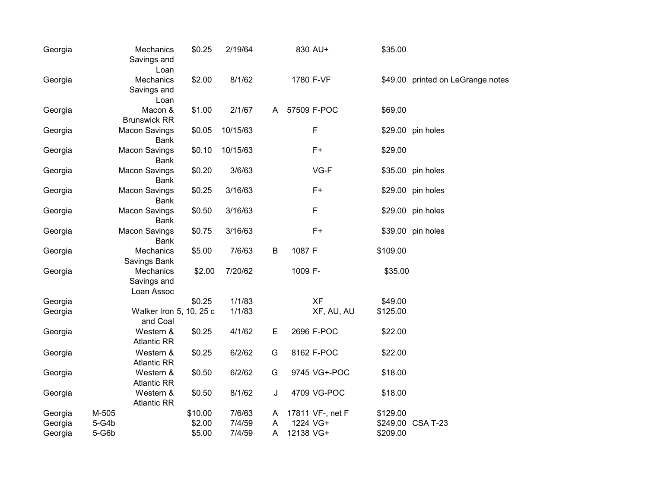| Georgia | Mechanics<br>Savings and<br>Loan       | \$0.25  | 2/19/64  |   | 830 AU+          | \$35.00  |                                   |
|---------|----------------------------------------|---------|----------|---|------------------|----------|-----------------------------------|
| Georgia | Mechanics<br>Savings and<br>Loan       | \$2.00  | 8/1/62   |   | 1780 F-VF        |          | \$49.00 printed on LeGrange notes |
| Georgia | Macon &<br><b>Brunswick RR</b>         | \$1.00  | 2/1/67   | A | 57509 F-POC      | \$69.00  |                                   |
| Georgia | <b>Macon Savings</b><br><b>Bank</b>    | \$0.05  | 10/15/63 |   | $\mathsf F$      |          | \$29.00 pin holes                 |
| Georgia | <b>Macon Savings</b><br><b>Bank</b>    | \$0.10  | 10/15/63 |   | $F+$             | \$29.00  |                                   |
| Georgia | <b>Macon Savings</b><br><b>Bank</b>    | \$0.20  | 3/6/63   |   | VG-F             |          | \$35.00 pin holes                 |
| Georgia | <b>Macon Savings</b><br><b>Bank</b>    | \$0.25  | 3/16/63  |   | $F+$             |          | \$29.00 pin holes                 |
| Georgia | <b>Macon Savings</b><br><b>Bank</b>    | \$0.50  | 3/16/63  |   | F                |          | \$29.00 pin holes                 |
| Georgia | <b>Macon Savings</b><br><b>Bank</b>    | \$0.75  | 3/16/63  |   | $F+$             |          | \$39.00 pin holes                 |
| Georgia | Mechanics<br>Savings Bank              | \$5.00  | 7/6/63   | B | 1087 F           | \$109.00 |                                   |
| Georgia | Mechanics<br>Savings and<br>Loan Assoc | \$2.00  | 7/20/62  |   | 1009 F-          | \$35.00  |                                   |
| Georgia |                                        | \$0.25  | 1/1/83   |   | <b>XF</b>        | \$49.00  |                                   |
| Georgia | Walker Iron 5, 10, 25 c<br>and Coal    |         | 1/1/83   |   | XF, AU, AU       | \$125.00 |                                   |
| Georgia | Western &<br><b>Atlantic RR</b>        | \$0.25  | 4/1/62   | E | 2696 F-POC       | \$22.00  |                                   |
| Georgia | Western &<br><b>Atlantic RR</b>        | \$0.25  | 6/2/62   | G | 8162 F-POC       | \$22.00  |                                   |
| Georgia | Western &<br><b>Atlantic RR</b>        | \$0.50  | 6/2/62   | G | 9745 VG+-POC     | \$18.00  |                                   |
| Georgia | Western &<br><b>Atlantic RR</b>        | \$0.50  | 8/1/62   | J | 4709 VG-POC      | \$18.00  |                                   |
| Georgia | M-505                                  | \$10.00 | 7/6/63   | A | 17811 VF-, net F | \$129.00 |                                   |
| Georgia | 5-G4b                                  | \$2.00  | 7/4/59   | A | 1224 VG+         |          | \$249.00 CSA T-23                 |
| Georgia | 5-G6b                                  | \$5.00  | 7/4/59   | Α | 12138 VG+        | \$209.00 |                                   |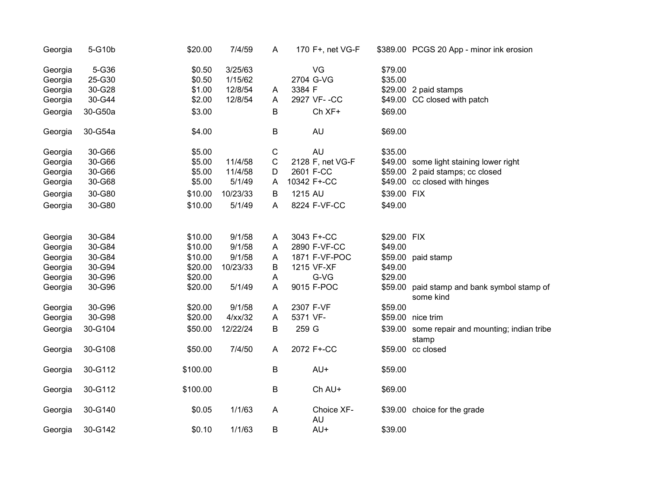| Georgia | 5-G10b  | \$20.00  | 7/4/59     | A           | 170 F+, net VG-F |             | \$389.00 PCGS 20 App - minor ink erosion                 |
|---------|---------|----------|------------|-------------|------------------|-------------|----------------------------------------------------------|
| Georgia | 5-G36   | \$0.50   | 3/25/63    |             | VG               | \$79.00     |                                                          |
| Georgia | 25-G30  | \$0.50   | 1/15/62    |             | 2704 G-VG        | \$35.00     |                                                          |
| Georgia | 30-G28  | \$1.00   | 12/8/54    | A           | 3384 F           |             | \$29.00 2 paid stamps                                    |
| Georgia | 30-G44  | \$2.00   | 12/8/54    | A           | 2927 VF--CC      |             | \$49.00 CC closed with patch                             |
| Georgia | 30-G50a | \$3.00   |            | B           | Ch XF+           | \$69.00     |                                                          |
| Georgia | 30-G54a | \$4.00   |            | B           | AU               | \$69.00     |                                                          |
| Georgia | 30-G66  | \$5.00   |            | $\mathsf C$ | <b>AU</b>        | \$35.00     |                                                          |
| Georgia | 30-G66  | \$5.00   | 11/4/58    | $\mathsf C$ | 2128 F, net VG-F |             | \$49.00 some light staining lower right                  |
| Georgia | 30-G66  | \$5.00   | 11/4/58    | D           | 2601 F-CC        |             | \$59.00 2 paid stamps; cc closed                         |
| Georgia | 30-G68  | \$5.00   | 5/1/49     | A           | 10342 F+-CC      |             | \$49.00 cc closed with hinges                            |
| Georgia | 30-G80  | \$10.00  | 10/23/33   | B           | 1215 AU          | \$39.00 FIX |                                                          |
| Georgia | 30-G80  | \$10.00  | 5/1/49     | A           | 8224 F-VF-CC     | \$49.00     |                                                          |
| Georgia | 30-G84  | \$10.00  | 9/1/58     | A           | 3043 F+-CC       | \$29.00 FIX |                                                          |
| Georgia | 30-G84  | \$10.00  | 9/1/58     | A           | 2890 F-VF-CC     | \$49.00     |                                                          |
| Georgia | 30-G84  | \$10.00  | 9/1/58     | A           | 1871 F-VF-POC    |             | \$59.00 paid stamp                                       |
| Georgia | 30-G94  | \$20.00  | 10/23/33   | B           | 1215 VF-XF       | \$49.00     |                                                          |
| Georgia | 30-G96  | \$20.00  |            | A           | G-VG             | \$29.00     |                                                          |
| Georgia | 30-G96  | \$20.00  | 5/1/49     | A           | 9015 F-POC       |             | \$59.00 paid stamp and bank symbol stamp of<br>some kind |
| Georgia | 30-G96  | \$20.00  | 9/1/58     | A           | 2307 F-VF        | \$59.00     |                                                          |
| Georgia | 30-G98  | \$20.00  | $4$ /xx/32 | A           | 5371 VF-         |             | \$59.00 nice trim                                        |
| Georgia | 30-G104 | \$50.00  | 12/22/24   | B           | 259 G            |             | \$39.00 some repair and mounting; indian tribe<br>stamp  |
| Georgia | 30-G108 | \$50.00  | 7/4/50     | A           | 2072 F+-CC       |             | \$59.00 cc closed                                        |
| Georgia | 30-G112 | \$100.00 |            | B           | AU+              | \$59.00     |                                                          |
| Georgia | 30-G112 | \$100.00 |            | B           | Ch AU+           | \$69.00     |                                                          |
| Georgia | 30-G140 | \$0.05   | 1/1/63     | A           | Choice XF-<br>AU |             | \$39.00 choice for the grade                             |
| Georgia | 30-G142 | \$0.10   | 1/1/63     | B           | AU+              | \$39.00     |                                                          |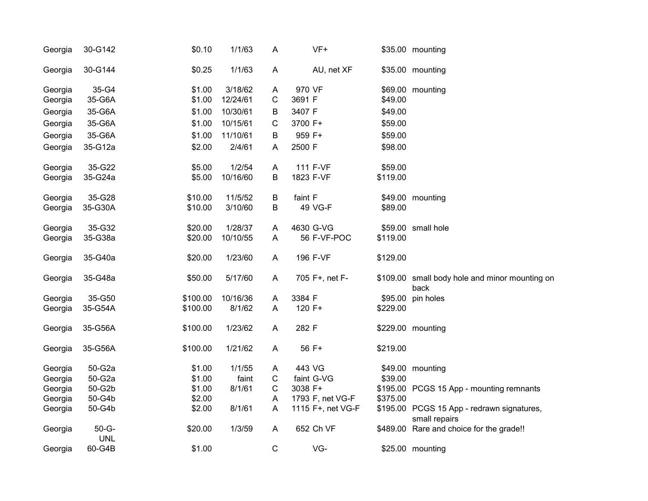| Georgia | 30-G142               | \$0.10   | 1/1/63   | A           | $VF+$             |          | \$35.00 mounting                                            |
|---------|-----------------------|----------|----------|-------------|-------------------|----------|-------------------------------------------------------------|
| Georgia | 30-G144               | \$0.25   | 1/1/63   | A           | AU, net XF        |          | \$35.00 mounting                                            |
| Georgia | 35-G4                 | \$1.00   | 3/18/62  | A           | 970 VF            |          | \$69.00 mounting                                            |
| Georgia | 35-G6A                | \$1.00   | 12/24/61 | С           | 3691 F            | \$49.00  |                                                             |
| Georgia | 35-G6A                | \$1.00   | 10/30/61 | В           | 3407 F            | \$49.00  |                                                             |
| Georgia | 35-G6A                | \$1.00   | 10/15/61 | C           | 3700 F+           | \$59.00  |                                                             |
| Georgia | 35-G6A                | \$1.00   | 11/10/61 | B           | 959 F+            | \$59.00  |                                                             |
| Georgia | 35-G12a               | \$2.00   | 2/4/61   | A           | 2500 F            | \$98.00  |                                                             |
| Georgia | 35-G22                | \$5.00   | 1/2/54   | A           | 111 F-VF          | \$59.00  |                                                             |
| Georgia | 35-G24a               | \$5.00   | 10/16/60 | В           | 1823 F-VF         | \$119.00 |                                                             |
| Georgia | 35-G28                | \$10.00  | 11/5/52  | B           | faint F           |          | \$49.00 mounting                                            |
| Georgia | 35-G30A               | \$10.00  | 3/10/60  | B           | 49 VG-F           | \$89.00  |                                                             |
| Georgia | 35-G32                | \$20.00  | 1/28/37  | A           | 4630 G-VG         |          | \$59.00 small hole                                          |
| Georgia | 35-G38a               | \$20.00  | 10/10/55 | A           | 56 F-VF-POC       | \$119.00 |                                                             |
| Georgia | 35-G40a               | \$20.00  | 1/23/60  | A           | 196 F-VF          | \$129.00 |                                                             |
| Georgia | 35-G48a               | \$50.00  | 5/17/60  | A           | 705 F+, net F-    |          | \$109.00 small body hole and minor mounting on<br>back      |
| Georgia | 35-G50                | \$100.00 | 10/16/36 | A           | 3384 F            |          | \$95.00 pin holes                                           |
| Georgia | 35-G54A               | \$100.00 | 8/1/62   | A           | 120 F+            | \$229.00 |                                                             |
| Georgia | 35-G56A               | \$100.00 | 1/23/62  | A           | 282 F             |          | \$229.00 mounting                                           |
| Georgia | 35-G56A               | \$100.00 | 1/21/62  | A           | 56 F+             | \$219.00 |                                                             |
| Georgia | 50-G2a                | \$1.00   | 1/1/55   | A           | 443 VG            |          | \$49.00 mounting                                            |
| Georgia | 50-G2a                | \$1.00   | faint    | $\mathsf C$ | faint G-VG        | \$39.00  |                                                             |
| Georgia | 50-G2b                | \$1.00   | 8/1/61   | $\mathsf C$ | 3038 F+           |          | \$195.00 PCGS 15 App - mounting remnants                    |
| Georgia | 50-G4b                | \$2.00   |          | A           | 1793 F, net VG-F  | \$375.00 |                                                             |
| Georgia | 50-G4b                | \$2.00   | 8/1/61   | A           | 1115 F+, net VG-F |          | \$195.00 PCGS 15 App - redrawn signatures,<br>small repairs |
| Georgia | $50-G-$<br><b>UNL</b> | \$20.00  | 1/3/59   | A           | 652 Ch VF         |          | \$489.00 Rare and choice for the grade!!                    |
| Georgia | 60-G4B                | \$1.00   |          | $\mathsf C$ | VG-               |          | \$25.00 mounting                                            |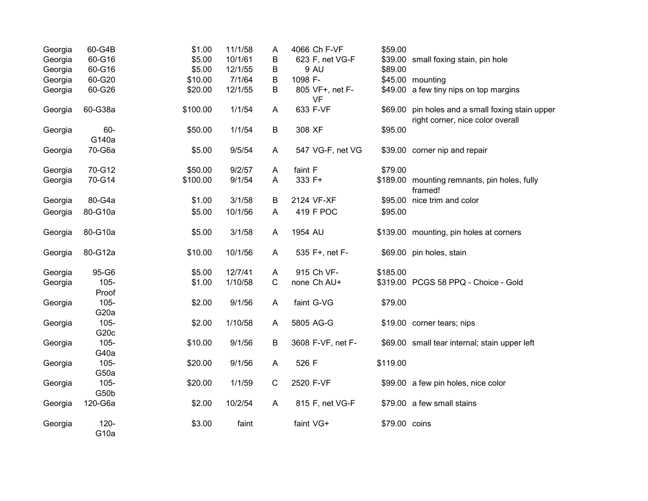| Georgia | 60-G4B                       | \$1.00   | 11/1/58 | $\mathsf{A}$ | 4066 Ch F-VF                 | \$59.00       |                                                                              |
|---------|------------------------------|----------|---------|--------------|------------------------------|---------------|------------------------------------------------------------------------------|
| Georgia | 60-G16                       | \$5.00   | 10/1/61 | B            | 623 F, net VG-F              |               | \$39.00 small foxing stain, pin hole                                         |
| Georgia | 60-G16                       | \$5.00   | 12/1/55 | B            | 9 AU                         | \$89.00       |                                                                              |
| Georgia | 60-G20                       | \$10.00  | 7/1/64  | B            | 1098 F-                      |               | \$45.00 mounting                                                             |
| Georgia | 60-G26                       | \$20.00  | 12/1/55 | B            | 805 VF+, net F-<br><b>VF</b> |               | \$49.00 a few tiny nips on top margins                                       |
| Georgia | 60-G38a                      | \$100.00 | 1/1/54  | $\mathsf{A}$ | 633 F-VF                     | \$69.00       | pin holes and a small foxing stain upper<br>right corner, nice color overall |
| Georgia | 60-<br>G140a                 | \$50.00  | 1/1/54  | B            | 308 XF                       | \$95.00       |                                                                              |
| Georgia | 70-G6a                       | \$5.00   | 9/5/54  | A            | 547 VG-F, net VG             |               | \$39.00 corner nip and repair                                                |
| Georgia | 70-G12                       | \$50.00  | 9/2/57  | A            | faint F                      | \$79.00       |                                                                              |
| Georgia | 70-G14                       | \$100.00 | 9/1/54  | A            | 333 F+                       |               | \$189.00 mounting remnants, pin holes, fully<br>framed!                      |
| Georgia | 80-G4a                       | \$1.00   | 3/1/58  | B            | 2124 VF-XF                   |               | \$95.00 nice trim and color                                                  |
| Georgia | 80-G10a                      | \$5.00   | 10/1/56 | A            | 419 F POC                    | \$95.00       |                                                                              |
| Georgia | 80-G10a                      | \$5.00   | 3/1/58  | A            | 1954 AU                      |               | \$139.00 mounting, pin holes at corners                                      |
| Georgia | 80-G12a                      | \$10.00  | 10/1/56 | A            | 535 F+, net F-               |               | \$69.00 pin holes, stain                                                     |
| Georgia | 95-G6                        | \$5.00   | 12/7/41 | A            | 915 Ch VF-                   | \$185.00      |                                                                              |
| Georgia | $105 -$<br>Proof             | \$1.00   | 1/10/58 | $\mathsf{C}$ | none Ch AU+                  |               | \$319.00 PCGS 58 PPQ - Choice - Gold                                         |
| Georgia | $105 -$<br>G <sub>20</sub> a | \$2.00   | 9/1/56  | A            | faint G-VG                   | \$79.00       |                                                                              |
| Georgia | $105 -$<br>G <sub>20c</sub>  | \$2.00   | 1/10/58 | A            | 5805 AG-G                    |               | \$19.00 corner tears; nips                                                   |
| Georgia | $105 -$<br>G40a              | \$10.00  | 9/1/56  | B            | 3608 F-VF, net F-            |               | \$69.00 small tear internal; stain upper left                                |
| Georgia | $105 -$<br>G50a              | \$20.00  | 9/1/56  | $\mathsf{A}$ | 526 F                        | \$119.00      |                                                                              |
| Georgia | $105 -$<br>G50b              | \$20.00  | 1/1/59  | $\mathsf C$  | 2520 F-VF                    |               | \$99.00 a few pin holes, nice color                                          |
| Georgia | 120-G6a                      | \$2.00   | 10/2/54 | $\mathsf{A}$ | 815 F, net VG-F              |               | \$79.00 a few small stains                                                   |
| Georgia | $120 -$<br>G <sub>10a</sub>  | \$3.00   | faint   |              | faint VG+                    | \$79.00 coins |                                                                              |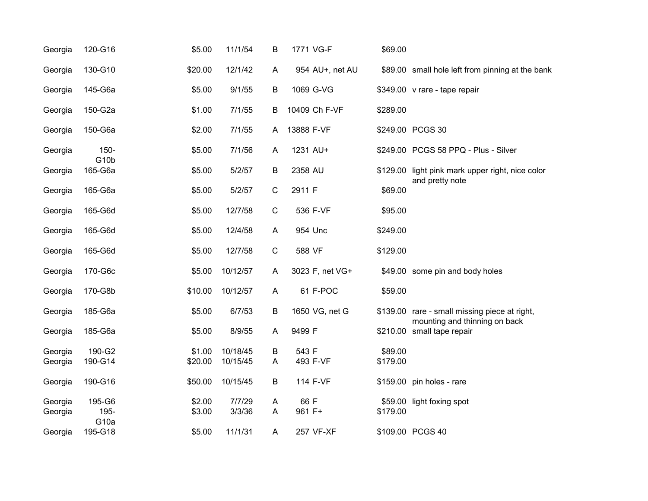| Georgia | 120-G16                   | \$5.00  | 11/1/54  | B           | 1771 VG-F        | \$69.00  |                                                             |
|---------|---------------------------|---------|----------|-------------|------------------|----------|-------------------------------------------------------------|
| Georgia | 130-G10                   | \$20.00 | 12/1/42  | A           | 954 AU+, net AU  |          | \$89.00 small hole left from pinning at the bank            |
| Georgia | 145-G6a                   | \$5.00  | 9/1/55   | Β           | 1069 G-VG        |          | \$349.00 v rare - tape repair                               |
| Georgia | 150-G2a                   | \$1.00  | 7/1/55   | B           | 10409 Ch F-VF    | \$289.00 |                                                             |
| Georgia | 150-G6a                   | \$2.00  | 7/1/55   | A           | 13888 F-VF       |          | \$249.00 PCGS 30                                            |
| Georgia | 150-<br>G <sub>10</sub> b | \$5.00  | 7/1/56   | Α           | 1231 AU+         |          | \$249.00 PCGS 58 PPQ - Plus - Silver                        |
| Georgia | 165-G6a                   | \$5.00  | 5/2/57   | В           | 2358 AU          |          | \$129.00 light pink mark upper right, nice color            |
| Georgia | 165-G6a                   | \$5.00  | 5/2/57   | $\mathbf C$ | 2911 F           | \$69.00  | and pretty note                                             |
| Georgia | 165-G6d                   | \$5.00  | 12/7/58  | $\mathsf C$ | 536 F-VF         | \$95.00  |                                                             |
| Georgia | 165-G6d                   | \$5.00  | 12/4/58  | A           | 954 Unc          | \$249.00 |                                                             |
| Georgia | 165-G6d                   | \$5.00  | 12/7/58  | $\mathbf C$ | 588 VF           | \$129.00 |                                                             |
| Georgia | 170-G6c                   | \$5.00  | 10/12/57 | Α           | 3023 F, net VG+  |          | \$49.00 some pin and body holes                             |
| Georgia | 170-G8b                   | \$10.00 | 10/12/57 | A           | 61 F-POC         | \$59.00  |                                                             |
| Georgia | 185-G6a                   | \$5.00  | 6/7/53   | B           | 1650 VG, net G   |          | \$139.00 rare - small missing piece at right,               |
| Georgia | 185-G6a                   | \$5.00  | 8/9/55   | A           | 9499 F           |          | mounting and thinning on back<br>\$210.00 small tape repair |
| Georgia | 190-G2                    | \$1.00  | 10/18/45 | B           | 543 F            | \$89.00  |                                                             |
| Georgia | 190-G14                   | \$20.00 | 10/15/45 | Α           | 493 F-VF         | \$179.00 |                                                             |
| Georgia | 190-G16                   | \$50.00 | 10/15/45 | В           | 114 F-VF         |          | \$159.00 pin holes - rare                                   |
| Georgia | 195-G6                    | \$2.00  | 7/7/29   | Α           | 66 F             |          | \$59.00 light foxing spot                                   |
| Georgia | 195-<br>G <sub>10a</sub>  | \$3.00  | 3/3/36   | A           | 961 F+           | \$179.00 |                                                             |
| Georgia | 195-G18                   | \$5.00  | 11/1/31  | A           | <b>257 VF-XF</b> |          | \$109.00 PCGS 40                                            |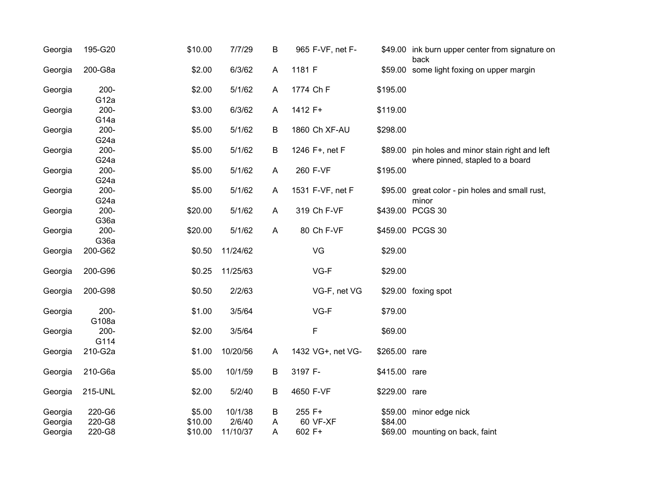| \$59.00 some light foxing on upper margin<br>\$89.00 pin holes and minor stain right and left<br>where pinned, stapled to a board |
|-----------------------------------------------------------------------------------------------------------------------------------|
|                                                                                                                                   |
|                                                                                                                                   |
|                                                                                                                                   |
|                                                                                                                                   |
|                                                                                                                                   |
|                                                                                                                                   |
| \$95.00 great color - pin holes and small rust,                                                                                   |
|                                                                                                                                   |
|                                                                                                                                   |
|                                                                                                                                   |
|                                                                                                                                   |
|                                                                                                                                   |
|                                                                                                                                   |
|                                                                                                                                   |
|                                                                                                                                   |
|                                                                                                                                   |
|                                                                                                                                   |
|                                                                                                                                   |
|                                                                                                                                   |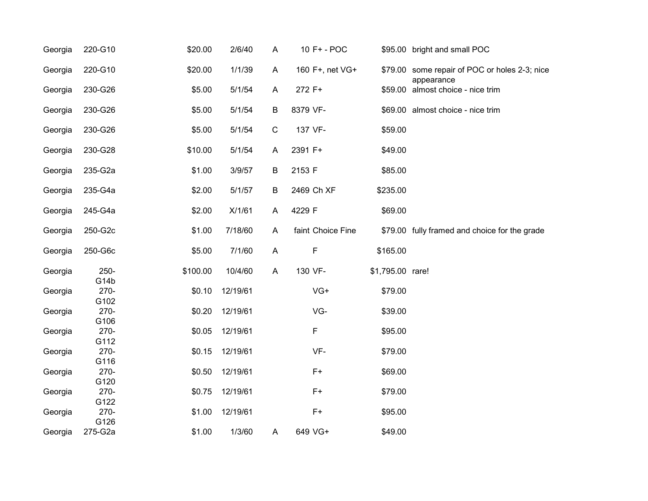| Georgia | 220-G10                 | \$20.00  | 2/6/40   | A           | 10 F+ - POC       |                  | \$95.00 bright and small POC                                |
|---------|-------------------------|----------|----------|-------------|-------------------|------------------|-------------------------------------------------------------|
| Georgia | 220-G10                 | \$20.00  | 1/1/39   | A           | 160 F+, net VG+   |                  | \$79.00 some repair of POC or holes 2-3; nice<br>appearance |
| Georgia | 230-G26                 | \$5.00   | 5/1/54   | Α           | 272 F+            |                  | \$59.00 almost choice - nice trim                           |
| Georgia | 230-G26                 | \$5.00   | 5/1/54   | В           | 8379 VF-          |                  | \$69.00 almost choice - nice trim                           |
| Georgia | 230-G26                 | \$5.00   | 5/1/54   | $\mathsf C$ | 137 VF-           | \$59.00          |                                                             |
| Georgia | 230-G28                 | \$10.00  | 5/1/54   | Α           | 2391 F+           | \$49.00          |                                                             |
| Georgia | 235-G2a                 | \$1.00   | 3/9/57   | В           | 2153 F            | \$85.00          |                                                             |
| Georgia | 235-G4a                 | \$2.00   | 5/1/57   | В           | 2469 Ch XF        | \$235.00         |                                                             |
| Georgia | 245-G4a                 | \$2.00   | X/1/61   | Α           | 4229 F            | \$69.00          |                                                             |
| Georgia | 250-G2c                 | \$1.00   | 7/18/60  | A           | faint Choice Fine |                  | \$79.00 fully framed and choice for the grade               |
| Georgia | 250-G6c                 | \$5.00   | 7/1/60   | A           | F                 | \$165.00         |                                                             |
| Georgia | $250 -$                 | \$100.00 | 10/4/60  | A           | 130 VF-           | \$1,795.00 rare! |                                                             |
| Georgia | G14b<br>270-            | \$0.10   | 12/19/61 |             | VG+               | \$79.00          |                                                             |
| Georgia | G102<br>$270 -$         | \$0.20   | 12/19/61 |             | VG-               | \$39.00          |                                                             |
| Georgia | G106<br>$270 -$<br>G112 | \$0.05   | 12/19/61 |             | F                 | \$95.00          |                                                             |
| Georgia | $270 -$                 | \$0.15   | 12/19/61 |             | VF-               | \$79.00          |                                                             |
| Georgia | G116<br>$270 -$         | \$0.50   | 12/19/61 |             | $F+$              | \$69.00          |                                                             |
| Georgia | G120<br>270-            | \$0.75   | 12/19/61 |             | $F+$              | \$79.00          |                                                             |
| Georgia | G122<br>$270 -$         | \$1.00   | 12/19/61 |             | $F+$              | \$95.00          |                                                             |
| Georgia | G126<br>275-G2a         | \$1.00   | 1/3/60   | Α           | 649 VG+           | \$49.00          |                                                             |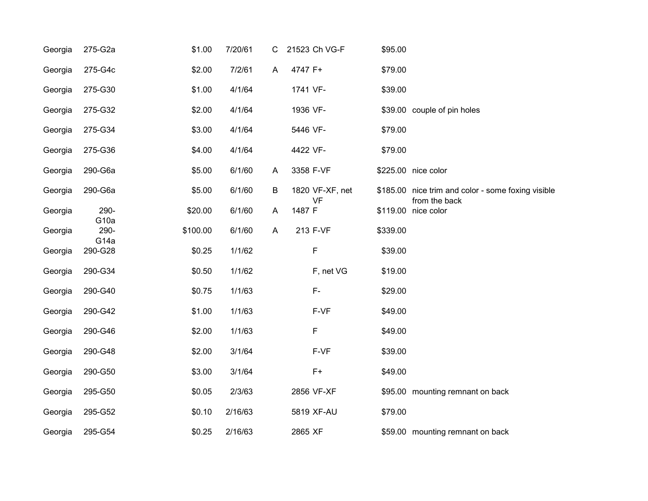| Georgia | 275-G2a                     | \$1.00   | 7/20/61 | C |          | 21523 Ch VG-F   | \$95.00  |                                                    |
|---------|-----------------------------|----------|---------|---|----------|-----------------|----------|----------------------------------------------------|
| Georgia | 275-G4c                     | \$2.00   | 7/2/61  | A | 4747 F+  |                 | \$79.00  |                                                    |
| Georgia | 275-G30                     | \$1.00   | 4/1/64  |   | 1741 VF- |                 | \$39.00  |                                                    |
| Georgia | 275-G32                     | \$2.00   | 4/1/64  |   | 1936 VF- |                 |          | \$39.00 couple of pin holes                        |
| Georgia | 275-G34                     | \$3.00   | 4/1/64  |   | 5446 VF- |                 | \$79.00  |                                                    |
| Georgia | 275-G36                     | \$4.00   | 4/1/64  |   | 4422 VF- |                 | \$79.00  |                                                    |
| Georgia | 290-G6a                     | \$5.00   | 6/1/60  | A |          | 3358 F-VF       |          | \$225.00 nice color                                |
| Georgia | 290-G6a                     | \$5.00   | 6/1/60  | B |          | 1820 VF-XF, net |          | \$185.00 nice trim and color - some foxing visible |
| Georgia | 290-                        | \$20.00  | 6/1/60  | A | 1487 F   | <b>VF</b>       |          | from the back<br>\$119.00 nice color               |
| Georgia | G <sub>10a</sub><br>290-    | \$100.00 | 6/1/60  | A |          | 213 F-VF        | \$339.00 |                                                    |
| Georgia | G <sub>14a</sub><br>290-G28 | \$0.25   | 1/1/62  |   |          | F               | \$39.00  |                                                    |
| Georgia | 290-G34                     | \$0.50   | 1/1/62  |   |          | F, net VG       | \$19.00  |                                                    |
| Georgia | 290-G40                     | \$0.75   | 1/1/63  |   |          | F-              | \$29.00  |                                                    |
| Georgia | 290-G42                     | \$1.00   | 1/1/63  |   |          | F-VF            | \$49.00  |                                                    |
| Georgia | 290-G46                     | \$2.00   | 1/1/63  |   |          | F               | \$49.00  |                                                    |
| Georgia | 290-G48                     | \$2.00   | 3/1/64  |   |          | F-VF            | \$39.00  |                                                    |
| Georgia | 290-G50                     | \$3.00   | 3/1/64  |   |          | $F+$            | \$49.00  |                                                    |
| Georgia | 295-G50                     | \$0.05   | 2/3/63  |   |          | 2856 VF-XF      |          | \$95.00 mounting remnant on back                   |
| Georgia | 295-G52                     | \$0.10   | 2/16/63 |   |          | 5819 XF-AU      | \$79.00  |                                                    |
| Georgia | 295-G54                     | \$0.25   | 2/16/63 |   | 2865 XF  |                 |          | \$59.00 mounting remnant on back                   |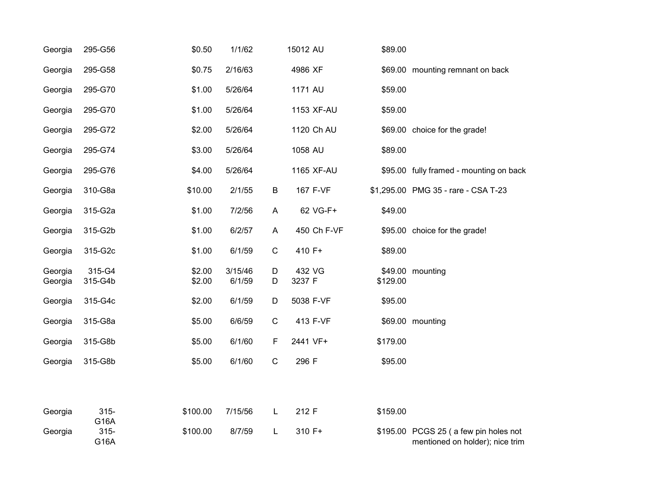| Georgia            | 295-G56           | \$0.50           | 1/1/62            |              | 15012 AU         | \$89.00  |                                                                          |
|--------------------|-------------------|------------------|-------------------|--------------|------------------|----------|--------------------------------------------------------------------------|
| Georgia            | 295-G58           | \$0.75           | 2/16/63           |              | 4986 XF          |          | \$69.00 mounting remnant on back                                         |
| Georgia            | 295-G70           | \$1.00           | 5/26/64           |              | 1171 AU          | \$59.00  |                                                                          |
| Georgia            | 295-G70           | \$1.00           | 5/26/64           |              | 1153 XF-AU       | \$59.00  |                                                                          |
| Georgia            | 295-G72           | \$2.00           | 5/26/64           |              | 1120 Ch AU       |          | \$69.00 choice for the grade!                                            |
| Georgia            | 295-G74           | \$3.00           | 5/26/64           |              | 1058 AU          | \$89.00  |                                                                          |
| Georgia            | 295-G76           | \$4.00           | 5/26/64           |              | 1165 XF-AU       |          | \$95.00 fully framed - mounting on back                                  |
| Georgia            | 310-G8a           | \$10.00          | 2/1/55            | B            | 167 F-VF         |          | \$1,295.00 PMG 35 - rare - CSA T-23                                      |
| Georgia            | 315-G2a           | \$1.00           | 7/2/56            | A            | 62 VG-F+         | \$49.00  |                                                                          |
| Georgia            | 315-G2b           | \$1.00           | 6/2/57            | $\mathsf{A}$ | 450 Ch F-VF      |          | \$95.00 choice for the grade!                                            |
| Georgia            | 315-G2c           | \$1.00           | 6/1/59            | $\mathsf C$  | 410 F+           | \$89.00  |                                                                          |
| Georgia<br>Georgia | 315-G4<br>315-G4b | \$2.00<br>\$2.00 | 3/15/46<br>6/1/59 | D<br>D       | 432 VG<br>3237 F | \$129.00 | \$49.00 mounting                                                         |
| Georgia            | 315-G4c           | \$2.00           | 6/1/59            | D            | 5038 F-VF        | \$95.00  |                                                                          |
| Georgia            | 315-G8a           | \$5.00           | 6/6/59            | $\mathsf C$  | 413 F-VF         |          | \$69.00 mounting                                                         |
| Georgia            | 315-G8b           | \$5.00           | 6/1/60            | F            | 2441 VF+         | \$179.00 |                                                                          |
| Georgia            | 315-G8b           | \$5.00           | 6/1/60            | $\mathsf C$  | 296 F            | \$95.00  |                                                                          |
|                    |                   |                  |                   |              |                  |          |                                                                          |
| Georgia            | $315 -$<br>G16A   | \$100.00         | 7/15/56           | L            | 212 F            | \$159.00 |                                                                          |
| Georgia            | $315 -$<br>G16A   | \$100.00         | 8/7/59            | L            | 310 F+           |          | \$195.00 PCGS 25 (a few pin holes not<br>mentioned on holder); nice trim |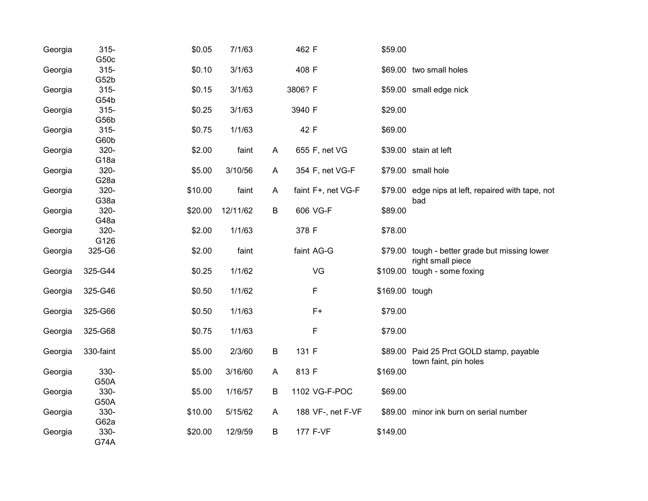| Georgia | $315 -$<br>G50c          | \$0.05  | 7/1/63   |   | 462 F              | \$59.00        |                                                                     |
|---------|--------------------------|---------|----------|---|--------------------|----------------|---------------------------------------------------------------------|
| Georgia | $315 -$<br>G52b          | \$0.10  | 3/1/63   |   | 408 F              |                | \$69.00 two small holes                                             |
| Georgia | $315 -$<br>G54b          | \$0.15  | 3/1/63   |   | 3806? F            |                | \$59.00 small edge nick                                             |
| Georgia | $315 -$<br>G56b          | \$0.25  | 3/1/63   |   | 3940 F             | \$29.00        |                                                                     |
| Georgia | $315 -$<br>G60b          | \$0.75  | 1/1/63   |   | 42 F               | \$69.00        |                                                                     |
| Georgia | 320-<br>G <sub>18a</sub> | \$2.00  | faint    | A | 655 F, net VG      |                | \$39.00 stain at left                                               |
| Georgia | 320-<br>G <sub>28a</sub> | \$5.00  | 3/10/56  | A | 354 F, net VG-F    |                | \$79.00 small hole                                                  |
| Georgia | 320-<br>G38a             | \$10.00 | faint    | A | faint F+, net VG-F |                | \$79.00 edge nips at left, repaired with tape, not<br>bad           |
| Georgia | 320-<br>G48a             | \$20.00 | 12/11/62 | B | 606 VG-F           | \$89.00        |                                                                     |
| Georgia | 320-<br>G126             | \$2.00  | 1/1/63   |   | 378 F              | \$78.00        |                                                                     |
| Georgia | 325-G6                   | \$2.00  | faint    |   | faint AG-G         |                | \$79.00 tough - better grade but missing lower<br>right small piece |
| Georgia | 325-G44                  | \$0.25  | 1/1/62   |   | VG                 |                | \$109.00 tough - some foxing                                        |
| Georgia | 325-G46                  | \$0.50  | 1/1/62   |   | F                  | \$169.00 tough |                                                                     |
| Georgia | 325-G66                  | \$0.50  | 1/1/63   |   | $F+$               | \$79.00        |                                                                     |
| Georgia | 325-G68                  | \$0.75  | 1/1/63   |   | F                  | \$79.00        |                                                                     |
| Georgia | 330-faint                | \$5.00  | 2/3/60   | B | 131 F              |                | \$89.00 Paid 25 Prct GOLD stamp, payable<br>town faint, pin holes   |
| Georgia | 330-<br>G50A             | \$5.00  | 3/16/60  | A | 813 F              | \$169.00       |                                                                     |
| Georgia | 330-<br>G50A             | \$5.00  | 1/16/57  | B | 1102 VG-F-POC      | \$69.00        |                                                                     |
| Georgia | 330-<br>G62a             | \$10.00 | 5/15/62  | A | 188 VF-, net F-VF  |                | \$89.00 minor ink burn on serial number                             |
| Georgia | 330-<br><b>G74A</b>      | \$20.00 | 12/9/59  | B | 177 F-VF           | \$149.00       |                                                                     |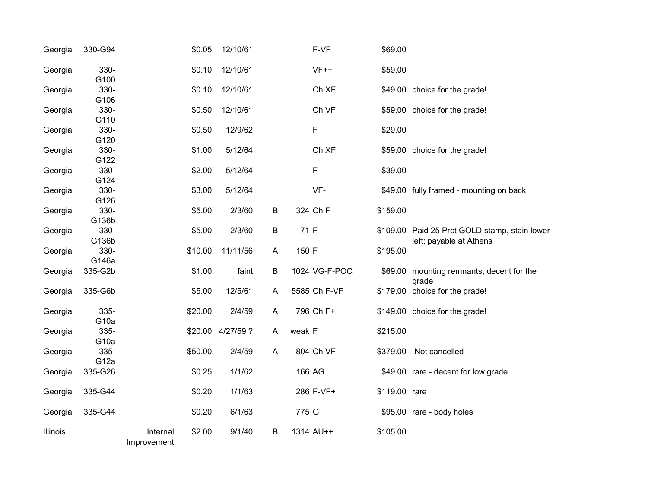| Georgia  | 330-G94                  |                         | \$0.05  | 12/10/61         |         | F-VF          | \$69.00       |                                                                          |
|----------|--------------------------|-------------------------|---------|------------------|---------|---------------|---------------|--------------------------------------------------------------------------|
| Georgia  | 330-<br>G100             |                         | \$0.10  | 12/10/61         |         | $VF++$        | \$59.00       |                                                                          |
| Georgia  | 330-<br>G106             |                         | \$0.10  | 12/10/61         |         | Ch XF         |               | \$49.00 choice for the grade!                                            |
| Georgia  | 330-<br>G110             |                         | \$0.50  | 12/10/61         |         | Ch VF         |               | \$59.00 choice for the grade!                                            |
| Georgia  | 330-<br>G120             |                         | \$0.50  | 12/9/62          |         | F             | \$29.00       |                                                                          |
| Georgia  | 330-<br>G122             |                         | \$1.00  | 5/12/64          |         | Ch XF         |               | \$59.00 choice for the grade!                                            |
| Georgia  | 330-<br>G124             |                         | \$2.00  | 5/12/64          |         | F             | \$39.00       |                                                                          |
| Georgia  | 330-<br>G126             |                         | \$3.00  | 5/12/64          |         | VF-           |               | \$49.00 fully framed - mounting on back                                  |
| Georgia  | 330-<br>G136b            |                         | \$5.00  | 2/3/60           | B       | 324 Ch F      | \$159.00      |                                                                          |
| Georgia  | 330-<br>G136b            |                         | \$5.00  | 2/3/60           | $\sf B$ | 71 F          |               | \$109.00 Paid 25 Prct GOLD stamp, stain lower<br>left; payable at Athens |
| Georgia  | 330-<br>G146a            |                         | \$10.00 | 11/11/56         | A       | 150 F         | \$195.00      |                                                                          |
| Georgia  | 335-G2b                  |                         | \$1.00  | faint            | $\sf B$ | 1024 VG-F-POC |               | \$69.00 mounting remnants, decent for the<br>grade                       |
| Georgia  | 335-G6b                  |                         | \$5.00  | 12/5/61          | A       | 5585 Ch F-VF  |               | \$179.00 choice for the grade!                                           |
| Georgia  | 335-<br>G <sub>10a</sub> |                         | \$20.00 | 2/4/59           | A       | 796 Ch F+     |               | \$149.00 choice for the grade!                                           |
| Georgia  | 335-<br>G <sub>10a</sub> |                         |         | \$20.00 4/27/59? | A       | weak F        | \$215.00      |                                                                          |
| Georgia  | 335-<br>G <sub>12a</sub> |                         | \$50.00 | 2/4/59           | A       | 804 Ch VF-    | \$379.00      | Not cancelled                                                            |
| Georgia  | 335-G26                  |                         | \$0.25  | 1/1/62           |         | 166 AG        |               | \$49.00 rare - decent for low grade                                      |
| Georgia  | 335-G44                  |                         | \$0.20  | 1/1/63           |         | 286 F-VF+     | \$119.00 rare |                                                                          |
| Georgia  | 335-G44                  |                         | \$0.20  | 6/1/63           |         | 775 G         |               | \$95.00 rare - body holes                                                |
| Illinois |                          | Internal<br>Improvement | \$2.00  | 9/1/40           | $\sf B$ | 1314 AU++     | \$105.00      |                                                                          |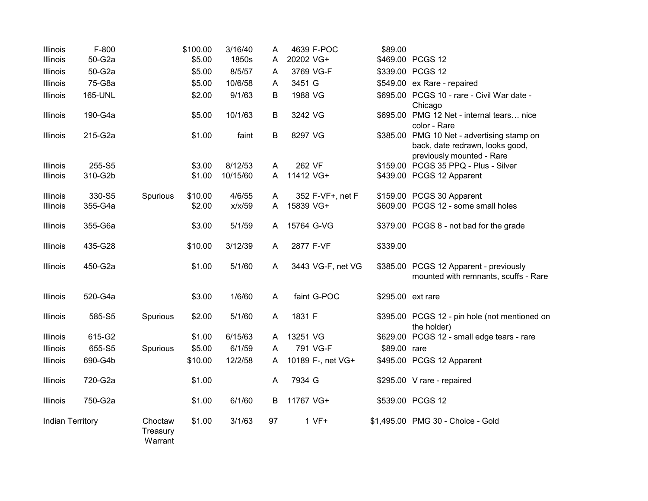| Illinois                | F-800   |                                | \$100.00 | 3/16/40  | A  | 4639 F-POC        | \$89.00           |                                                                                                            |
|-------------------------|---------|--------------------------------|----------|----------|----|-------------------|-------------------|------------------------------------------------------------------------------------------------------------|
| Illinois                | 50-G2a  |                                | \$5.00   | 1850s    | A  | 20202 VG+         |                   | \$469.00 PCGS 12                                                                                           |
| Illinois                | 50-G2a  |                                | \$5.00   | 8/5/57   | Α  | 3769 VG-F         |                   | \$339.00 PCGS 12                                                                                           |
| Illinois                | 75-G8a  |                                | \$5.00   | 10/6/58  | A  | 3451 G            |                   | \$549.00 ex Rare - repaired                                                                                |
| Illinois                | 165-UNL |                                | \$2.00   | 9/1/63   | B  | 1988 VG           |                   | \$695.00 PCGS 10 - rare - Civil War date -<br>Chicago                                                      |
| Illinois                | 190-G4a |                                | \$5.00   | 10/1/63  | B  | 3242 VG           |                   | \$695.00 PMG 12 Net - internal tears nice<br>color - Rare                                                  |
| Illinois                | 215-G2a |                                | \$1.00   | faint    | B  | 8297 VG           |                   | \$385.00 PMG 10 Net - advertising stamp on<br>back, date redrawn, looks good,<br>previously mounted - Rare |
| Illinois                | 255-S5  |                                | \$3.00   | 8/12/53  | A  | 262 VF            |                   | \$159.00 PCGS 35 PPQ - Plus - Silver                                                                       |
| Illinois                | 310-G2b |                                | \$1.00   | 10/15/60 | A  | 11412 VG+         |                   | \$439.00 PCGS 12 Apparent                                                                                  |
| Illinois                | 330-S5  | Spurious                       | \$10.00  | 4/6/55   | Α  | 352 F-VF+, net F  |                   | \$159.00 PCGS 30 Apparent                                                                                  |
| Illinois                | 355-G4a |                                | \$2.00   | x/x/59   | A  | 15839 VG+         |                   | \$609.00 PCGS 12 - some small holes                                                                        |
| Illinois                | 355-G6a |                                | \$3.00   | 5/1/59   | A  | 15764 G-VG        |                   | \$379.00 PCGS 8 - not bad for the grade                                                                    |
| Illinois                | 435-G28 |                                | \$10.00  | 3/12/39  | Α  | 2877 F-VF         | \$339.00          |                                                                                                            |
| Illinois                | 450-G2a |                                | \$1.00   | 5/1/60   | A  | 3443 VG-F, net VG |                   | \$385.00 PCGS 12 Apparent - previously<br>mounted with remnants, scuffs - Rare                             |
| Illinois                | 520-G4a |                                | \$3.00   | 1/6/60   | A  | faint G-POC       | \$295.00 ext rare |                                                                                                            |
| Illinois                | 585-S5  | Spurious                       | \$2.00   | 5/1/60   | A  | 1831 F            |                   | \$395.00 PCGS 12 - pin hole (not mentioned on<br>the holder)                                               |
| Illinois                | 615-G2  |                                | \$1.00   | 6/15/63  | A  | 13251 VG          |                   | \$629.00 PCGS 12 - small edge tears - rare                                                                 |
| Illinois                | 655-S5  | Spurious                       | \$5.00   | 6/1/59   | A  | 791 VG-F          | \$89.00 rare      |                                                                                                            |
| Illinois                | 690-G4b |                                | \$10.00  | 12/2/58  | Α  | 10189 F-, net VG+ |                   | \$495.00 PCGS 12 Apparent                                                                                  |
| Illinois                | 720-G2a |                                | \$1.00   |          | Α  | 7934 G            |                   | \$295.00 V rare - repaired                                                                                 |
| Illinois                | 750-G2a |                                | \$1.00   | 6/1/60   | B  | 11767 VG+         |                   | \$539.00 PCGS 12                                                                                           |
| <b>Indian Territory</b> |         | Choctaw<br>Treasury<br>Warrant | \$1.00   | 3/1/63   | 97 | $1 VF+$           |                   | \$1,495.00 PMG 30 - Choice - Gold                                                                          |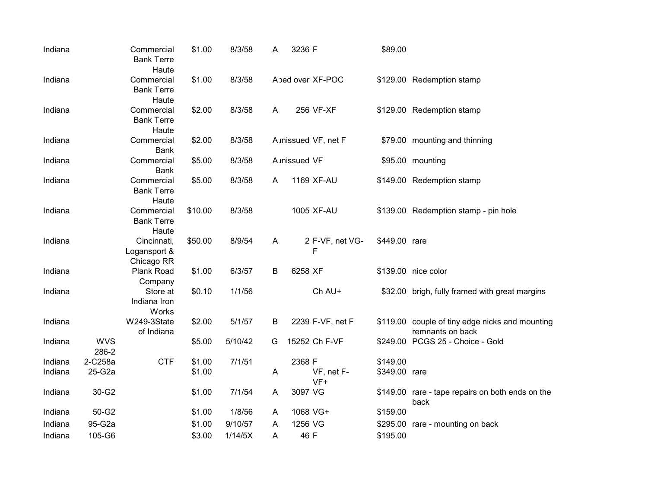| Indiana |                     | Commercial<br><b>Bank Terre</b><br>Haute  | \$1.00  | 8/3/58  | Α | 3236 F               | \$89.00       |                                                                     |
|---------|---------------------|-------------------------------------------|---------|---------|---|----------------------|---------------|---------------------------------------------------------------------|
| Indiana |                     | Commercial<br><b>Bank Terre</b><br>Haute  | \$1.00  | 8/3/58  |   | A bed over XF-POC    |               | \$129.00 Redemption stamp                                           |
| Indiana |                     | Commercial<br><b>Bank Terre</b><br>Haute  | \$2.00  | 8/3/58  | A | 256 VF-XF            |               | \$129.00 Redemption stamp                                           |
| Indiana |                     | Commercial<br><b>Bank</b>                 | \$2.00  | 8/3/58  |   | A inissued VF, net F |               | \$79.00 mounting and thinning                                       |
| Indiana |                     | Commercial<br><b>Bank</b>                 | \$5.00  | 8/3/58  |   | A <i>inissued</i> VF |               | \$95.00 mounting                                                    |
| Indiana |                     | Commercial<br><b>Bank Terre</b><br>Haute  | \$5.00  | 8/3/58  | A | 1169 XF-AU           |               | \$149.00 Redemption stamp                                           |
| Indiana |                     | Commercial<br><b>Bank Terre</b><br>Haute  | \$10.00 | 8/3/58  |   | 1005 XF-AU           |               | \$139.00 Redemption stamp - pin hole                                |
| Indiana |                     | Cincinnati,<br>Logansport &<br>Chicago RR | \$50.00 | 8/9/54  | A | 2 F-VF, net VG-<br>F | \$449.00 rare |                                                                     |
| Indiana |                     | Plank Road<br>Company                     | \$1.00  | 6/3/57  | B | 6258 XF              |               | \$139.00 nice color                                                 |
| Indiana |                     | Store at<br>Indiana Iron<br>Works         | \$0.10  | 1/1/56  |   | Ch AU+               |               | \$32.00 brigh, fully framed with great margins                      |
| Indiana |                     | W249-3State<br>of Indiana                 | \$2.00  | 5/1/57  | B | 2239 F-VF, net F     |               | \$119.00 couple of tiny edge nicks and mounting<br>remnants on back |
| Indiana | <b>WVS</b><br>286-2 |                                           | \$5.00  | 5/10/42 | G | 15252 Ch F-VF        |               | \$249.00 PCGS 25 - Choice - Gold                                    |
| Indiana | 2-C258a             | <b>CTF</b>                                | \$1.00  | 7/1/51  |   | 2368 F               | \$149.00      |                                                                     |
| Indiana | 25-G2a              |                                           | \$1.00  |         | A | VF, net F-<br>$VF+$  | \$349.00 rare |                                                                     |
| Indiana | 30-G2               |                                           | \$1.00  | 7/1/54  | A | 3097 VG              |               | \$149.00 rare - tape repairs on both ends on the<br>back            |
| Indiana | 50-G2               |                                           | \$1.00  | 1/8/56  | A | 1068 VG+             | \$159.00      |                                                                     |
| Indiana | 95-G2a              |                                           | \$1.00  | 9/10/57 | A | 1256 VG              | \$295.00      | rare - mounting on back                                             |
| Indiana | 105-G6              |                                           | \$3.00  | 1/14/5X | A | 46 F                 | \$195.00      |                                                                     |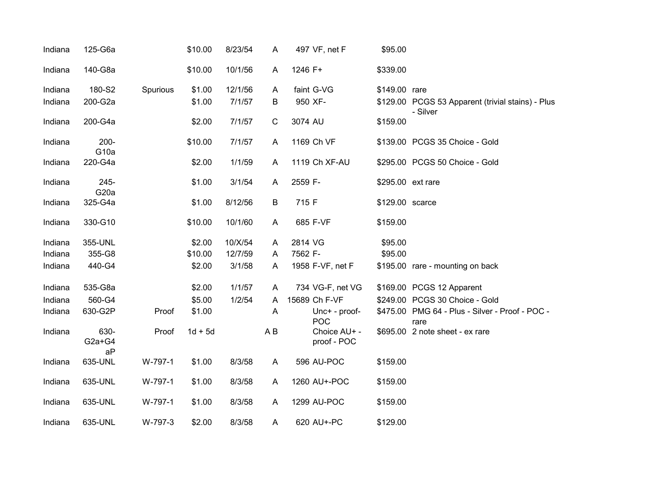| Indiana | 125-G6a                     |          | \$10.00   | 8/23/54 | A              | 497 VF, net F               | \$95.00           |                                                               |
|---------|-----------------------------|----------|-----------|---------|----------------|-----------------------------|-------------------|---------------------------------------------------------------|
| Indiana | 140-G8a                     |          | \$10.00   | 10/1/56 | A              | 1246 F+                     | \$339.00          |                                                               |
| Indiana | 180-S2                      | Spurious | \$1.00    | 12/1/56 | A              | faint G-VG                  | \$149.00 rare     |                                                               |
| Indiana | 200-G2a                     |          | \$1.00    | 7/1/57  | B              | 950 XF-                     |                   | \$129.00 PCGS 53 Apparent (trivial stains) - Plus<br>- Silver |
| Indiana | 200-G4a                     |          | \$2.00    | 7/1/57  | $\mathsf C$    | 3074 AU                     | \$159.00          |                                                               |
| Indiana | $200 -$<br>G <sub>10a</sub> |          | \$10.00   | 7/1/57  | A              | 1169 Ch VF                  |                   | \$139.00 PCGS 35 Choice - Gold                                |
| Indiana | 220-G4a                     |          | \$2.00    | 1/1/59  | A              | 1119 Ch XF-AU               |                   | \$295.00 PCGS 50 Choice - Gold                                |
| Indiana | 245-<br>G <sub>20</sub> a   |          | \$1.00    | 3/1/54  | A              | 2559 F-                     | \$295.00 ext rare |                                                               |
| Indiana | 325-G4a                     |          | \$1.00    | 8/12/56 | B              | 715 F                       | \$129.00 scarce   |                                                               |
| Indiana | 330-G10                     |          | \$10.00   | 10/1/60 | A              | 685 F-VF                    | \$159.00          |                                                               |
| Indiana | 355-UNL                     |          | \$2.00    | 10/X/54 | A              | 2814 VG                     | \$95.00           |                                                               |
| Indiana | 355-G8                      |          | \$10.00   | 12/7/59 | A              | 7562 F-                     | \$95.00           |                                                               |
| Indiana | 440-G4                      |          | \$2.00    | 3/1/58  | A              | 1958 F-VF, net F            |                   | \$195.00 rare - mounting on back                              |
| Indiana | 535-G8a                     |          | \$2.00    | 1/1/57  | A              | 734 VG-F, net VG            |                   | \$169.00 PCGS 12 Apparent                                     |
| Indiana | 560-G4                      |          | \$5.00    | 1/2/54  | A              | 15689 Ch F-VF               |                   | \$249.00 PCGS 30 Choice - Gold                                |
| Indiana | 630-G2P                     | Proof    | \$1.00    |         | $\overline{A}$ | Unc+ - proof-<br><b>POC</b> |                   | \$475.00 PMG 64 - Plus - Silver - Proof - POC -<br>rare       |
| Indiana | 630-<br>$G2a+G4$<br>aP      | Proof    | $1d + 5d$ |         | A B            | Choice AU+ -<br>proof - POC |                   | \$695.00 2 note sheet - ex rare                               |
| Indiana | 635-UNL                     | W-797-1  | \$1.00    | 8/3/58  | A              | 596 AU-POC                  | \$159.00          |                                                               |
| Indiana | 635-UNL                     | W-797-1  | \$1.00    | 8/3/58  | A              | 1260 AU+-POC                | \$159.00          |                                                               |
| Indiana | 635-UNL                     | W-797-1  | \$1.00    | 8/3/58  | A              | 1299 AU-POC                 | \$159.00          |                                                               |
| Indiana | 635-UNL                     | W-797-3  | \$2.00    | 8/3/58  | A              | 620 AU+-PC                  | \$129.00          |                                                               |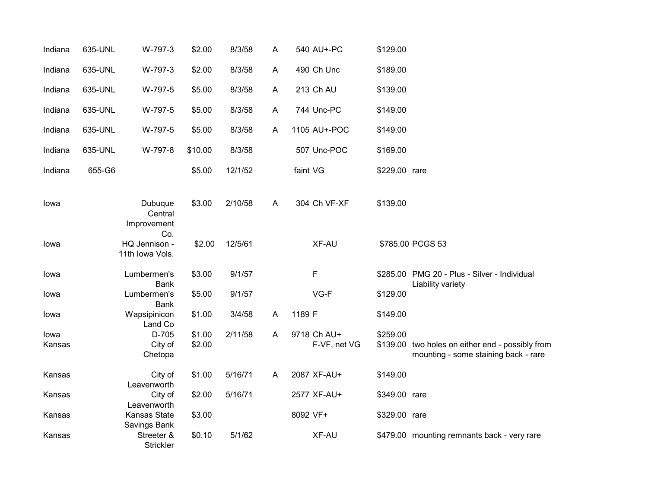| Indiana | 635-UNL | W-797-3                                 | \$2.00  | 8/3/58  | A | 540 AU+-PC   | \$129.00      |                                                                                          |
|---------|---------|-----------------------------------------|---------|---------|---|--------------|---------------|------------------------------------------------------------------------------------------|
| Indiana | 635-UNL | W-797-3                                 | \$2.00  | 8/3/58  | A | 490 Ch Unc   | \$189.00      |                                                                                          |
| Indiana | 635-UNL | W-797-5                                 | \$5.00  | 8/3/58  | A | 213 Ch AU    | \$139.00      |                                                                                          |
| Indiana | 635-UNL | W-797-5                                 | \$5.00  | 8/3/58  | A | 744 Unc-PC   | \$149.00      |                                                                                          |
| Indiana | 635-UNL | W-797-5                                 | \$5.00  | 8/3/58  | A | 1105 AU+-POC | \$149.00      |                                                                                          |
| Indiana | 635-UNL | W-797-8                                 | \$10.00 | 8/3/58  |   | 507 Unc-POC  | \$169.00      |                                                                                          |
| Indiana | 655-G6  |                                         | \$5.00  | 12/1/52 |   | faint VG     | \$229.00 rare |                                                                                          |
| lowa    |         | Dubuque<br>Central<br>Improvement       | \$3.00  | 2/10/58 | A | 304 Ch VF-XF | \$139.00      |                                                                                          |
| Iowa    |         | Co.<br>HQ Jennison -<br>11th Iowa Vols. | \$2.00  | 12/5/61 |   | XF-AU        |               | \$785.00 PCGS 53                                                                         |
| lowa    |         | Lumbermen's<br><b>Bank</b>              | \$3.00  | 9/1/57  |   | $\mathsf F$  |               | \$285.00 PMG 20 - Plus - Silver - Individual<br>Liability variety                        |
| lowa    |         | Lumbermen's<br><b>Bank</b>              | \$5.00  | 9/1/57  |   | VG-F         | \$129.00      |                                                                                          |
| lowa    |         | Wapsipinicon<br>Land Co                 | \$1.00  | 3/4/58  | A | 1189 F       | \$149.00      |                                                                                          |
| lowa    |         | D-705                                   | \$1.00  | 2/11/58 | A | 9718 Ch AU+  | \$259.00      |                                                                                          |
| Kansas  |         | City of<br>Chetopa                      | \$2.00  |         |   | F-VF, net VG |               | \$139.00 two holes on either end - possibly from<br>mounting - some staining back - rare |
| Kansas  |         | City of<br>Leavenworth                  | \$1.00  | 5/16/71 | A | 2087 XF-AU+  | \$149.00      |                                                                                          |
| Kansas  |         | City of<br>Leavenworth                  | \$2.00  | 5/16/71 |   | 2577 XF-AU+  | \$349.00 rare |                                                                                          |
| Kansas  |         | Kansas State<br>Savings Bank            | \$3.00  |         |   | 8092 VF+     | \$329.00 rare |                                                                                          |
| Kansas  |         | Streeter &<br>Strickler                 | \$0.10  | 5/1/62  |   | XF-AU        |               | \$479.00 mounting remnants back - very rare                                              |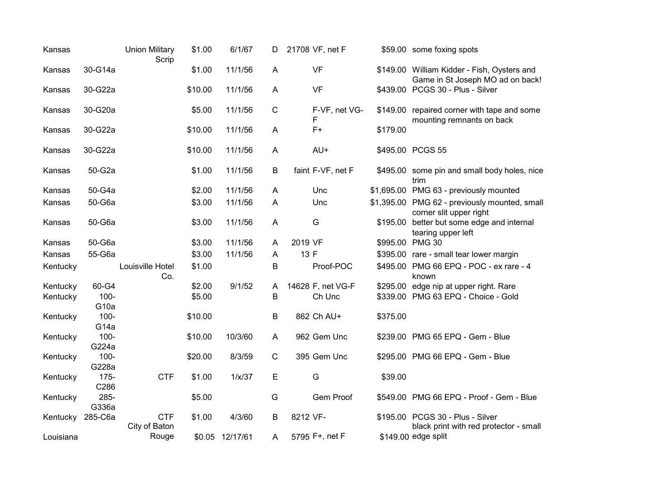| Kansas    |                             | <b>Union Military</b><br>Scrip | \$1.00  | 6/1/67          | D              | 21708 VF, net F    |          | \$59.00 some foxing spots                                                       |
|-----------|-----------------------------|--------------------------------|---------|-----------------|----------------|--------------------|----------|---------------------------------------------------------------------------------|
| Kansas    | 30-G14a                     |                                | \$1.00  | 11/1/56         | A              | <b>VF</b>          |          | \$149.00 William Kidder - Fish, Oysters and<br>Game in St Joseph MO ad on back! |
| Kansas    | 30-G22a                     |                                | \$10.00 | 11/1/56         | A              | <b>VF</b>          |          | \$439.00 PCGS 30 - Plus - Silver                                                |
| Kansas    | 30-G20a                     |                                | \$5.00  | 11/1/56         | $\mathbf C$    | F-VF, net VG-<br>F |          | \$149.00 repaired corner with tape and some<br>mounting remnants on back        |
| Kansas    | 30-G22a                     |                                | \$10.00 | 11/1/56         | $\mathsf{A}$   | $F+$               | \$179.00 |                                                                                 |
| Kansas    | 30-G22a                     |                                | \$10.00 | 11/1/56         | $\overline{A}$ | AU+                |          | \$495.00 PCGS 55                                                                |
| Kansas    | 50-G2a                      |                                | \$1.00  | 11/1/56         | B              | faint F-VF, net F  |          | \$495.00 some pin and small body holes, nice<br>trim                            |
| Kansas    | 50-G4a                      |                                | \$2.00  | 11/1/56         | A              | Unc                |          | \$1,695.00 PMG 63 - previously mounted                                          |
| Kansas    | 50-G6a                      |                                | \$3.00  | 11/1/56         | A              | Unc                |          | \$1,395.00 PMG 62 - previously mounted, small<br>corner slit upper right        |
| Kansas    | 50-G6a                      |                                | \$3.00  | 11/1/56         | A              | G                  |          | \$195.00 better but some edge and internal<br>tearing upper left                |
| Kansas    | 50-G6a                      |                                | \$3.00  | 11/1/56         | A              | 2019 VF            |          | \$995.00 PMG 30                                                                 |
| Kansas    | 55-G6a                      |                                | \$3.00  | 11/1/56         | A              | 13 F               |          | \$395.00 rare - small tear lower margin                                         |
| Kentucky  |                             | Louisville Hotel<br>Co.        | \$1.00  |                 | В              | Proof-POC          |          | \$495.00 PMG 66 EPQ - POC - ex rare - 4<br>known                                |
| Kentucky  | 60-G4                       |                                | \$2.00  | 9/1/52          | A              | 14628 F, net VG-F  |          | \$295.00 edge nip at upper right. Rare                                          |
| Kentucky  | $100 -$<br>G <sub>10a</sub> |                                | \$5.00  |                 | B              | Ch Unc             |          | \$339.00 PMG 63 EPQ - Choice - Gold                                             |
| Kentucky  | $100 -$<br>G <sub>14a</sub> |                                | \$10.00 |                 | В              | 862 Ch AU+         | \$375.00 |                                                                                 |
| Kentucky  | $100 -$<br>G224a            |                                | \$10.00 | 10/3/60         | A              | 962 Gem Unc        |          | \$239.00 PMG 65 EPQ - Gem - Blue                                                |
| Kentucky  | $100 -$<br>G228a            |                                | \$20.00 | 8/3/59          | $\mathsf C$    | 395 Gem Unc        |          | \$295.00 PMG 66 EPQ - Gem - Blue                                                |
| Kentucky  | 175-<br>C286                | <b>CTF</b>                     | \$1.00  | 1/x/37          | Е              | G                  | \$39.00  |                                                                                 |
| Kentucky  | 285-<br>G336a               |                                | \$5.00  |                 | G              | Gem Proof          |          | \$549.00 PMG 66 EPQ - Proof - Gem - Blue                                        |
| Kentucky  | 285-C6a                     | <b>CTF</b><br>City of Baton    | \$1.00  | 4/3/60          | B              | 8212 VF-           |          | \$195.00 PCGS 30 - Plus - Silver<br>black print with red protector - small      |
| Louisiana |                             | Rouge                          |         | \$0.05 12/17/61 | A              | 5795 F+, net F     |          | \$149.00 edge split                                                             |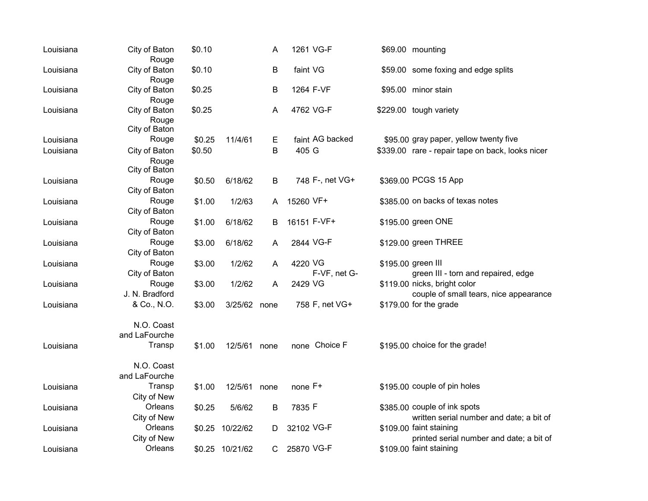| Louisiana | City of Baton<br>Rouge                  | \$0.10 |                 | A       | 1261 VG-F               | \$69.00 mounting                                                         |
|-----------|-----------------------------------------|--------|-----------------|---------|-------------------------|--------------------------------------------------------------------------|
| Louisiana | City of Baton<br>Rouge                  | \$0.10 |                 | $\sf B$ | faint VG                | \$59.00 some foxing and edge splits                                      |
| Louisiana | City of Baton<br>Rouge                  | \$0.25 |                 | B       | 1264 F-VF               | \$95.00 minor stain                                                      |
| Louisiana | City of Baton<br>Rouge<br>City of Baton | \$0.25 |                 | A       | 4762 VG-F               | \$229.00 tough variety                                                   |
| Louisiana | Rouge                                   | \$0.25 | 11/4/61         | Е       | faint AG backed         | \$95.00 gray paper, yellow twenty five                                   |
| Louisiana | City of Baton<br>Rouge<br>City of Baton | \$0.50 |                 | B       | 405 G                   | \$339.00 rare - repair tape on back, looks nicer                         |
| Louisiana | Rouge<br>City of Baton                  | \$0.50 | 6/18/62         | B       | 748 F-, net VG+         | \$369.00 PCGS 15 App                                                     |
| Louisiana | Rouge<br>City of Baton                  | \$1.00 | 1/2/63          | A       | 15260 VF+               | \$385,00 on backs of texas notes                                         |
| Louisiana | Rouge<br>City of Baton                  | \$1.00 | 6/18/62         | B       | 16151 F-VF+             | \$195.00 green ONE                                                       |
| Louisiana | Rouge<br>City of Baton                  | \$3.00 | 6/18/62         | A       | 2844 VG-F               | \$129.00 green THREE                                                     |
| Louisiana | Rouge<br>City of Baton                  | \$3.00 | 1/2/62          | A       | 4220 VG<br>F-VF, net G- | \$195.00 green III<br>green III - torn and repaired, edge                |
| Louisiana | Rouge<br>J. N. Bradford                 | \$3.00 | 1/2/62          | A       | 2429 VG                 | \$119.00 nicks, bright color<br>couple of small tears, nice appearance   |
| Louisiana | & Co., N.O.                             | \$3.00 | 3/25/62         | none    | 758 F, net VG+          | \$179.00 for the grade                                                   |
|           | N.O. Coast<br>and LaFourche             |        |                 |         |                         |                                                                          |
| Louisiana | Transp                                  | \$1.00 | 12/5/61 none    |         | none Choice F           | \$195.00 choice for the grade!                                           |
|           | N.O. Coast<br>and LaFourche             |        |                 |         |                         |                                                                          |
| Louisiana | Transp<br>City of New                   | \$1.00 | 12/5/61 none    |         | none F+                 | \$195.00 couple of pin holes                                             |
| Louisiana | Orleans<br>City of New                  | \$0.25 | 5/6/62          | $\sf B$ | 7835 F                  | \$385.00 couple of ink spots<br>written serial number and date; a bit of |
| Louisiana | Orleans<br>City of New                  | \$0.25 | 10/22/62        | D       | 32102 VG-F              | \$109.00 faint staining<br>printed serial number and date; a bit of      |
| Louisiana | Orleans                                 |        | \$0.25 10/21/62 | C       | 25870 VG-F              | \$109.00 faint staining                                                  |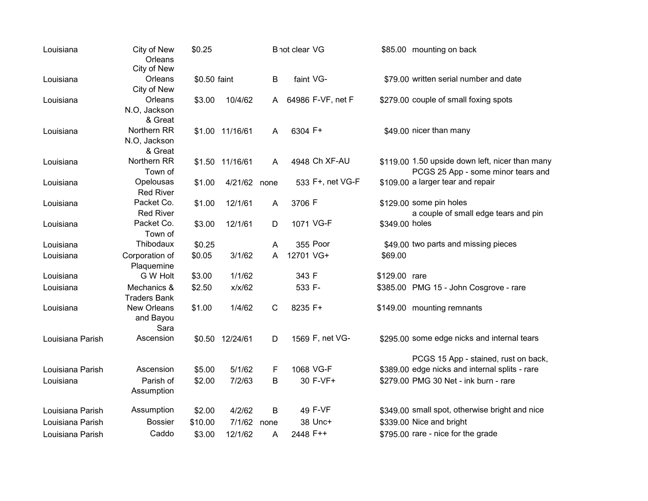| City of New<br>Orleans<br>faint VG-<br>\$79.00 written serial number and date<br>B<br>\$0.50 faint<br>Louisiana<br>City of New<br>Orleans<br>64986 F-VF, net F<br>\$279.00 couple of small foxing spots<br>10/4/62<br>\$3.00<br>Louisiana<br>A<br>N.O, Jackson<br>& Great<br>Northern RR<br>6304 F+<br>\$49.00 nicer than many<br>\$1.00 11/16/61<br>A<br>Louisiana<br>N.O, Jackson<br>& Great<br>Northern RR<br>4948 Ch XF-AU<br>\$119.00 1.50 upside down left, nicer than many<br>\$1.50 11/16/61<br>Louisiana<br>A<br>Town of<br>PCGS 25 App - some minor tears and<br>Opelousas<br>\$1.00<br>4/21/62 none<br>533 F+, net VG-F<br>\$109.00 a larger tear and repair<br>Louisiana<br><b>Red River</b><br>Packet Co.<br>3706 F<br>\$129.00 some pin holes<br>\$1.00<br>12/1/61<br>Louisiana<br>A<br><b>Red River</b><br>a couple of small edge tears and pin |
|----------------------------------------------------------------------------------------------------------------------------------------------------------------------------------------------------------------------------------------------------------------------------------------------------------------------------------------------------------------------------------------------------------------------------------------------------------------------------------------------------------------------------------------------------------------------------------------------------------------------------------------------------------------------------------------------------------------------------------------------------------------------------------------------------------------------------------------------------------------|
|                                                                                                                                                                                                                                                                                                                                                                                                                                                                                                                                                                                                                                                                                                                                                                                                                                                                |
|                                                                                                                                                                                                                                                                                                                                                                                                                                                                                                                                                                                                                                                                                                                                                                                                                                                                |
|                                                                                                                                                                                                                                                                                                                                                                                                                                                                                                                                                                                                                                                                                                                                                                                                                                                                |
|                                                                                                                                                                                                                                                                                                                                                                                                                                                                                                                                                                                                                                                                                                                                                                                                                                                                |
|                                                                                                                                                                                                                                                                                                                                                                                                                                                                                                                                                                                                                                                                                                                                                                                                                                                                |
|                                                                                                                                                                                                                                                                                                                                                                                                                                                                                                                                                                                                                                                                                                                                                                                                                                                                |
|                                                                                                                                                                                                                                                                                                                                                                                                                                                                                                                                                                                                                                                                                                                                                                                                                                                                |
|                                                                                                                                                                                                                                                                                                                                                                                                                                                                                                                                                                                                                                                                                                                                                                                                                                                                |
|                                                                                                                                                                                                                                                                                                                                                                                                                                                                                                                                                                                                                                                                                                                                                                                                                                                                |
|                                                                                                                                                                                                                                                                                                                                                                                                                                                                                                                                                                                                                                                                                                                                                                                                                                                                |
|                                                                                                                                                                                                                                                                                                                                                                                                                                                                                                                                                                                                                                                                                                                                                                                                                                                                |
|                                                                                                                                                                                                                                                                                                                                                                                                                                                                                                                                                                                                                                                                                                                                                                                                                                                                |
|                                                                                                                                                                                                                                                                                                                                                                                                                                                                                                                                                                                                                                                                                                                                                                                                                                                                |
|                                                                                                                                                                                                                                                                                                                                                                                                                                                                                                                                                                                                                                                                                                                                                                                                                                                                |
| Packet Co.<br>1071 VG-F<br>12/1/61<br>\$349.00 holes<br>\$3.00<br>D<br>Louisiana                                                                                                                                                                                                                                                                                                                                                                                                                                                                                                                                                                                                                                                                                                                                                                               |
| Town of                                                                                                                                                                                                                                                                                                                                                                                                                                                                                                                                                                                                                                                                                                                                                                                                                                                        |
| 355 Poor<br>Thibodaux<br>\$49.00 two parts and missing pieces<br>\$0.25<br>Louisiana<br>A                                                                                                                                                                                                                                                                                                                                                                                                                                                                                                                                                                                                                                                                                                                                                                      |
| 12701 VG+<br>\$0.05<br>3/1/62<br>A<br>\$69.00<br>Corporation of<br>Louisiana                                                                                                                                                                                                                                                                                                                                                                                                                                                                                                                                                                                                                                                                                                                                                                                   |
| Plaquemine                                                                                                                                                                                                                                                                                                                                                                                                                                                                                                                                                                                                                                                                                                                                                                                                                                                     |
| 1/1/62<br>G W Holt<br>\$3.00<br>343 F<br>\$129.00 rare<br>Louisiana                                                                                                                                                                                                                                                                                                                                                                                                                                                                                                                                                                                                                                                                                                                                                                                            |
| x/x/62<br>533 F-<br>Louisiana<br>Mechanics &<br>\$2.50<br>\$385.00 PMG 15 - John Cosgrove - rare                                                                                                                                                                                                                                                                                                                                                                                                                                                                                                                                                                                                                                                                                                                                                               |
| <b>Traders Bank</b>                                                                                                                                                                                                                                                                                                                                                                                                                                                                                                                                                                                                                                                                                                                                                                                                                                            |
| 1/4/62<br>$\mathsf C$<br>8235 F+<br>New Orleans<br>\$1.00<br>\$149.00 mounting remnants<br>Louisiana                                                                                                                                                                                                                                                                                                                                                                                                                                                                                                                                                                                                                                                                                                                                                           |
| and Bayou                                                                                                                                                                                                                                                                                                                                                                                                                                                                                                                                                                                                                                                                                                                                                                                                                                                      |
| Sara                                                                                                                                                                                                                                                                                                                                                                                                                                                                                                                                                                                                                                                                                                                                                                                                                                                           |
| 1569 F, net VG-<br>Ascension<br>\$0.50 12/24/61<br>\$295.00 some edge nicks and internal tears<br>Louisiana Parish<br>D                                                                                                                                                                                                                                                                                                                                                                                                                                                                                                                                                                                                                                                                                                                                        |
|                                                                                                                                                                                                                                                                                                                                                                                                                                                                                                                                                                                                                                                                                                                                                                                                                                                                |
| PCGS 15 App - stained, rust on back,                                                                                                                                                                                                                                                                                                                                                                                                                                                                                                                                                                                                                                                                                                                                                                                                                           |
| 1068 VG-F<br>\$389.00 edge nicks and internal splits - rare<br>Ascension<br>\$5.00<br>5/1/62<br>F<br>Louisiana Parish                                                                                                                                                                                                                                                                                                                                                                                                                                                                                                                                                                                                                                                                                                                                          |
| \$2.00<br>7/2/63<br>30 F-VF+<br>\$279.00 PMG 30 Net - ink burn - rare<br>Parish of<br>В<br>Louisiana                                                                                                                                                                                                                                                                                                                                                                                                                                                                                                                                                                                                                                                                                                                                                           |
| Assumption                                                                                                                                                                                                                                                                                                                                                                                                                                                                                                                                                                                                                                                                                                                                                                                                                                                     |
| 49 F-VF<br>Assumption<br>B<br>\$349.00 small spot, otherwise bright and nice<br>4/2/62<br>Louisiana Parish<br>\$2.00                                                                                                                                                                                                                                                                                                                                                                                                                                                                                                                                                                                                                                                                                                                                           |
| 38 Unc+<br>\$339.00 Nice and bright<br><b>Bossier</b><br>Louisiana Parish<br>\$10.00<br>7/1/62<br>none                                                                                                                                                                                                                                                                                                                                                                                                                                                                                                                                                                                                                                                                                                                                                         |
| 2448 F++<br>\$795.00 rare - nice for the grade<br>Caddo<br>\$3.00<br>12/1/62<br>Louisiana Parish<br>A                                                                                                                                                                                                                                                                                                                                                                                                                                                                                                                                                                                                                                                                                                                                                          |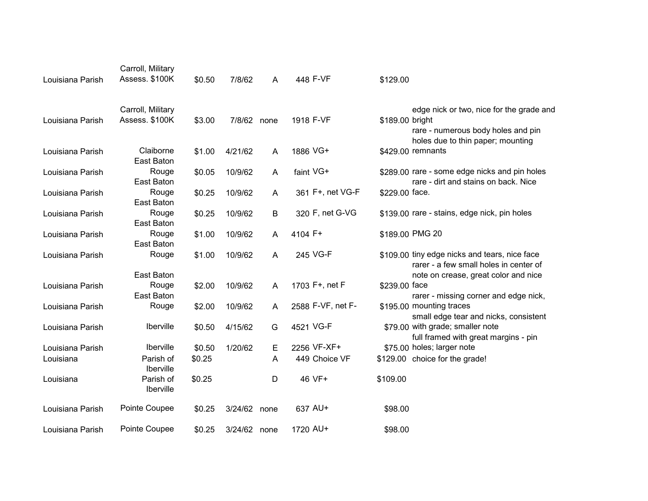| Louisiana Parish | Carroll, Military<br>Assess. \$100K | \$0.50 | 7/8/62       | A    | 448 F-VF          | \$129.00        |                                                                                                            |
|------------------|-------------------------------------|--------|--------------|------|-------------------|-----------------|------------------------------------------------------------------------------------------------------------|
| Louisiana Parish | Carroll, Military<br>Assess. \$100K | \$3.00 | 7/8/62 none  |      | 1918 F-VF         | \$189.00 bright | edge nick or two, nice for the grade and<br>rare - numerous body holes and pin                             |
|                  |                                     |        |              |      |                   |                 | holes due to thin paper; mounting                                                                          |
| Louisiana Parish | Claiborne<br>East Baton             | \$1.00 | 4/21/62      | A    | 1886 VG+          |                 | \$429.00 remnants                                                                                          |
| Louisiana Parish | Rouge<br>East Baton                 | \$0.05 | 10/9/62      | A    | faint VG+         |                 | \$289.00 rare - some edge nicks and pin holes<br>rare - dirt and stains on back. Nice                      |
| Louisiana Parish | Rouge<br>East Baton                 | \$0.25 | 10/9/62      | A    | 361 F+, net VG-F  | \$229.00 face.  |                                                                                                            |
| Louisiana Parish | Rouge                               | \$0.25 | 10/9/62      | В    | 320 F, net G-VG   |                 | \$139.00 rare - stains, edge nick, pin holes                                                               |
| Louisiana Parish | East Baton<br>Rouge                 | \$1.00 | 10/9/62      | A    | 4104 F+           |                 | \$189.00 PMG 20                                                                                            |
| Louisiana Parish | East Baton<br>Rouge                 | \$1.00 | 10/9/62      | A    | 245 VG-F          |                 | \$109.00 tiny edge nicks and tears, nice face<br>rarer - a few small holes in center of                    |
|                  | East Baton                          |        |              |      |                   |                 | note on crease, great color and nice                                                                       |
| Louisiana Parish | Rouge                               | \$2.00 | 10/9/62      | A    | 1703 F+, net F    | \$239.00 face   |                                                                                                            |
| Louisiana Parish | East Baton<br>Rouge                 | \$2.00 | 10/9/62      | A    | 2588 F-VF, net F- |                 | rarer - missing corner and edge nick,<br>\$195.00 mounting traces<br>small edge tear and nicks, consistent |
| Louisiana Parish | Iberville                           | \$0.50 | 4/15/62      | G    | 4521 VG-F         |                 | \$79.00 with grade; smaller note<br>full framed with great margins - pin                                   |
| Louisiana Parish | <b>Iberville</b>                    | \$0.50 | 1/20/62      | Е    | 2256 VF-XF+       |                 | \$75.00 holes; larger note                                                                                 |
| Louisiana        | Parish of<br>Iberville              | \$0.25 |              | A    | 449 Choice VF     |                 | \$129.00 choice for the grade!                                                                             |
| Louisiana        | Parish of<br>Iberville              | \$0.25 |              | D    | 46 VF+            | \$109.00        |                                                                                                            |
| Louisiana Parish | Pointe Coupee                       | \$0.25 | 3/24/62      | none | 637 AU+           | \$98.00         |                                                                                                            |
| Louisiana Parish | Pointe Coupee                       | \$0.25 | 3/24/62 none |      | 1720 AU+          | \$98.00         |                                                                                                            |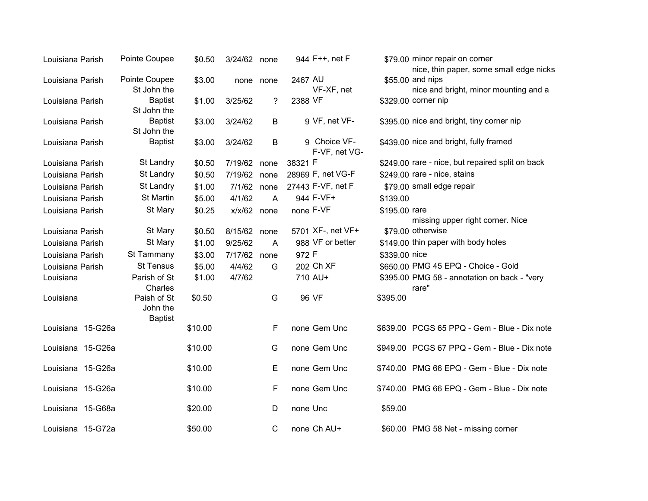| Louisiana Parish  | Pointe Coupee                             | \$0.50  | 3/24/62 none  |              | 944 F++, net F                | \$79.00 minor repair on corner<br>nice, thin paper, some small edge nicks |
|-------------------|-------------------------------------------|---------|---------------|--------------|-------------------------------|---------------------------------------------------------------------------|
| Louisiana Parish  | Pointe Coupee<br>St John the              | \$3.00  |               | none none    | 2467 AU<br>VF-XF, net         | \$55.00 and nips<br>nice and bright, minor mounting and a                 |
| Louisiana Parish  | <b>Baptist</b><br>St John the             | \$1.00  | 3/25/62       | ?            | 2388 VF                       | \$329.00 corner nip                                                       |
| Louisiana Parish  | <b>Baptist</b><br>St John the             | \$3.00  | 3/24/62       | B            | 9 VF, net VF-                 | \$395.00 nice and bright, tiny corner nip                                 |
| Louisiana Parish  | <b>Baptist</b>                            | \$3.00  | 3/24/62       | B            | 9 Choice VF-<br>F-VF, net VG- | \$439.00 nice and bright, fully framed                                    |
| Louisiana Parish  | St Landry                                 | \$0.50  | 7/19/62 none  |              | 38321 F                       | \$249.00 rare - nice, but repaired split on back                          |
| Louisiana Parish  | St Landry                                 | \$0.50  | 7/19/62 none  |              | 28969 F, net VG-F             | \$249.00 rare - nice, stains                                              |
| Louisiana Parish  | St Landry                                 | \$1.00  | 7/1/62 none   |              | 27443 F-VF, net F             | \$79.00 small edge repair                                                 |
| Louisiana Parish  | <b>St Martin</b>                          | \$5.00  | 4/1/62        | A            | 944 F-VF+                     | \$139.00                                                                  |
| Louisiana Parish  | St Mary                                   | \$0.25  | $x/x/62$ none |              | none F-VF                     | \$195.00 rare<br>missing upper right corner. Nice                         |
| Louisiana Parish  | St Mary                                   | \$0.50  | 8/15/62 none  |              | 5701 XF-, net VF+             | \$79.00 otherwise                                                         |
| Louisiana Parish  | St Mary                                   | \$1.00  | 9/25/62       | A            | 988 VF or better              | \$149.00 thin paper with body holes                                       |
| Louisiana Parish  | St Tammany                                | \$3.00  | 7/17/62 none  |              | 972 F                         | \$339,00 nice                                                             |
| Louisiana Parish  | <b>St Tensus</b>                          | \$5.00  | 4/4/62        | G            | 202 Ch XF                     | \$650.00 PMG 45 EPQ - Choice - Gold                                       |
| Louisiana         | Parish of St<br>Charles                   | \$1.00  | 4/7/62        |              | 710 AU+                       | \$395.00 PMG 58 - annotation on back - "very<br>rare"                     |
| Louisiana         | Paish of St<br>John the<br><b>Baptist</b> | \$0.50  |               | G            | 96 VF                         | \$395.00                                                                  |
| Louisiana 15-G26a |                                           | \$10.00 |               | F            | none Gem Unc                  | \$639.00 PCGS 65 PPQ - Gem - Blue - Dix note                              |
| Louisiana 15-G26a |                                           | \$10.00 |               | G            | none Gem Unc                  | \$949.00 PCGS 67 PPQ - Gem - Blue - Dix note                              |
| Louisiana 15-G26a |                                           | \$10.00 |               | E            | none Gem Unc                  | \$740.00 PMG 66 EPQ - Gem - Blue - Dix note                               |
| Louisiana 15-G26a |                                           | \$10.00 |               | F            | none Gem Unc                  | \$740.00 PMG 66 EPQ - Gem - Blue - Dix note                               |
| Louisiana 15-G68a |                                           | \$20.00 |               | D            | none Unc                      | \$59.00                                                                   |
| Louisiana 15-G72a |                                           | \$50.00 |               | $\mathsf{C}$ | none Ch AU+                   | \$60.00 PMG 58 Net - missing corner                                       |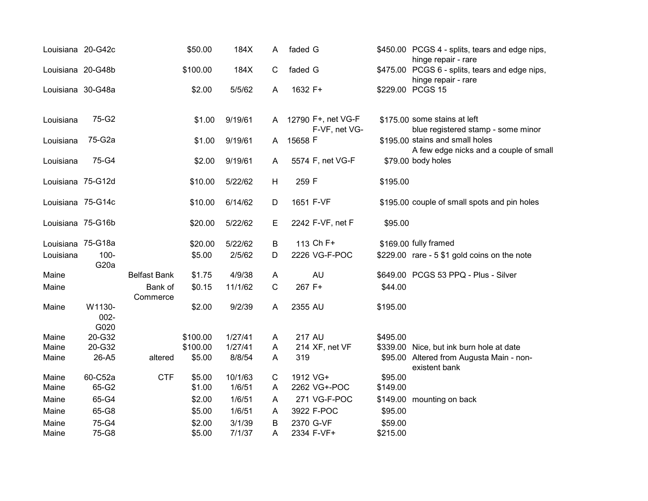| Louisiana 20-G42c |                              |                     | \$50.00          | 184X             | A            | faded G                 |                                     |                     | \$450.00 PCGS 4 - splits, tears and edge nips,<br>hinge repair - rare |
|-------------------|------------------------------|---------------------|------------------|------------------|--------------|-------------------------|-------------------------------------|---------------------|-----------------------------------------------------------------------|
| Louisiana 20-G48b |                              |                     | \$100.00         | 184X             | $\mathsf{C}$ | faded G                 |                                     |                     | \$475.00 PCGS 6 - splits, tears and edge nips,<br>hinge repair - rare |
| Louisiana 30-G48a |                              |                     | \$2.00           | 5/5/62           | A            | 1632 F+                 |                                     |                     | \$229.00 PCGS 15                                                      |
| Louisiana         | 75-G2                        |                     | \$1.00           | 9/19/61          | A            |                         | 12790 F+, net VG-F<br>F-VF, net VG- |                     | \$175.00 some stains at left<br>blue registered stamp - some minor    |
| Louisiana         | 75-G2a                       |                     | \$1.00           | 9/19/61          | A            | 15658 F                 |                                     |                     | \$195.00 stains and small holes                                       |
| Louisiana         | 75-G4                        |                     | \$2.00           | 9/19/61          | A            |                         | 5574 F, net VG-F                    |                     | A few edge nicks and a couple of small<br>\$79.00 body holes          |
| Louisiana 75-G12d |                              |                     | \$10.00          | 5/22/62          | H            | 259 F                   |                                     | \$195.00            |                                                                       |
| Louisiana 75-G14c |                              |                     | \$10.00          | 6/14/62          | D            | 1651 F-VF               |                                     |                     | \$195.00 couple of small spots and pin holes                          |
| Louisiana 75-G16b |                              |                     | \$20.00          | 5/22/62          | Е            |                         | 2242 F-VF, net F                    | \$95.00             |                                                                       |
| Louisiana 75-G18a |                              |                     | \$20.00          | 5/22/62          | B            | 113 Ch F+               |                                     |                     | \$169.00 fully framed                                                 |
| Louisiana         | $100 -$<br>G <sub>20</sub> a |                     | \$5.00           | 2/5/62           | D            |                         | 2226 VG-F-POC                       |                     | \$229.00 rare - 5 \$1 gold coins on the note                          |
| Maine             |                              | <b>Belfast Bank</b> | \$1.75           | 4/9/38           | A            |                         | <b>AU</b>                           |                     | \$649.00 PCGS 53 PPQ - Plus - Silver                                  |
| Maine             |                              | Bank of<br>Commerce | \$0.15           | 11/1/62          | $\mathsf{C}$ | 267 F+                  |                                     | \$44.00             |                                                                       |
| Maine             | W1130-<br>$002 -$<br>G020    |                     | \$2.00           | 9/2/39           | A            | 2355 AU                 |                                     | \$195.00            |                                                                       |
| Maine             | 20-G32                       |                     | \$100.00         | 1/27/41          | A            | <b>217 AU</b>           |                                     | \$495.00            |                                                                       |
| Maine             | 20-G32                       |                     | \$100.00         | 1/27/41          | A            |                         | 214 XF, net VF                      |                     | \$339.00 Nice, but ink burn hole at date                              |
| Maine             | 26-A5                        | altered             | \$5.00           | 8/8/54           | A            | 319                     |                                     |                     | \$95.00 Altered from Augusta Main - non-<br>existent bank             |
| Maine             | 60-C52a                      | <b>CTF</b>          | \$5.00           | 10/1/63          | C            | 1912 VG+                |                                     | \$95.00             |                                                                       |
| Maine             | 65-G2                        |                     | \$1.00           | 1/6/51           | A            |                         | 2262 VG+-POC                        | \$149.00            |                                                                       |
| Maine             | 65-G4                        |                     | \$2.00           | 1/6/51           | A            |                         | 271 VG-F-POC                        | \$149.00            | mounting on back                                                      |
| Maine             | 65-G8                        |                     | \$5.00           | 1/6/51           | A            | 3922 F-POC              |                                     | \$95.00             |                                                                       |
| Maine<br>Maine    | 75-G4<br>75-G8               |                     | \$2.00<br>\$5.00 | 3/1/39<br>7/1/37 | B<br>A       | 2370 G-VF<br>2334 F-VF+ |                                     | \$59.00<br>\$215.00 |                                                                       |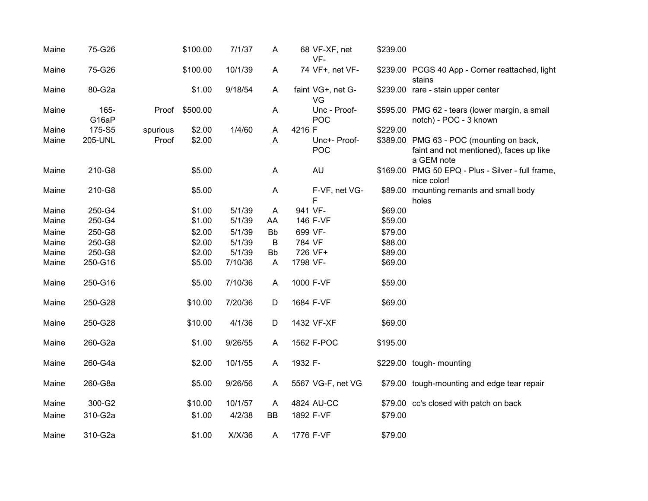| Maine | 75-G26        |          | \$100.00 | 7/1/37  | A         | 68 VF-XF, net<br>VF-    | \$239.00 |                                                                                                   |
|-------|---------------|----------|----------|---------|-----------|-------------------------|----------|---------------------------------------------------------------------------------------------------|
| Maine | 75-G26        |          | \$100.00 | 10/1/39 | A         | 74 VF+, net VF-         |          | \$239.00 PCGS 40 App - Corner reattached, light<br>stains                                         |
| Maine | 80-G2a        |          | \$1.00   | 9/18/54 | A         | faint VG+, net G-<br>VG |          | \$239.00 rare - stain upper center                                                                |
| Maine | 165-<br>G16aP | Proof    | \$500.00 |         | A         | Unc - Proof-<br>POC     |          | \$595.00 PMG 62 - tears (lower margin, a small<br>notch) - POC - 3 known                          |
| Maine | 175-S5        | spurious | \$2.00   | 1/4/60  | A         | 4216 F                  | \$229.00 |                                                                                                   |
| Maine | 205-UNL       | Proof    | \$2.00   |         | A         | Unc+- Proof-<br>POC     |          | \$389.00 PMG 63 - POC (mounting on back,<br>faint and not mentioned), faces up like<br>a GEM note |
| Maine | 210-G8        |          | \$5.00   |         | A         | <b>AU</b>               |          | \$169.00 PMG 50 EPQ - Plus - Silver - full frame,<br>nice color!                                  |
| Maine | 210-G8        |          | \$5.00   |         | A         | F-VF, net VG-<br>F      | \$89.00  | mounting remants and small body<br>holes                                                          |
| Maine | 250-G4        |          | \$1.00   | 5/1/39  | A         | 941 VF-                 | \$69.00  |                                                                                                   |
| Maine | 250-G4        |          | \$1.00   | 5/1/39  | AA        | 146 F-VF                | \$59.00  |                                                                                                   |
| Maine | 250-G8        |          | \$2.00   | 5/1/39  | <b>Bb</b> | 699 VF-                 | \$79.00  |                                                                                                   |
| Maine | 250-G8        |          | \$2.00   | 5/1/39  | B         | 784 VF                  | \$88.00  |                                                                                                   |
| Maine | 250-G8        |          | \$2.00   | 5/1/39  | Bb        | 726 VF+                 | \$89.00  |                                                                                                   |
| Maine | 250-G16       |          | \$5.00   | 7/10/36 | A         | 1798 VF-                | \$69.00  |                                                                                                   |
| Maine | 250-G16       |          | \$5.00   | 7/10/36 | A         | 1000 F-VF               | \$59.00  |                                                                                                   |
| Maine | 250-G28       |          | \$10.00  | 7/20/36 | D         | 1684 F-VF               | \$69.00  |                                                                                                   |
| Maine | 250-G28       |          | \$10.00  | 4/1/36  | D         | 1432 VF-XF              | \$69.00  |                                                                                                   |
| Maine | 260-G2a       |          | \$1.00   | 9/26/55 | A         | 1562 F-POC              | \$195.00 |                                                                                                   |
| Maine | 260-G4a       |          | \$2.00   | 10/1/55 | A         | 1932 F-                 |          | \$229.00 tough- mounting                                                                          |
| Maine | 260-G8a       |          | \$5.00   | 9/26/56 | A         | 5567 VG-F, net VG       |          | \$79.00 tough-mounting and edge tear repair                                                       |
| Maine | 300-G2        |          | \$10.00  | 10/1/57 | A         | 4824 AU-CC              |          | \$79.00 cc's closed with patch on back                                                            |
| Maine | 310-G2a       |          | \$1.00   | 4/2/38  | BB        | 1892 F-VF               | \$79.00  |                                                                                                   |
|       |               |          |          |         |           |                         |          |                                                                                                   |
| Maine | 310-G2a       |          | \$1.00   | X/X/36  | A         | 1776 F-VF               | \$79.00  |                                                                                                   |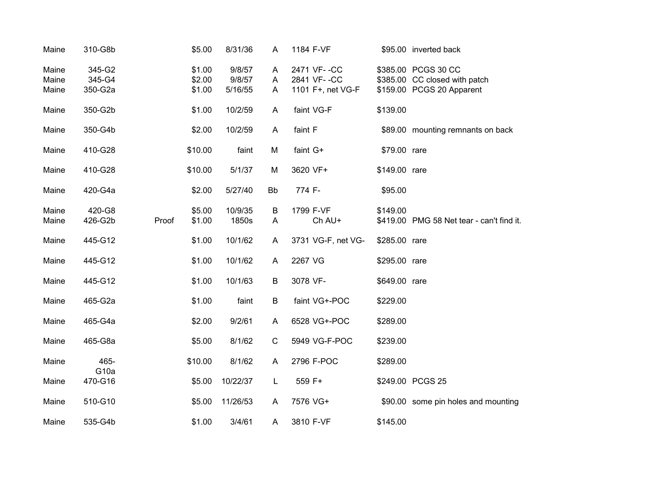| Maine                   | 310-G8b                     | \$5.00                     | 8/31/36                     | A           | 1184 F-VF                                       |               | \$95.00 inverted back                                                             |
|-------------------------|-----------------------------|----------------------------|-----------------------------|-------------|-------------------------------------------------|---------------|-----------------------------------------------------------------------------------|
| Maine<br>Maine<br>Maine | 345-G2<br>345-G4<br>350-G2a | \$1.00<br>\$2.00<br>\$1.00 | 9/8/57<br>9/8/57<br>5/16/55 | A<br>A<br>A | 2471 VF--CC<br>2841 VF--CC<br>1101 F+, net VG-F |               | \$385.00 PCGS 30 CC<br>\$385.00 CC closed with patch<br>\$159.00 PCGS 20 Apparent |
| Maine                   | 350-G2b                     | \$1.00                     | 10/2/59                     | A           | faint VG-F                                      | \$139.00      |                                                                                   |
| Maine                   | 350-G4b                     | \$2.00                     | 10/2/59                     | A           | faint F                                         |               | \$89.00 mounting remnants on back                                                 |
| Maine                   | 410-G28                     | \$10.00                    | faint                       | M           | faint G+                                        | \$79.00 rare  |                                                                                   |
| Maine                   | 410-G28                     | \$10.00                    | 5/1/37                      | M           | 3620 VF+                                        | \$149.00 rare |                                                                                   |
| Maine                   | 420-G4a                     | \$2.00                     | 5/27/40                     | <b>Bb</b>   | 774 F-                                          | \$95.00       |                                                                                   |
| Maine<br>Maine          | 420-G8<br>426-G2b           | \$5.00<br>Proof<br>\$1.00  | 10/9/35<br>1850s            | B<br>A      | 1799 F-VF<br>Ch AU+                             | \$149.00      | \$419.00 PMG 58 Net tear - can't find it.                                         |
| Maine                   | 445-G12                     | \$1.00                     | 10/1/62                     | A           | 3731 VG-F, net VG-                              | \$285.00 rare |                                                                                   |
| Maine                   | 445-G12                     | \$1.00                     | 10/1/62                     | A           | 2267 VG                                         | \$295.00 rare |                                                                                   |
| Maine                   | 445-G12                     | \$1.00                     | 10/1/63                     | B           | 3078 VF-                                        | \$649.00 rare |                                                                                   |
| Maine                   | 465-G2a                     | \$1.00                     | faint                       | B           | faint VG+-POC                                   | \$229.00      |                                                                                   |
| Maine                   | 465-G4a                     | \$2.00                     | 9/2/61                      | A           | 6528 VG+-POC                                    | \$289.00      |                                                                                   |
| Maine                   | 465-G8a                     | \$5.00                     | 8/1/62                      | $\mathsf C$ | 5949 VG-F-POC                                   | \$239.00      |                                                                                   |
| Maine                   | 465-<br>G <sub>10a</sub>    | \$10.00                    | 8/1/62                      | A           | 2796 F-POC                                      | \$289.00      |                                                                                   |
| Maine                   | 470-G16                     | \$5.00                     | 10/22/37                    | L           | 559 F+                                          |               | \$249.00 PCGS 25                                                                  |
| Maine                   | 510-G10                     | \$5.00                     | 11/26/53                    | A           | 7576 VG+                                        |               | \$90.00 some pin holes and mounting                                               |
| Maine                   | 535-G4b                     | \$1.00                     | 3/4/61                      | A           | 3810 F-VF                                       | \$145.00      |                                                                                   |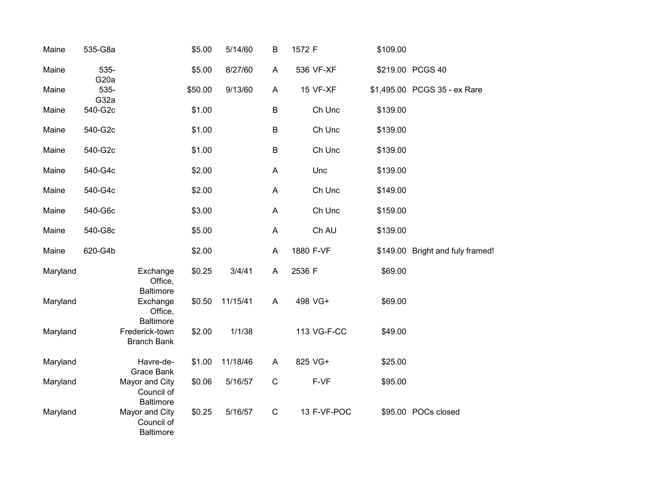| Maine    | 535-G8a                   |                                                  | \$5.00  | 5/14/60  | B           | 1572 F      | \$109.00 |                                  |
|----------|---------------------------|--------------------------------------------------|---------|----------|-------------|-------------|----------|----------------------------------|
| Maine    | 535-<br>G <sub>20</sub> a |                                                  | \$5.00  | 8/27/60  | A           | 536 VF-XF   |          | \$219.00 PCGS 40                 |
| Maine    | 535-<br>G32a              |                                                  | \$50.00 | 9/13/60  | A           | 15 VF-XF    |          | \$1,495.00 PCGS 35 - ex Rare     |
| Maine    | 540-G2c                   |                                                  | \$1.00  |          | B           | Ch Unc      | \$139.00 |                                  |
| Maine    | 540-G2c                   |                                                  | \$1.00  |          | $\sf B$     | Ch Unc      | \$139.00 |                                  |
| Maine    | 540-G2c                   |                                                  | \$1.00  |          | $\sf B$     | Ch Unc      | \$139.00 |                                  |
| Maine    | 540-G4c                   |                                                  | \$2.00  |          | A           | Unc         | \$139.00 |                                  |
| Maine    | 540-G4c                   |                                                  | \$2.00  |          | A           | Ch Unc      | \$149.00 |                                  |
| Maine    | 540-G6c                   |                                                  | \$3.00  |          | A           | Ch Unc      | \$159.00 |                                  |
| Maine    | 540-G8c                   |                                                  | \$5.00  |          | A           | Ch AU       | \$139.00 |                                  |
| Maine    | 620-G4b                   |                                                  | \$2.00  |          | A           | 1880 F-VF   |          | \$149.00 Bright and fuly framed! |
| Maryland |                           | Exchange<br>Office,<br><b>Baltimore</b>          | \$0.25  | 3/4/41   | A           | 2536 F      | \$69.00  |                                  |
| Maryland |                           | Exchange<br>Office,<br><b>Baltimore</b>          | \$0.50  | 11/15/41 | A           | 498 VG+     | \$69.00  |                                  |
| Maryland |                           | Frederick-town<br><b>Branch Bank</b>             | \$2.00  | 1/1/38   |             | 113 VG-F-CC | \$49.00  |                                  |
| Maryland |                           | Havre-de-<br>Grace Bank                          | \$1.00  | 11/18/46 | A           | 825 VG+     | \$25.00  |                                  |
| Maryland |                           | Mayor and City<br>Council of<br><b>Baltimore</b> | \$0.06  | 5/16/57  | $\mathsf C$ | F-VF        | \$95.00  |                                  |
| Maryland |                           | Mayor and City<br>Council of<br>Baltimore        | \$0.25  | 5/16/57  | $\mathbf C$ | 13 F-VF-POC |          | \$95.00 POCs closed              |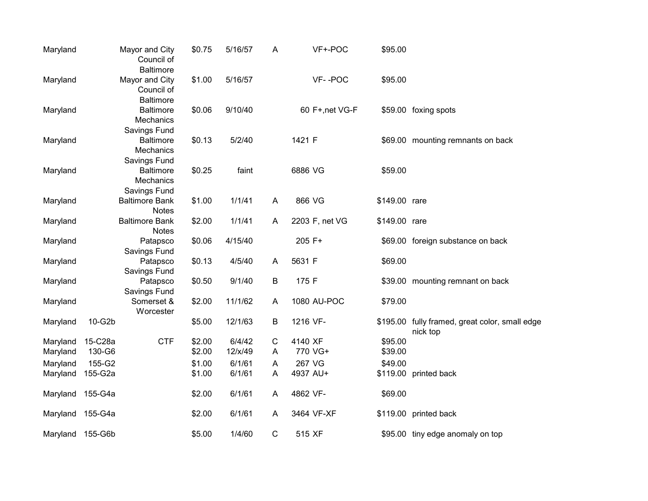| Maryland         |         | Mayor and City<br>Council of<br><b>Baltimore</b> | \$0.75 | 5/16/57 | A           | VF+-POC         | \$95.00       |                                                            |
|------------------|---------|--------------------------------------------------|--------|---------|-------------|-----------------|---------------|------------------------------------------------------------|
| Maryland         |         | Mayor and City<br>Council of<br><b>Baltimore</b> | \$1.00 | 5/16/57 |             | VF--POC         | \$95.00       |                                                            |
| Maryland         |         | <b>Baltimore</b><br>Mechanics<br>Savings Fund    | \$0.06 | 9/10/40 |             | 60 F+, net VG-F |               | \$59.00 foxing spots                                       |
| Maryland         |         | <b>Baltimore</b><br>Mechanics<br>Savings Fund    | \$0.13 | 5/2/40  |             | 1421 F          |               | \$69.00 mounting remnants on back                          |
| Maryland         |         | <b>Baltimore</b><br>Mechanics<br>Savings Fund    | \$0.25 | faint   |             | 6886 VG         | \$59.00       |                                                            |
| Maryland         |         | <b>Baltimore Bank</b><br><b>Notes</b>            | \$1.00 | 1/1/41  | A           | 866 VG          | \$149.00 rare |                                                            |
| Maryland         |         | <b>Baltimore Bank</b><br><b>Notes</b>            | \$2.00 | 1/1/41  | A           | 2203 F, net VG  | \$149.00 rare |                                                            |
| Maryland         |         | Patapsco<br>Savings Fund                         | \$0.06 | 4/15/40 |             | 205 F+          |               | \$69.00 foreign substance on back                          |
| Maryland         |         | Patapsco<br>Savings Fund                         | \$0.13 | 4/5/40  | A           | 5631 F          | \$69.00       |                                                            |
| Maryland         |         | Patapsco<br>Savings Fund                         | \$0.50 | 9/1/40  | $\sf B$     | 175 F           |               | \$39.00 mounting remnant on back                           |
| Maryland         |         | Somerset &<br>Worcester                          | \$2.00 | 11/1/62 | A           | 1080 AU-POC     | \$79.00       |                                                            |
| Maryland         | 10-G2b  |                                                  | \$5.00 | 12/1/63 | B           | 1216 VF-        |               | \$195.00 fully framed, great color, small edge<br>nick top |
| Maryland         | 15-C28a | <b>CTF</b>                                       | \$2.00 | 6/4/42  | $\mathsf C$ | 4140 XF         | \$95.00       |                                                            |
| Maryland         | 130-G6  |                                                  | \$2.00 | 12/x/49 | A           | 770 VG+         | \$39.00       |                                                            |
| Maryland         | 155-G2  |                                                  | \$1.00 | 6/1/61  | A           | 267 VG          | \$49.00       |                                                            |
| Maryland         | 155-G2a |                                                  | \$1.00 | 6/1/61  | A           | 4937 AU+        |               | \$119.00 printed back                                      |
| Maryland         | 155-G4a |                                                  | \$2.00 | 6/1/61  | A           | 4862 VF-        | \$69.00       |                                                            |
| Maryland         | 155-G4a |                                                  | \$2.00 | 6/1/61  | A           | 3464 VF-XF      |               | \$119.00 printed back                                      |
| Maryland 155-G6b |         |                                                  | \$5.00 | 1/4/60  | $\mathsf C$ | 515 XF          |               | \$95.00 tiny edge anomaly on top                           |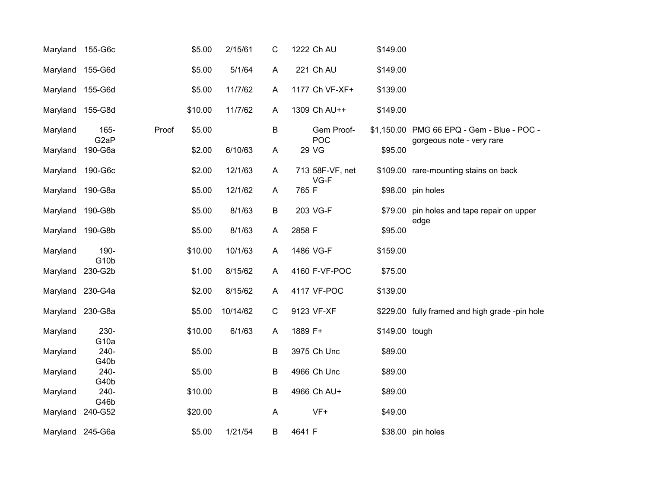| Maryland 155-G6c |                              |       | \$5.00  | 2/15/61  | $\mathsf{C}$ | 1222 Ch AU              | \$149.00       |                                                |
|------------------|------------------------------|-------|---------|----------|--------------|-------------------------|----------------|------------------------------------------------|
| Maryland 155-G6d |                              |       | \$5.00  | 5/1/64   | A            | 221 Ch AU               | \$149.00       |                                                |
| Maryland 155-G6d |                              |       | \$5.00  | 11/7/62  | A            | 1177 Ch VF-XF+          | \$139.00       |                                                |
| Maryland 155-G8d |                              |       | \$10.00 | 11/7/62  | A            | 1309 Ch AU++            | \$149.00       |                                                |
| Maryland         | 165-                         | Proof | \$5.00  |          | B            | Gem Proof-              |                | \$1,150.00 PMG 66 EPQ - Gem - Blue - POC -     |
| Maryland         | G <sub>2</sub> aP<br>190-G6a |       | \$2.00  | 6/10/63  | A            | POC<br>29 VG            | \$95.00        | gorgeous note - very rare                      |
| Maryland         | 190-G6c                      |       | \$2.00  | 12/1/63  | A            | 713 58F-VF, net<br>VG-F |                | \$109.00 rare-mounting stains on back          |
| Maryland 190-G8a |                              |       | \$5.00  | 12/1/62  | A            | 765 F                   |                | \$98.00 pin holes                              |
| Maryland 190-G8b |                              |       | \$5.00  | 8/1/63   | B            | 203 VG-F                |                | \$79.00 pin holes and tape repair on upper     |
| Maryland 190-G8b |                              |       | \$5.00  | 8/1/63   | A            | 2858 F                  | \$95.00        | edge                                           |
| Maryland         | 190-                         |       | \$10.00 | 10/1/63  | A            | 1486 VG-F               | \$159.00       |                                                |
| Maryland         | G <sub>10</sub> b<br>230-G2b |       | \$1.00  | 8/15/62  | A            | 4160 F-VF-POC           | \$75.00        |                                                |
| Maryland 230-G4a |                              |       | \$2.00  | 8/15/62  | A            | 4117 VF-POC             | \$139.00       |                                                |
| Maryland 230-G8a |                              |       | \$5.00  | 10/14/62 | $\mathbf C$  | 9123 VF-XF              |                | \$229.00 fully framed and high grade -pin hole |
| Maryland         | 230-                         |       | \$10.00 | 6/1/63   | A            | 1889 F+                 | \$149.00 tough |                                                |
| Maryland         | G <sub>10a</sub><br>240-     |       | \$5.00  |          | B            | 3975 Ch Unc             | \$89.00        |                                                |
| Maryland         | G40b<br>240-<br>G40b         |       | \$5.00  |          | B            | 4966 Ch Unc             | \$89.00        |                                                |
| Maryland         | 240-<br>G46b                 |       | \$10.00 |          | B            | 4966 Ch AU+             | \$89.00        |                                                |
| Maryland         | 240-G52                      |       | \$20.00 |          | $\mathsf{A}$ | $VF+$                   | \$49.00        |                                                |
| Maryland 245-G6a |                              |       | \$5.00  | 1/21/54  | B            | 4641 F                  |                | \$38.00 pin holes                              |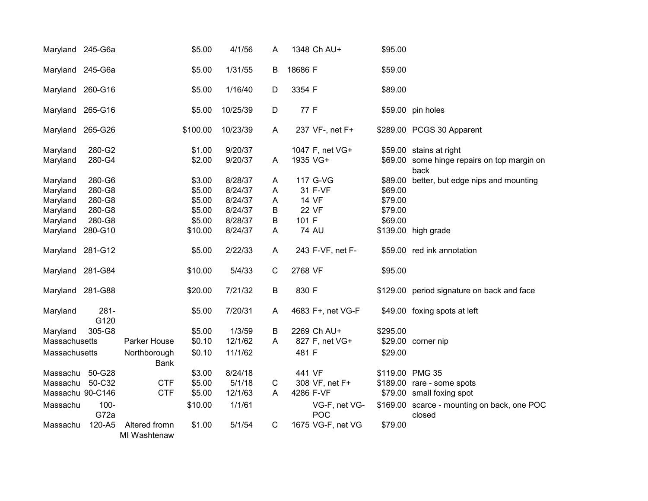| Maryland 245-G6a |                 |                               | \$5.00   | 4/1/56   | A            | 1348 Ch AU+                 | \$95.00  |                                                       |
|------------------|-----------------|-------------------------------|----------|----------|--------------|-----------------------------|----------|-------------------------------------------------------|
| Maryland 245-G6a |                 |                               | \$5.00   | 1/31/55  | B            | 18686 F                     | \$59.00  |                                                       |
| Maryland 260-G16 |                 |                               | \$5.00   | 1/16/40  | D            | 3354 F                      | \$89.00  |                                                       |
| Maryland 265-G16 |                 |                               | \$5.00   | 10/25/39 | D            | 77 F                        |          | \$59.00 pin holes                                     |
| Maryland 265-G26 |                 |                               | \$100.00 | 10/23/39 | $\mathsf{A}$ | 237 VF-, net F+             |          | \$289.00 PCGS 30 Apparent                             |
| Maryland         | 280-G2          |                               | \$1.00   | 9/20/37  |              | 1047 F, net VG+             |          | \$59.00 stains at right                               |
| Maryland         | 280-G4          |                               | \$2.00   | 9/20/37  | A            | 1935 VG+                    | \$69.00  | some hinge repairs on top margin on<br>back           |
| Maryland         | 280-G6          |                               | \$3.00   | 8/28/37  | A            | 117 G-VG                    | \$89.00  | better, but edge nips and mounting                    |
| Maryland         | 280-G8          |                               | \$5.00   | 8/24/37  | Α            | 31 F-VF                     | \$69.00  |                                                       |
| Maryland         | 280-G8          |                               | \$5.00   | 8/24/37  | A            | <b>14 VF</b>                | \$79.00  |                                                       |
| Maryland         | 280-G8          |                               | \$5.00   | 8/24/37  | B            | <b>22 VF</b>                | \$79.00  |                                                       |
| Maryland         | 280-G8          |                               | \$5.00   | 8/28/37  | B            | 101 F                       | \$69.00  |                                                       |
| Maryland         | 280-G10         |                               | \$10.00  | 8/24/37  | A            | <b>74 AU</b>                |          | \$139.00 high grade                                   |
| Maryland 281-G12 |                 |                               | \$5.00   | 2/22/33  | $\mathsf{A}$ | 243 F-VF, net F-            |          | \$59.00 red ink annotation                            |
| Maryland 281-G84 |                 |                               | \$10.00  | 5/4/33   | $\mathsf C$  | 2768 VF                     | \$95.00  |                                                       |
| Maryland 281-G88 |                 |                               | \$20.00  | 7/21/32  | $\sf B$      | 830 F                       |          | \$129.00 period signature on back and face            |
| Maryland         | $281 -$<br>G120 |                               | \$5.00   | 7/20/31  | $\mathsf{A}$ | 4683 F+, net VG-F           |          | \$49.00 foxing spots at left                          |
| Maryland         | 305-G8          |                               | \$5.00   | 1/3/59   | B            | 2269 Ch AU+                 | \$295.00 |                                                       |
| Massachusetts    |                 | Parker House                  | \$0.10   | 12/1/62  | A            | 827 F, net VG+              | \$29.00  | corner nip                                            |
| Massachusetts    |                 | Northborough<br><b>Bank</b>   | \$0.10   | 11/1/62  |              | 481 F                       | \$29.00  |                                                       |
| Massachu         | 50-G28          |                               | \$3.00   | 8/24/18  |              | 441 VF                      |          | \$119.00 PMG 35                                       |
| Massachu         | 50-C32          | <b>CTF</b>                    | \$5.00   | 5/1/18   | C            | 308 VF, net F+              |          | \$189.00 rare - some spots                            |
| Massachu 90-C146 |                 | <b>CTF</b>                    | \$5.00   | 12/1/63  | A            | 4286 F-VF                   |          | \$79.00 small foxing spot                             |
| Massachu         | $100 -$<br>G72a |                               | \$10.00  | 1/1/61   |              | VG-F, net VG-<br><b>POC</b> |          | \$169.00 scarce - mounting on back, one POC<br>closed |
| Massachu         | 120-A5          | Altered fromn<br>MI Washtenaw | \$1.00   | 5/1/54   | $\mathsf{C}$ | 1675 VG-F, net VG           | \$79.00  |                                                       |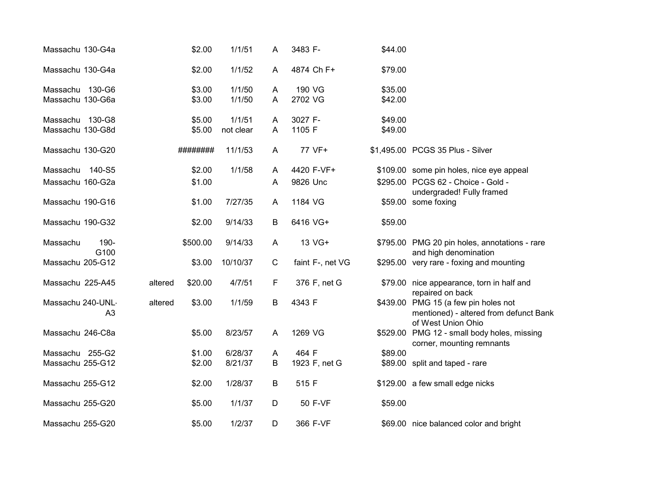| Massachu 130-G4a  |                |         | \$2.00   | 1/1/51    | A            | 3483 F-          | \$44.00 |                                                                                                      |
|-------------------|----------------|---------|----------|-----------|--------------|------------------|---------|------------------------------------------------------------------------------------------------------|
| Massachu 130-G4a  |                |         | \$2.00   | 1/1/52    | A            | 4874 Ch F+       | \$79.00 |                                                                                                      |
| Massachu 130-G6   |                |         | \$3.00   | 1/1/50    | A            | 190 VG           | \$35.00 |                                                                                                      |
| Massachu 130-G6a  |                |         | \$3.00   | 1/1/50    | A            | 2702 VG          | \$42.00 |                                                                                                      |
| Massachu 130-G8   |                |         | \$5.00   | 1/1/51    | A            | 3027 F-          | \$49.00 |                                                                                                      |
| Massachu 130-G8d  |                |         | \$5.00   | not clear | A            | 1105 F           | \$49.00 |                                                                                                      |
| Massachu 130-G20  |                |         | ######## | 11/1/53   | A            | 77 VF+           |         | \$1,495.00 PCGS 35 Plus - Silver                                                                     |
| Massachu          | 140-S5         |         | \$2.00   | 1/1/58    | A            | 4420 F-VF+       |         | \$109.00 some pin holes, nice eye appeal                                                             |
| Massachu 160-G2a  |                |         | \$1.00   |           | A            | 9826 Unc         |         | \$295.00 PCGS 62 - Choice - Gold -                                                                   |
| Massachu 190-G16  |                |         | \$1.00   | 7/27/35   | A            | 1184 VG          |         | undergraded! Fully framed<br>\$59.00 some foxing                                                     |
| Massachu 190-G32  |                |         | \$2.00   | 9/14/33   | B            | 6416 VG+         | \$59.00 |                                                                                                      |
| Massachu          | 190-<br>G100   |         | \$500.00 | 9/14/33   | A            | 13 VG+           |         | \$795.00 PMG 20 pin holes, annotations - rare<br>and high denomination                               |
| Massachu 205-G12  |                |         | \$3.00   | 10/10/37  | $\mathsf{C}$ | faint F-, net VG |         | \$295.00 very rare - foxing and mounting                                                             |
| Massachu 225-A45  |                | altered | \$20.00  | 4/7/51    | F.           | 376 F, net G     |         | \$79.00 nice appearance, torn in half and<br>repaired on back                                        |
| Massachu 240-UNL- | A <sub>3</sub> | altered | \$3.00   | 1/1/59    | B            | 4343 F           |         | \$439.00 PMG 15 (a few pin holes not<br>mentioned) - altered from defunct Bank<br>of West Union Ohio |
| Massachu 246-C8a  |                |         | \$5.00   | 8/23/57   | A            | 1269 VG          |         | \$529.00 PMG 12 - small body holes, missing<br>corner, mounting remnants                             |
| Massachu 255-G2   |                |         | \$1.00   | 6/28/37   | A            | 464 F            | \$89.00 |                                                                                                      |
| Massachu 255-G12  |                |         | \$2.00   | 8/21/37   | B            | 1923 F, net G    |         | \$89.00 split and taped - rare                                                                       |
| Massachu 255-G12  |                |         | \$2.00   | 1/28/37   | B            | 515 F            |         | \$129.00 a few small edge nicks                                                                      |
| Massachu 255-G20  |                |         | \$5.00   | 1/1/37    | D            | 50 F-VF          | \$59.00 |                                                                                                      |
| Massachu 255-G20  |                |         | \$5.00   | 1/2/37    | D            | 366 F-VF         |         | \$69.00 nice balanced color and bright                                                               |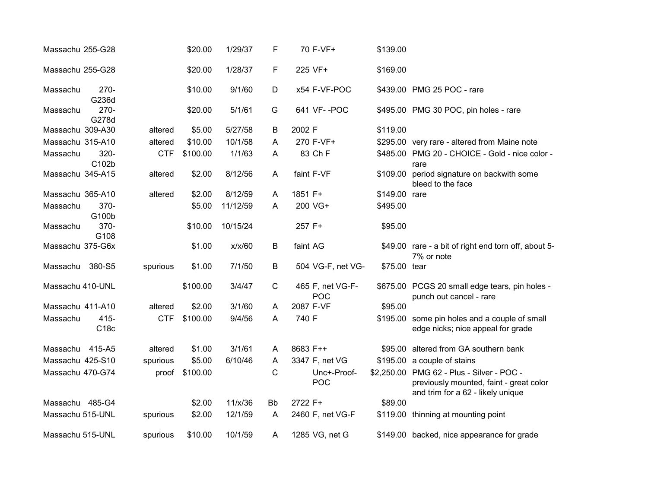| Massachu 255-G28 |                  |            | \$20.00  | 1/29/37  | F           | 70 F-VF+                | \$139.00      |                                                                                                                           |
|------------------|------------------|------------|----------|----------|-------------|-------------------------|---------------|---------------------------------------------------------------------------------------------------------------------------|
| Massachu 255-G28 |                  |            | \$20.00  | 1/28/37  | F           | 225 VF+                 | \$169.00      |                                                                                                                           |
| Massachu         | $270 -$<br>G236d |            | \$10.00  | 9/1/60   | D           | x54 F-VF-POC            |               | \$439.00 PMG 25 POC - rare                                                                                                |
| Massachu         | $270 -$<br>G278d |            | \$20.00  | 5/1/61   | G           | 641 VF--POC             |               | \$495.00 PMG 30 POC, pin holes - rare                                                                                     |
| Massachu 309-A30 |                  | altered    | \$5.00   | 5/27/58  | В           | 2002 F                  | \$119.00      |                                                                                                                           |
| Massachu 315-A10 |                  | altered    | \$10.00  | 10/1/58  | A           | 270 F-VF+               |               | \$295.00 very rare - altered from Maine note                                                                              |
| Massachu         | 320-<br>C102b    | <b>CTF</b> | \$100.00 | 1/1/63   | A           | 83 Ch F                 |               | \$485.00 PMG 20 - CHOICE - Gold - nice color -<br>rare                                                                    |
| Massachu 345-A15 |                  | altered    | \$2.00   | 8/12/56  | A           | faint F-VF              | \$109.00      | period signature on backwith some<br>bleed to the face                                                                    |
| Massachu 365-A10 |                  | altered    | \$2.00   | 8/12/59  | A           | 1851 F+                 | \$149.00 rare |                                                                                                                           |
| Massachu         | 370-<br>G100b    |            | \$5.00   | 11/12/59 | A           | 200 VG+                 | \$495.00      |                                                                                                                           |
| Massachu         | 370-<br>G108     |            | \$10.00  | 10/15/24 |             | 257 F+                  | \$95.00       |                                                                                                                           |
| Massachu 375-G6x |                  |            | \$1.00   | x/x/60   | B           | faint AG                |               | \$49.00 rare - a bit of right end torn off, about 5-<br>7% or note                                                        |
| Massachu         | 380-S5           | spurious   | \$1.00   | 7/1/50   | B           | 504 VG-F, net VG-       | \$75.00 tear  |                                                                                                                           |
| Massachu 410-UNL |                  |            | \$100.00 | 3/4/47   | $\mathsf C$ | 465 F, net VG-F-<br>POC |               | \$675.00 PCGS 20 small edge tears, pin holes -<br>punch out cancel - rare                                                 |
| Massachu 411-A10 |                  | altered    | \$2.00   | 3/1/60   | A           | 2087 F-VF               | \$95.00       |                                                                                                                           |
| Massachu         | $415 -$<br>C18c  | <b>CTF</b> | \$100.00 | 9/4/56   | A           | 740 F                   |               | \$195.00 some pin holes and a couple of small<br>edge nicks; nice appeal for grade                                        |
| Massachu 415-A5  |                  | altered    | \$1.00   | 3/1/61   | A           | 8683 F++                |               | \$95.00 altered from GA southern bank                                                                                     |
| Massachu 425-S10 |                  | spurious   | \$5.00   | 6/10/46  | A           | 3347 F, net VG          |               | \$195.00 a couple of stains                                                                                               |
| Massachu 470-G74 |                  | proof      | \$100.00 |          | С           | Unc+-Proof-<br>POC      |               | \$2,250.00 PMG 62 - Plus - Silver - POC -<br>previously mounted, faint - great color<br>and trim for a 62 - likely unique |
| Massachu 485-G4  |                  |            | \$2.00   | 11/x/36  | <b>Bb</b>   | 2722 F+                 | \$89.00       |                                                                                                                           |
| Massachu 515-UNL |                  | spurious   | \$2.00   | 12/1/59  | A           | 2460 F, net VG-F        |               | \$119.00 thinning at mounting point                                                                                       |
| Massachu 515-UNL |                  | spurious   | \$10.00  | 10/1/59  | A           | 1285 VG, net G          |               | \$149.00 backed, nice appearance for grade                                                                                |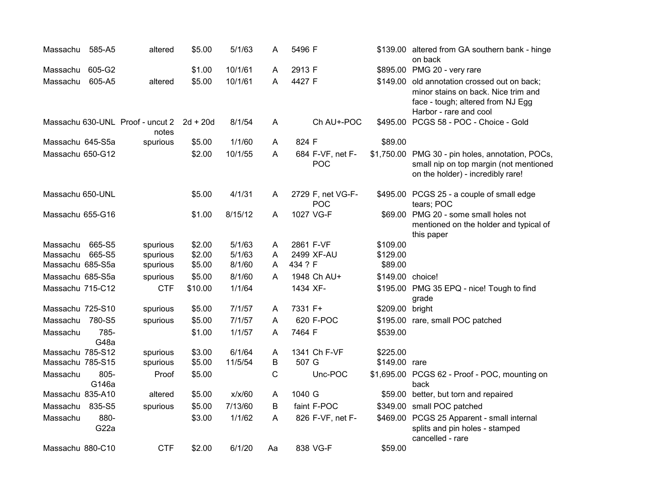| Massachu         | 585-A5                    | altered                                   | \$5.00     | 5/1/63  | A  | 5496 F                          |                  | \$139.00 altered from GA southern bank - hinge<br>on back                                                                                          |
|------------------|---------------------------|-------------------------------------------|------------|---------|----|---------------------------------|------------------|----------------------------------------------------------------------------------------------------------------------------------------------------|
| Massachu         | 605-G2                    |                                           | \$1.00     | 10/1/61 | A  | 2913 F                          |                  | \$895.00 PMG 20 - very rare                                                                                                                        |
| Massachu         | 605-A5                    | altered                                   | \$5.00     | 10/1/61 | Α  | 4427 F                          |                  | \$149.00 old annotation crossed out on back;<br>minor stains on back. Nice trim and<br>face - tough; altered from NJ Egg<br>Harbor - rare and cool |
|                  |                           | Massachu 630-UNL Proof - uncut 2<br>notes | $2d + 20d$ | 8/1/54  | A  | Ch AU+-POC                      |                  | \$495.00 PCGS 58 - POC - Choice - Gold                                                                                                             |
| Massachu 645-S5a |                           | spurious                                  | \$5.00     | 1/1/60  | A  | 824 F                           | \$89.00          |                                                                                                                                                    |
| Massachu 650-G12 |                           |                                           | \$2.00     | 10/1/55 | A  | 684 F-VF, net F-<br>POC         |                  | \$1,750.00 PMG 30 - pin holes, annotation, POCs,<br>small nip on top margin (not mentioned<br>on the holder) - incredibly rare!                    |
| Massachu 650-UNL |                           |                                           | \$5.00     | 4/1/31  | A  | 2729 F, net VG-F-<br><b>POC</b> |                  | \$495.00 PCGS 25 - a couple of small edge<br>tears; POC                                                                                            |
| Massachu 655-G16 |                           |                                           | \$1.00     | 8/15/12 | A  | 1027 VG-F                       |                  | \$69.00 PMG 20 - some small holes not<br>mentioned on the holder and typical of<br>this paper                                                      |
| Massachu         | 665-S5                    | spurious                                  | \$2.00     | 5/1/63  | A  | 2861 F-VF                       | \$109.00         |                                                                                                                                                    |
| Massachu         | 665-S5                    | spurious                                  | \$2.00     | 5/1/63  | A  | 2499 XF-AU                      | \$129.00         |                                                                                                                                                    |
| Massachu 685-S5a |                           | spurious                                  | \$5.00     | 8/1/60  | A  | 434 ? F                         | \$89.00          |                                                                                                                                                    |
| Massachu 685-S5a |                           | spurious                                  | \$5.00     | 8/1/60  | A  | 1948 Ch AU+                     | \$149.00 choice! |                                                                                                                                                    |
| Massachu 715-C12 |                           | <b>CTF</b>                                | \$10.00    | 1/1/64  |    | 1434 XF-                        |                  | \$195.00 PMG 35 EPQ - nice! Tough to find<br>grade                                                                                                 |
| Massachu 725-S10 |                           | spurious                                  | \$5.00     | 7/1/57  | A  | 7331 F+                         | \$209.00 bright  |                                                                                                                                                    |
| Massachu         | 780-S5                    | spurious                                  | \$5.00     | 7/1/57  | A  | 620 F-POC                       |                  | \$195.00 rare, small POC patched                                                                                                                   |
| Massachu         | 785-<br>G48a              |                                           | \$1.00     | 1/1/57  | A  | 7464 F                          | \$539.00         |                                                                                                                                                    |
| Massachu 785-S12 |                           | spurious                                  | \$3.00     | 6/1/64  | A  | 1341 Ch F-VF                    | \$225.00         |                                                                                                                                                    |
| Massachu 785-S15 |                           | spurious                                  | \$5.00     | 11/5/54 | B  | 507 G                           | \$149.00 rare    |                                                                                                                                                    |
| Massachu         | 805-<br>G146a             | Proof                                     | \$5.00     |         | C  | Unc-POC                         |                  | \$1,695.00 PCGS 62 - Proof - POC, mounting on<br>back                                                                                              |
| Massachu 835-A10 |                           | altered                                   | \$5.00     | x/x/60  | A  | 1040 G                          | \$59.00          | better, but torn and repaired                                                                                                                      |
| Massachu         | 835-S5                    | spurious                                  | \$5.00     | 7/13/60 | B  | faint F-POC                     |                  | \$349.00 small POC patched                                                                                                                         |
| Massachu         | 880-<br>G <sub>22</sub> a |                                           | \$3.00     | 1/1/62  | A  | 826 F-VF, net F-                |                  | \$469.00 PCGS 25 Apparent - small internal<br>splits and pin holes - stamped<br>cancelled - rare                                                   |
| Massachu 880-C10 |                           | <b>CTF</b>                                | \$2.00     | 6/1/20  | Aa | 838 VG-F                        | \$59.00          |                                                                                                                                                    |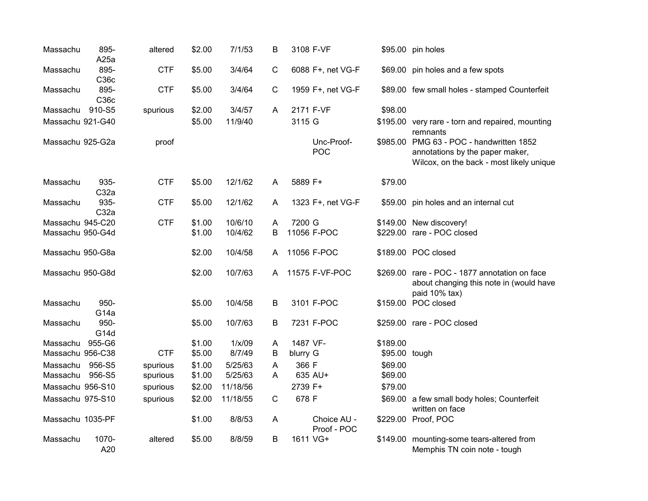| Massachu         | 895-<br>A25a             | altered    | \$2.00 | 7/1/53   | В                       | 3108 F-VF   |                            |               | \$95.00 pin holes                                                                                                       |
|------------------|--------------------------|------------|--------|----------|-------------------------|-------------|----------------------------|---------------|-------------------------------------------------------------------------------------------------------------------------|
| Massachu         | 895-<br>C36c             | <b>CTF</b> | \$5.00 | 3/4/64   | C                       |             | 6088 F+, net VG-F          |               | \$69.00 pin holes and a few spots                                                                                       |
| Massachu         | 895-<br>C36c             | <b>CTF</b> | \$5.00 | 3/4/64   | $\mathbf C$             |             | 1959 F+, net VG-F          |               | \$89.00 few small holes - stamped Counterfeit                                                                           |
| Massachu         | 910-S5                   | spurious   | \$2.00 | 3/4/57   | A                       | 2171 F-VF   |                            | \$98.00       |                                                                                                                         |
| Massachu 921-G40 |                          |            | \$5.00 | 11/9/40  |                         | 3115 G      |                            |               | \$195.00 very rare - torn and repaired, mounting<br>remnants                                                            |
| Massachu 925-G2a |                          | proof      |        |          |                         |             | Unc-Proof-<br>POC          |               | \$985.00 PMG 63 - POC - handwritten 1852<br>annotations by the paper maker,<br>Wilcox, on the back - most likely unique |
| Massachu         | 935-<br>C32a             | <b>CTF</b> | \$5.00 | 12/1/62  | A                       | 5889 F+     |                            | \$79.00       |                                                                                                                         |
| Massachu         | 935-<br>C32a             | <b>CTF</b> | \$5.00 | 12/1/62  | A                       |             | 1323 F+, net VG-F          |               | \$59.00 pin holes and an internal cut                                                                                   |
| Massachu 945-C20 |                          | <b>CTF</b> | \$1.00 | 10/6/10  | A                       | 7200 G      |                            |               | \$149.00 New discovery!                                                                                                 |
| Massachu 950-G4d |                          |            | \$1.00 | 10/4/62  | В                       | 11056 F-POC |                            |               | \$229.00 rare - POC closed                                                                                              |
| Massachu 950-G8a |                          |            | \$2.00 | 10/4/58  | A                       | 11056 F-POC |                            |               | \$189.00 POC closed                                                                                                     |
| Massachu 950-G8d |                          |            | \$2.00 | 10/7/63  | A                       |             | 11575 F-VF-POC             |               | \$269.00 rare - POC - 1877 annotation on face<br>about changing this note in (would have<br>paid 10% tax)               |
| Massachu         | 950-<br>G <sub>14a</sub> |            | \$5.00 | 10/4/58  | B                       |             | 3101 F-POC                 |               | \$159.00 POC closed                                                                                                     |
| Massachu         | 950-<br>G14d             |            | \$5.00 | 10/7/63  | B                       |             | 7231 F-POC                 |               | \$259.00 rare - POC closed                                                                                              |
| Massachu         | 955-G6                   |            | \$1.00 | 1/x/09   | A                       | 1487 VF-    |                            | \$189.00      |                                                                                                                         |
| Massachu 956-C38 |                          | <b>CTF</b> | \$5.00 | 8/7/49   | B                       | blurry G    |                            | \$95.00 tough |                                                                                                                         |
| Massachu         | 956-S5                   | spurious   | \$1.00 | 5/25/63  | $\overline{\mathsf{A}}$ | 366 F       |                            | \$69.00       |                                                                                                                         |
| Massachu         | 956-S5                   | spurious   | \$1.00 | 5/25/63  | A                       | 635 AU+     |                            | \$69.00       |                                                                                                                         |
| Massachu 956-S10 |                          | spurious   | \$2.00 | 11/18/56 |                         | 2739 F+     |                            | \$79.00       |                                                                                                                         |
| Massachu 975-S10 |                          | spurious   | \$2.00 | 11/18/55 | $\mathsf{C}$            | 678 F       |                            |               | \$69.00 a few small body holes; Counterfeit<br>written on face                                                          |
| Massachu 1035-PF |                          |            | \$1.00 | 8/8/53   | A                       |             | Choice AU -<br>Proof - POC |               | \$229.00 Proof, POC                                                                                                     |
| Massachu         | 1070-<br>A20             | altered    | \$5.00 | 8/8/59   | В                       | 1611 VG+    |                            |               | \$149.00 mounting-some tears-altered from<br>Memphis TN coin note - tough                                               |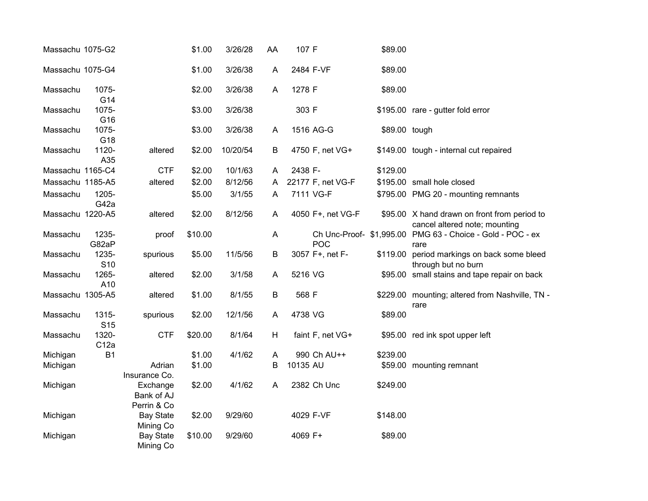| Massachu 1075-G2 |                          |                                       | \$1.00  | 3/26/28  | AA | 107 F     |                   | \$89.00       |                                                                               |
|------------------|--------------------------|---------------------------------------|---------|----------|----|-----------|-------------------|---------------|-------------------------------------------------------------------------------|
| Massachu 1075-G4 |                          |                                       | \$1.00  | 3/26/38  | A  | 2484 F-VF |                   | \$89.00       |                                                                               |
| Massachu         | 1075-<br>G14             |                                       | \$2.00  | 3/26/38  | A  | 1278 F    |                   | \$89.00       |                                                                               |
| Massachu         | 1075-<br>G16             |                                       | \$3.00  | 3/26/38  |    | 303 F     |                   |               | \$195.00 rare - gutter fold error                                             |
| Massachu         | 1075-<br>G18             |                                       | \$3.00  | 3/26/38  | A  | 1516 AG-G |                   | \$89.00 tough |                                                                               |
| Massachu         | 1120-<br>A35             | altered                               | \$2.00  | 10/20/54 | B  |           | 4750 F, net VG+   |               | \$149.00 tough - internal cut repaired                                        |
| Massachu 1165-C4 |                          | <b>CTF</b>                            | \$2.00  | 10/1/63  | A  | 2438 F-   |                   | \$129.00      |                                                                               |
| Massachu 1185-A5 |                          | altered                               | \$2.00  | 8/12/56  | A  |           | 22177 F, net VG-F |               | \$195.00 small hole closed                                                    |
| Massachu         | 1205-<br>G42a            |                                       | \$5.00  | 3/1/55   | A  | 7111 VG-F |                   |               | \$795.00 PMG 20 - mounting remnants                                           |
| Massachu 1220-A5 |                          | altered                               | \$2.00  | 8/12/56  | A  |           | 4050 F+, net VG-F |               | \$95.00 X hand drawn on front from period to<br>cancel altered note; mounting |
| Massachu         | 1235-<br>G82aP           | proof                                 | \$10.00 |          | A  |           | <b>POC</b>        |               | Ch Unc-Proof- \$1,995.00 PMG 63 - Choice - Gold - POC - ex<br>rare            |
| Massachu         | 1235-<br>S <sub>10</sub> | spurious                              | \$5.00  | 11/5/56  | B  |           | 3057 F+, net F-   | \$119.00      | period markings on back some bleed<br>through but no burn                     |
| Massachu         | 1265-<br>A10             | altered                               | \$2.00  | 3/1/58   | A  | 5216 VG   |                   |               | \$95.00 small stains and tape repair on back                                  |
| Massachu 1305-A5 |                          | altered                               | \$1.00  | 8/1/55   | B  | 568 F     |                   |               | \$229.00 mounting; altered from Nashville, TN -<br>rare                       |
| Massachu         | 1315-<br>S <sub>15</sub> | spurious                              | \$2.00  | 12/1/56  | A  | 4738 VG   |                   | \$89.00       |                                                                               |
| Massachu         | 1320-<br>C12a            | <b>CTF</b>                            | \$20.00 | 8/1/64   | H  |           | faint F, net VG+  |               | \$95.00 red ink spot upper left                                               |
| Michigan         | <b>B1</b>                |                                       | \$1.00  | 4/1/62   | A  |           | 990 Ch AU++       | \$239.00      |                                                                               |
| Michigan         |                          | Adrian<br>Insurance Co.               | \$1.00  |          | B  | 10135 AU  |                   |               | \$59.00 mounting remnant                                                      |
| Michigan         |                          | Exchange<br>Bank of AJ<br>Perrin & Co | \$2.00  | 4/1/62   | A  |           | 2382 Ch Unc       | \$249.00      |                                                                               |
| Michigan         |                          | <b>Bay State</b><br>Mining Co         | \$2.00  | 9/29/60  |    | 4029 F-VF |                   | \$148.00      |                                                                               |
| Michigan         |                          | <b>Bay State</b><br>Mining Co         | \$10.00 | 9/29/60  |    | 4069 F+   |                   | \$89.00       |                                                                               |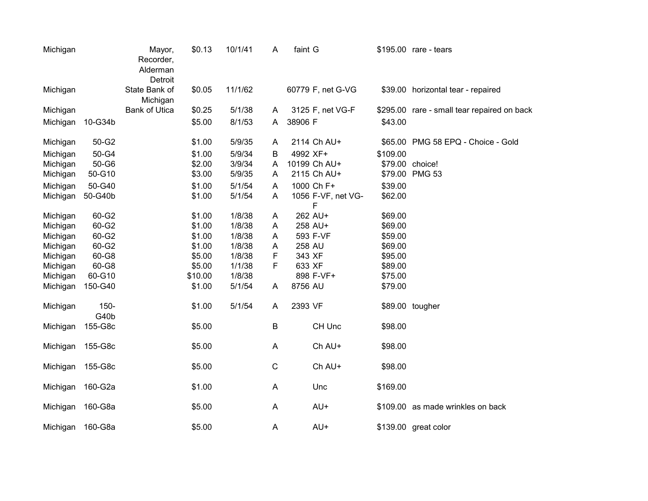| Michigan |                 | Mayor,<br>Recorder,<br>Alderman<br>Detroit | \$0.13  | 10/1/41 | A           | faint G                 |          | \$195.00 rare - tears                       |
|----------|-----------------|--------------------------------------------|---------|---------|-------------|-------------------------|----------|---------------------------------------------|
| Michigan |                 | State Bank of<br>Michigan                  | \$0.05  | 11/1/62 |             | 60779 F, net G-VG       |          | \$39.00 horizontal tear - repaired          |
| Michigan |                 | <b>Bank of Utica</b>                       | \$0.25  | 5/1/38  | A           | 3125 F, net VG-F        |          | \$295.00 rare - small tear repaired on back |
| Michigan | 10-G34b         |                                            | \$5.00  | 8/1/53  | A           | 38906 F                 | \$43.00  |                                             |
| Michigan | 50-G2           |                                            | \$1.00  | 5/9/35  | A           | 2114 Ch AU+             |          | \$65.00 PMG 58 EPQ - Choice - Gold          |
| Michigan | 50-G4           |                                            | \$1.00  | 5/9/34  | B           | 4992 XF+                | \$109.00 |                                             |
| Michigan | 50-G6           |                                            | \$2.00  | 3/9/34  | A           | 10199 Ch AU+            |          | \$79.00 choice!                             |
| Michigan | 50-G10          |                                            | \$3.00  | 5/9/35  | A           | 2115 Ch AU+             |          | \$79.00 PMG 53                              |
| Michigan | 50-G40          |                                            | \$1.00  | 5/1/54  | Α           | 1000 Ch F+              | \$39.00  |                                             |
| Michigan | 50-G40b         |                                            | \$1.00  | 5/1/54  | A           | 1056 F-VF, net VG-<br>F | \$62.00  |                                             |
| Michigan | 60-G2           |                                            | \$1.00  | 1/8/38  | Α           | 262 AU+                 | \$69.00  |                                             |
| Michigan | 60-G2           |                                            | \$1.00  | 1/8/38  | Α           | 258 AU+                 | \$69.00  |                                             |
| Michigan | 60-G2           |                                            | \$1.00  | 1/8/38  | Α           | 593 F-VF                | \$59.00  |                                             |
| Michigan | 60-G2           |                                            | \$1.00  | 1/8/38  | Α           | 258 AU                  | \$69.00  |                                             |
| Michigan | 60-G8           |                                            | \$5.00  | 1/8/38  | F           | 343 XF                  | \$95.00  |                                             |
| Michigan | 60-G8           |                                            | \$5.00  | 1/1/38  | F           | 633 XF                  | \$89.00  |                                             |
| Michigan | 60-G10          |                                            | \$10.00 | 1/8/38  |             | 898 F-VF+               | \$75.00  |                                             |
| Michigan | 150-G40         |                                            | \$1.00  | 5/1/54  | Α           | 8756 AU                 | \$79.00  |                                             |
| Michigan | $150 -$<br>G40b |                                            | \$1.00  | 5/1/54  | A           | 2393 VF                 |          | \$89.00 tougher                             |
| Michigan | 155-G8c         |                                            | \$5.00  |         | $\sf B$     | CH Unc                  | \$98.00  |                                             |
| Michigan | 155-G8c         |                                            | \$5.00  |         | Α           | Ch AU+                  | \$98.00  |                                             |
| Michigan | 155-G8c         |                                            | \$5.00  |         | $\mathsf C$ | Ch AU+                  | \$98.00  |                                             |
| Michigan | 160-G2a         |                                            | \$1.00  |         | Α           | Unc                     | \$169.00 |                                             |
| Michigan | 160-G8a         |                                            | \$5.00  |         | A           | AU+                     |          | \$109.00 as made wrinkles on back           |
| Michigan | 160-G8a         |                                            | \$5.00  |         | A           | AU+                     |          | \$139.00 great color                        |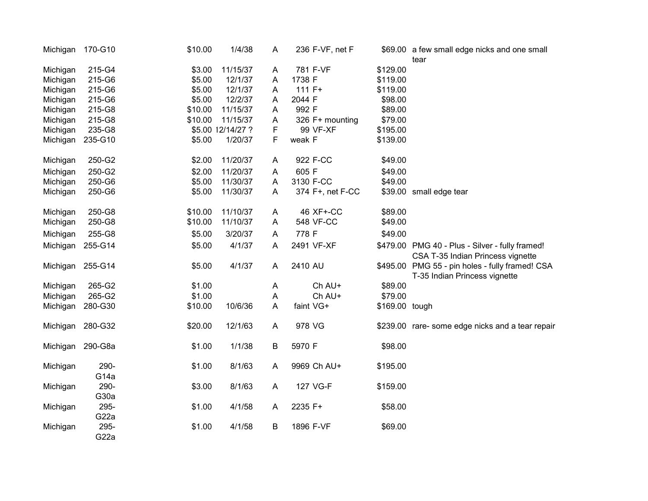| Michigan         | 170-G10                  | \$10.00 | 1/4/38            | A            | 236 F-VF, net F  |                | \$69.00 a few small edge nicks and one small<br>tear                                 |
|------------------|--------------------------|---------|-------------------|--------------|------------------|----------------|--------------------------------------------------------------------------------------|
| Michigan         | 215-G4                   | \$3.00  | 11/15/37          | A            | 781 F-VF         | \$129.00       |                                                                                      |
| Michigan         | 215-G6                   | \$5.00  | 12/1/37           | A            | 1738 F           | \$119.00       |                                                                                      |
| Michigan         | 215-G6                   | \$5.00  | 12/1/37           | A            | $111F+$          | \$119.00       |                                                                                      |
| Michigan         | 215-G6                   | \$5.00  | 12/2/37           | Α            | 2044 F           | \$98.00        |                                                                                      |
| Michigan         | 215-G8                   | \$10.00 | 11/15/37          | A            | 992 F            | \$89.00        |                                                                                      |
| Michigan         | 215-G8                   | \$10.00 | 11/15/37          | Α            | 326 F+ mounting  | \$79.00        |                                                                                      |
| Michigan         | 235-G8                   |         | \$5.00 12/14/27 ? | F            | 99 VF-XF         | \$195.00       |                                                                                      |
| Michigan         | 235-G10                  | \$5.00  | 1/20/37           | F            | weak F           | \$139.00       |                                                                                      |
| Michigan         | 250-G2                   | \$2.00  | 11/20/37          | A            | 922 F-CC         | \$49.00        |                                                                                      |
| Michigan         | 250-G2                   | \$2.00  | 11/20/37          | A            | 605 F            | \$49.00        |                                                                                      |
| Michigan         | 250-G6                   | \$5.00  | 11/30/37          | Α            | 3130 F-CC        | \$49.00        |                                                                                      |
| Michigan         | 250-G6                   | \$5.00  | 11/30/37          | A            | 374 F+, net F-CC |                | \$39.00 small edge tear                                                              |
| Michigan         | 250-G8                   | \$10.00 | 11/10/37          | A            | 46 XF+-CC        | \$89.00        |                                                                                      |
| Michigan         | 250-G8                   | \$10.00 | 11/10/37          | A            | 548 VF-CC        | \$49.00        |                                                                                      |
| Michigan         | 255-G8                   | \$5.00  | 3/20/37           | A            | 778 F            | \$49.00        |                                                                                      |
| Michigan         | 255-G14                  | \$5.00  | 4/1/37            | Α            | 2491 VF-XF       |                | \$479.00 PMG 40 - Plus - Silver - fully framed!<br>CSA T-35 Indian Princess vignette |
| Michigan 255-G14 |                          | \$5.00  | 4/1/37            | A            | 2410 AU          |                | \$495.00 PMG 55 - pin holes - fully framed! CSA<br>T-35 Indian Princess vignette     |
| Michigan         | 265-G2                   | \$1.00  |                   | $\mathsf{A}$ | Ch AU+           | \$89.00        |                                                                                      |
| Michigan         | 265-G2                   | \$1.00  |                   | A            | Ch AU+           | \$79.00        |                                                                                      |
| Michigan         | 280-G30                  | \$10.00 | 10/6/36           | Α            | faint VG+        | \$169.00 tough |                                                                                      |
| Michigan 280-G32 |                          | \$20.00 | 12/1/63           | A            | 978 VG           |                | \$239.00 rare- some edge nicks and a tear repair                                     |
| Michigan 290-G8a |                          | \$1.00  | 1/1/38            | B            | 5970 F           | \$98.00        |                                                                                      |
| Michigan         | 290-<br>G <sub>14a</sub> | \$1.00  | 8/1/63            | A            | 9969 Ch AU+      | \$195.00       |                                                                                      |
| Michigan         | 290-<br>G30a             | \$3.00  | 8/1/63            | $\mathsf{A}$ | 127 VG-F         | \$159.00       |                                                                                      |
| Michigan         | 295-<br>G22a             | \$1.00  | 4/1/58            | A            | 2235 F+          | \$58.00        |                                                                                      |
| Michigan         | 295-<br>G22a             | \$1.00  | 4/1/58            | B            | 1896 F-VF        | \$69.00        |                                                                                      |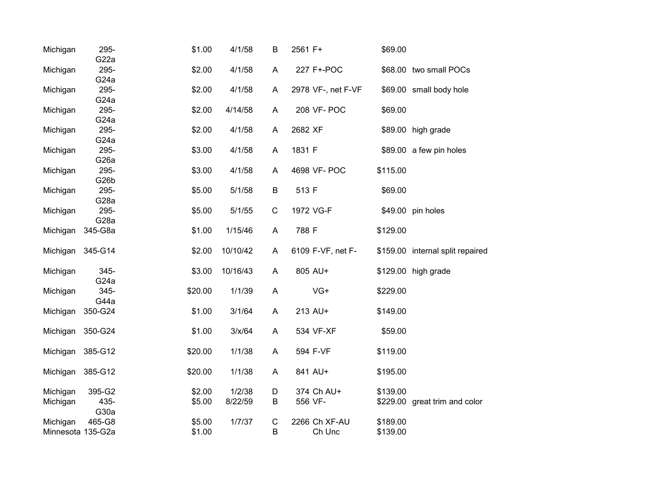| Michigan | 295-<br>G22a              | \$1.00  | 4/1/58   | B           | 2561 F+            | \$69.00  |                                  |
|----------|---------------------------|---------|----------|-------------|--------------------|----------|----------------------------------|
| Michigan | 295-                      | \$2.00  | 4/1/58   | A           | 227 F+-POC         |          | \$68.00 two small POCs           |
|          | G24a                      |         |          |             |                    |          |                                  |
| Michigan | 295-                      | \$2.00  | 4/1/58   | A           | 2978 VF-, net F-VF |          | \$69.00 small body hole          |
|          | G <sub>24</sub> a         |         |          |             |                    |          |                                  |
| Michigan | 295-                      | \$2.00  | 4/14/58  | A           | 208 VF- POC        | \$69.00  |                                  |
|          | G24a                      |         |          |             |                    |          |                                  |
| Michigan | 295-                      | \$2.00  | 4/1/58   | A           | 2682 XF            |          | \$89.00 high grade               |
| Michigan | G <sub>24</sub> a<br>295- | \$3.00  | 4/1/58   | A           | 1831 F             |          | \$89.00 a few pin holes          |
|          | G <sub>26</sub> a         |         |          |             |                    |          |                                  |
| Michigan | 295-                      | \$3.00  | 4/1/58   | A           | 4698 VF- POC       | \$115.00 |                                  |
|          | G <sub>26</sub> b         |         |          |             |                    |          |                                  |
| Michigan | 295-                      | \$5.00  | 5/1/58   | $\sf B$     | 513 F              | \$69.00  |                                  |
|          | G <sub>28</sub> a         |         |          |             |                    |          |                                  |
| Michigan | 295-                      | \$5.00  | 5/1/55   | $\mathsf C$ | 1972 VG-F          |          | \$49.00 pin holes                |
|          | G <sub>28</sub> a         |         |          |             |                    |          |                                  |
| Michigan | 345-G8a                   | \$1.00  | 1/15/46  | A           | 788 F              | \$129.00 |                                  |
| Michigan | 345-G14                   | \$2.00  | 10/10/42 | A           | 6109 F-VF, net F-  |          | \$159.00 internal split repaired |
| Michigan | 345-                      | \$3.00  | 10/16/43 | A           | 805 AU+            |          | \$129.00 high grade              |
|          | G <sub>24</sub> a         |         |          |             |                    |          |                                  |
| Michigan | 345-                      | \$20.00 | 1/1/39   | A           | $VG+$              | \$229.00 |                                  |
|          | G44a                      |         |          |             |                    |          |                                  |
| Michigan | 350-G24                   | \$1.00  | 3/1/64   | A           | 213 AU+            | \$149.00 |                                  |
| Michigan | 350-G24                   | \$1.00  | 3/x/64   | A           | 534 VF-XF          | \$59.00  |                                  |
| Michigan | 385-G12                   | \$20.00 | 1/1/38   | A           | 594 F-VF           | \$119.00 |                                  |
|          | 385-G12                   | \$20.00 | 1/1/38   | A           | 841 AU+            | \$195.00 |                                  |
| Michigan |                           |         |          |             |                    |          |                                  |
| Michigan | 395-G2                    | \$2.00  | 1/2/38   | D           | 374 Ch AU+         | \$139.00 |                                  |
| Michigan | 435-<br>G30a              | \$5.00  | 8/22/59  | B           | 556 VF-            |          | \$229.00 great trim and color    |
| Michigan | 465-G8                    | \$5.00  | 1/7/37   | $\mathsf C$ | 2266 Ch XF-AU      | \$189.00 |                                  |
|          | Minnesota 135-G2a         | \$1.00  |          | B           | Ch Unc             | \$139.00 |                                  |
|          |                           |         |          |             |                    |          |                                  |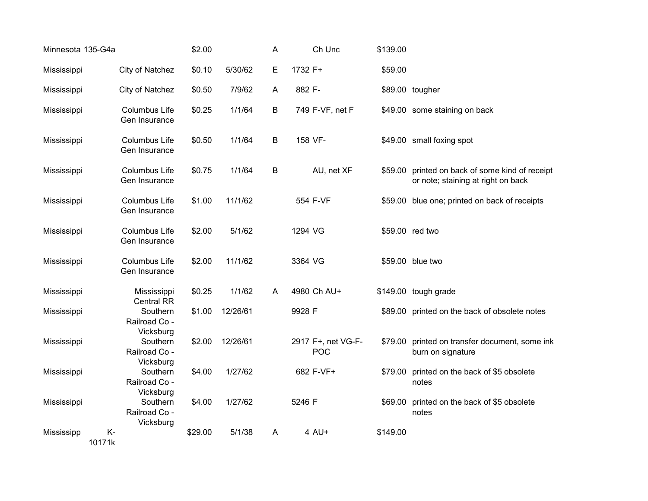| Minnesota 135-G4a |                                        | \$2.00  |          | A | Ch Unc                           | \$139.00 |                                                                                       |
|-------------------|----------------------------------------|---------|----------|---|----------------------------------|----------|---------------------------------------------------------------------------------------|
| Mississippi       | City of Natchez                        | \$0.10  | 5/30/62  | E | 1732 F+                          | \$59.00  |                                                                                       |
| Mississippi       | City of Natchez                        | \$0.50  | 7/9/62   | A | 882 F-                           |          | \$89.00 tougher                                                                       |
| Mississippi       | Columbus Life<br>Gen Insurance         | \$0.25  | 1/1/64   | B | 749 F-VF, net F                  |          | \$49.00 some staining on back                                                         |
| Mississippi       | Columbus Life<br>Gen Insurance         | \$0.50  | 1/1/64   | B | 158 VF-                          |          | \$49.00 small foxing spot                                                             |
| Mississippi       | Columbus Life<br>Gen Insurance         | \$0.75  | 1/1/64   | B | AU, net XF                       |          | \$59.00 printed on back of some kind of receipt<br>or note; staining at right on back |
| Mississippi       | <b>Columbus Life</b><br>Gen Insurance  | \$1.00  | 11/1/62  |   | 554 F-VF                         |          | \$59.00 blue one; printed on back of receipts                                         |
| Mississippi       | <b>Columbus Life</b><br>Gen Insurance  | \$2.00  | 5/1/62   |   | 1294 VG                          |          | \$59.00 red two                                                                       |
| Mississippi       | Columbus Life<br>Gen Insurance         | \$2.00  | 11/1/62  |   | 3364 VG                          |          | \$59.00 blue two                                                                      |
| Mississippi       | Mississippi<br><b>Central RR</b>       | \$0.25  | 1/1/62   | A | 4980 Ch AU+                      |          | \$149.00 tough grade                                                                  |
| Mississippi       | Southern<br>Railroad Co -<br>Vicksburg | \$1.00  | 12/26/61 |   | 9928 F                           |          | \$89.00 printed on the back of obsolete notes                                         |
| Mississippi       | Southern<br>Railroad Co -<br>Vicksburg | \$2.00  | 12/26/61 |   | 2917 F+, net VG-F-<br><b>POC</b> | \$79.00  | printed on transfer document, some ink<br>burn on signature                           |
| Mississippi       | Southern<br>Railroad Co -<br>Vicksburg | \$4.00  | 1/27/62  |   | 682 F-VF+                        | \$79.00  | printed on the back of \$5 obsolete<br>notes                                          |
| Mississippi       | Southern<br>Railroad Co -<br>Vicksburg | \$4.00  | 1/27/62  |   | 5246 F                           | \$69.00  | printed on the back of \$5 obsolete<br>notes                                          |
| Mississipp        | K-<br>10171k                           | \$29.00 | 5/1/38   | A | $4$ AU+                          | \$149.00 |                                                                                       |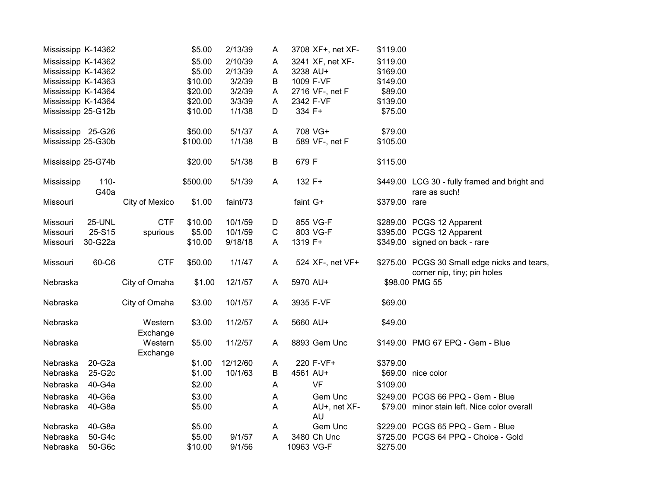| Mississipp K-14362 |                 |                     | \$5.00   | 2/13/39  | A | 3708 XF+, net XF-         | \$119.00      |                                                                             |
|--------------------|-----------------|---------------------|----------|----------|---|---------------------------|---------------|-----------------------------------------------------------------------------|
| Mississipp K-14362 |                 |                     | \$5.00   | 2/10/39  | Α | 3241 XF, net XF-          | \$119.00      |                                                                             |
| Mississipp K-14362 |                 |                     | \$5.00   | 2/13/39  | A | 3238 AU+                  | \$169.00      |                                                                             |
| Mississipp K-14363 |                 |                     | \$10.00  | 3/2/39   | B | 1009 F-VF                 | \$149.00      |                                                                             |
| Mississipp K-14364 |                 |                     | \$20.00  | 3/2/39   | Α | 2716 VF-, net F           | \$89.00       |                                                                             |
| Mississipp K-14364 |                 |                     | \$20.00  | 3/3/39   | A | 2342 F-VF                 | \$139.00      |                                                                             |
| Mississipp 25-G12b |                 |                     | \$10.00  | 1/1/38   | D | 334 F+                    | \$75.00       |                                                                             |
| Mississipp 25-G26  |                 |                     | \$50.00  | 5/1/37   | Α | 708 VG+                   | \$79.00       |                                                                             |
| Mississipp 25-G30b |                 |                     | \$100.00 | 1/1/38   | В | 589 VF-, net F            | \$105.00      |                                                                             |
| Mississipp 25-G74b |                 |                     | \$20.00  | 5/1/38   | B | 679 F                     | \$115.00      |                                                                             |
| Mississipp         | $110 -$<br>G40a |                     | \$500.00 | 5/1/39   | A | 132 F+                    |               | \$449.00 LCG 30 - fully framed and bright and<br>rare as such!              |
| Missouri           |                 | City of Mexico      | \$1.00   | faint/73 |   | faint G+                  | \$379.00 rare |                                                                             |
| Missouri           | <b>25-UNL</b>   | <b>CTF</b>          | \$10.00  | 10/1/59  | D | 855 VG-F                  |               | \$289.00 PCGS 12 Apparent                                                   |
| Missouri           | 25-S15          | spurious            | \$5.00   | 10/1/59  | C | 803 VG-F                  |               | \$395.00 PCGS 12 Apparent                                                   |
| Missouri           | 30-G22a         |                     | \$10.00  | 9/18/18  | A | 1319 F+                   |               | \$349.00 signed on back - rare                                              |
| Missouri           | 60-C6           | <b>CTF</b>          | \$50.00  | 1/1/47   | A | 524 XF-, net VF+          |               | \$275.00 PCGS 30 Small edge nicks and tears,<br>corner nip, tiny; pin holes |
| Nebraska           |                 | City of Omaha       | \$1.00   | 12/1/57  | A | 5970 AU+                  |               | \$98.00 PMG 55                                                              |
| Nebraska           |                 | City of Omaha       | \$3.00   | 10/1/57  | Α | 3935 F-VF                 | \$69.00       |                                                                             |
| Nebraska           |                 | Western<br>Exchange | \$3.00   | 11/2/57  | A | 5660 AU+                  | \$49.00       |                                                                             |
| Nebraska           |                 | Western<br>Exchange | \$5.00   | 11/2/57  | A | 8893 Gem Unc              |               | \$149.00 PMG 67 EPQ - Gem - Blue                                            |
| Nebraska           | 20-G2a          |                     | \$1.00   | 12/12/60 | A | 220 F-VF+                 | \$379.00      |                                                                             |
| Nebraska           | 25-G2c          |                     | \$1.00   | 10/1/63  | В | 4561 AU+                  |               | \$69.00 nice color                                                          |
| Nebraska           | 40-G4a          |                     | \$2.00   |          | A | <b>VF</b>                 | \$109.00      |                                                                             |
| Nebraska           | 40-G6a          |                     | \$3.00   |          | A | Gem Unc                   |               | \$249.00 PCGS 66 PPQ - Gem - Blue                                           |
| Nebraska           | 40-G8a          |                     | \$5.00   |          | A | AU+, net XF-<br><b>AU</b> |               | \$79.00 minor stain left. Nice color overall                                |
| Nebraska           | 40-G8a          |                     | \$5.00   |          | A | Gem Unc                   |               | \$229.00 PCGS 65 PPQ - Gem - Blue                                           |
| Nebraska           | 50-G4c          |                     | \$5.00   | 9/1/57   | A | 3480 Ch Unc               |               | \$725.00 PCGS 64 PPQ - Choice - Gold                                        |
| Nebraska           | 50-G6c          |                     | \$10.00  | 9/1/56   |   | 10963 VG-F                | \$275.00      |                                                                             |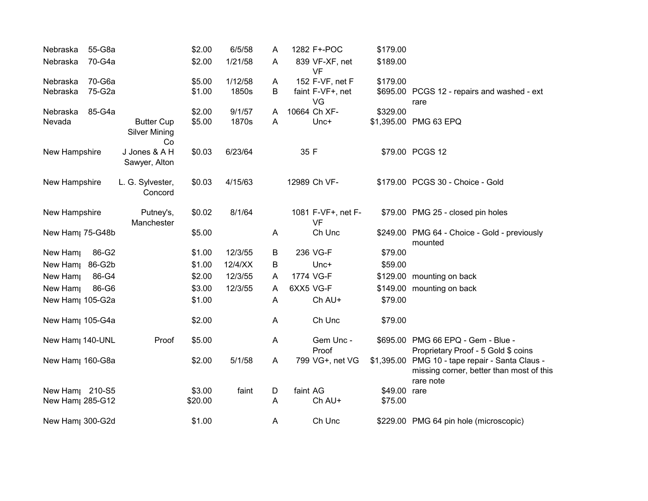| Nebraska                     | 55-G8a |                                                 | \$2.00  | 6/5/58     | Α | 1282 F+-POC                     | \$179.00     |                                                                                                          |
|------------------------------|--------|-------------------------------------------------|---------|------------|---|---------------------------------|--------------|----------------------------------------------------------------------------------------------------------|
| Nebraska                     | 70-G4a |                                                 | \$2.00  | 1/21/58    | A | 839 VF-XF, net<br>VF            | \$189.00     |                                                                                                          |
| Nebraska                     | 70-G6a |                                                 | \$5.00  | 1/12/58    | A | 152 F-VF, net F                 | \$179.00     |                                                                                                          |
| Nebraska                     | 75-G2a |                                                 | \$1.00  | 1850s      | B | faint F-VF+, net<br>VG          |              | \$695.00 PCGS 12 - repairs and washed - ext<br>rare                                                      |
| Nebraska                     | 85-G4a |                                                 | \$2.00  | 9/1/57     | A | 10664 Ch XF-                    | \$329.00     |                                                                                                          |
| Nevada                       |        | <b>Butter Cup</b><br><b>Silver Mining</b><br>Co | \$5.00  | 1870s      | A | Unc+                            |              | \$1,395.00 PMG 63 EPQ                                                                                    |
| New Hampshire                |        | J Jones & A H<br>Sawyer, Alton                  | \$0.03  | 6/23/64    |   | 35 F                            |              | \$79.00 PCGS 12                                                                                          |
| New Hampshire                |        | L. G. Sylvester,<br>Concord                     | \$0.03  | 4/15/63    |   | 12989 Ch VF-                    |              | \$179.00 PCGS 30 - Choice - Gold                                                                         |
| New Hampshire                |        | Putney's,<br>Manchester                         | \$0.02  | 8/1/64     |   | 1081 F-VF+, net F-<br><b>VF</b> |              | \$79.00 PMG 25 - closed pin holes                                                                        |
| New Ham <sub>l</sub> 75-G48b |        |                                                 | \$5.00  |            | A | Ch Unc                          |              | \$249.00 PMG 64 - Choice - Gold - previously<br>mounted                                                  |
| New Ham                      | 86-G2  |                                                 | \$1.00  | 12/3/55    | В | 236 VG-F                        | \$79.00      |                                                                                                          |
| New Ham                      | 86-G2b |                                                 | \$1.00  | $12/4$ /XX | B | $Unc+$                          | \$59.00      |                                                                                                          |
| New Ham                      | 86-G4  |                                                 | \$2.00  | 12/3/55    | A | 1774 VG-F                       |              | \$129.00 mounting on back                                                                                |
| New Ham                      | 86-G6  |                                                 | \$3.00  | 12/3/55    | A | 6XX5 VG-F                       |              | \$149.00 mounting on back                                                                                |
| New Ham <sub>1</sub> 105-G2a |        |                                                 | \$1.00  |            | A | Ch AU+                          | \$79.00      |                                                                                                          |
| New Ham <sub>1</sub> 105-G4a |        |                                                 | \$2.00  |            | A | Ch Unc                          | \$79.00      |                                                                                                          |
| New Ham <sub>l</sub> 140-UNL |        | Proof                                           | \$5.00  |            | A | Gem Unc -<br>Proof              |              | \$695.00 PMG 66 EPQ - Gem - Blue -<br>Proprietary Proof - 5 Gold \$ coins                                |
| New Ham <sub>1</sub> 160-G8a |        |                                                 | \$2.00  | 5/1/58     | A | 799 VG+, net VG                 |              | \$1,395.00 PMG 10 - tape repair - Santa Claus -<br>missing corner, better than most of this<br>rare note |
| New Ham <sub>1</sub> 210-S5  |        |                                                 | \$3.00  | faint      | D | faint AG                        | \$49.00 rare |                                                                                                          |
| New Ham <sub>1</sub> 285-G12 |        |                                                 | \$20.00 |            | A | Ch AU+                          | \$75.00      |                                                                                                          |
| New Ham <sub>l</sub> 300-G2d |        |                                                 | \$1.00  |            | A | Ch Unc                          |              | \$229.00 PMG 64 pin hole (microscopic)                                                                   |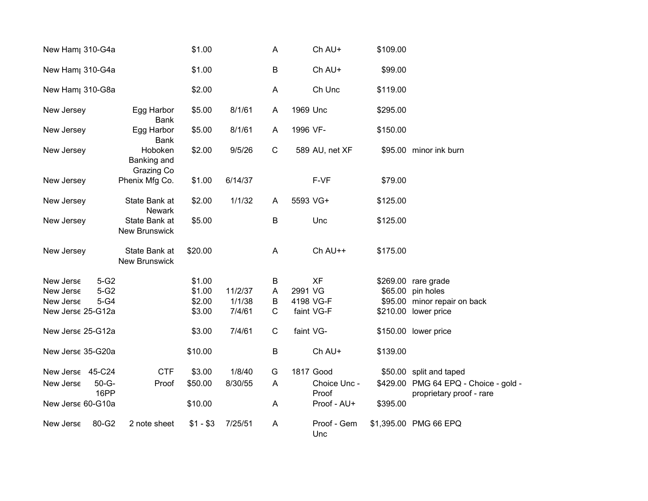| New Ham <sub>l</sub> 310-G4a    |                                       | \$1.00    |         | A           | Ch AU+                | \$109.00 |                                                                   |
|---------------------------------|---------------------------------------|-----------|---------|-------------|-----------------------|----------|-------------------------------------------------------------------|
| New Ham <sub>l</sub> 310-G4a    |                                       | \$1.00    |         | $\sf B$     | Ch AU+                | \$99.00  |                                                                   |
| New Ham <sub>l</sub> 310-G8a    |                                       | \$2.00    |         | A           | Ch Unc                | \$119.00 |                                                                   |
| New Jersey                      | Egg Harbor<br><b>Bank</b>             | \$5.00    | 8/1/61  | A           | 1969 Unc              | \$295.00 |                                                                   |
| New Jersey                      | Egg Harbor<br><b>Bank</b>             | \$5.00    | 8/1/61  | A           | 1996 VF-              | \$150.00 |                                                                   |
| New Jersey                      | Hoboken<br>Banking and<br>Grazing Co  | \$2.00    | 9/5/26  | $\mathsf C$ | 589 AU, net XF        |          | \$95.00 minor ink burn                                            |
| New Jersey                      | Phenix Mfg Co.                        | \$1.00    | 6/14/37 |             | F-VF                  | \$79.00  |                                                                   |
| New Jersey                      | State Bank at<br><b>Newark</b>        | \$2.00    | 1/1/32  | A           | 5593 VG+              | \$125.00 |                                                                   |
| New Jersey                      | State Bank at<br><b>New Brunswick</b> | \$5.00    |         | B           | Unc                   | \$125.00 |                                                                   |
| New Jersey                      | State Bank at<br><b>New Brunswick</b> | \$20.00   |         | A           | Ch AU++               | \$175.00 |                                                                   |
| $5-G2$<br>New Jerse             |                                       | \$1.00    |         | В           | <b>XF</b>             |          | \$269.00 rare grade                                               |
| $5-G2$<br>New Jerse             |                                       | \$1.00    | 11/2/37 | A           | 2991 VG               |          | \$65.00 pin holes                                                 |
| $5-G4$<br>New Jerse             |                                       | \$2.00    | 1/1/38  | В           | 4198 VG-F             |          | \$95.00 minor repair on back                                      |
| New Jerse 25-G12a               |                                       | \$3.00    | 7/4/61  | C           | faint VG-F            |          | \$210.00 lower price                                              |
| New Jerse 25-G12a               |                                       | \$3.00    | 7/4/61  | $\mathbf C$ | faint VG-             |          | \$150.00 lower price                                              |
| New Jerse 35-G20a               |                                       | \$10.00   |         | B           | Ch AU+                | \$139.00 |                                                                   |
| New Jerse 45-C24                | <b>CTF</b>                            | \$3.00    | 1/8/40  | G           | 1817 Good             |          | \$50.00 split and taped                                           |
| $50 - G -$<br>New Jerse<br>16PP | Proof                                 | \$50.00   | 8/30/55 | Α           | Choice Unc -<br>Proof |          | \$429.00 PMG 64 EPQ - Choice - gold -<br>proprietary proof - rare |
| New Jerse 60-G10a               |                                       | \$10.00   |         | Α           | Proof - AU+           | \$395.00 |                                                                   |
| 80-G2<br>New Jerse              | 2 note sheet                          | $$1 - $3$ | 7/25/51 | Α           | Proof - Gem<br>Unc    |          | \$1,395.00 PMG 66 EPQ                                             |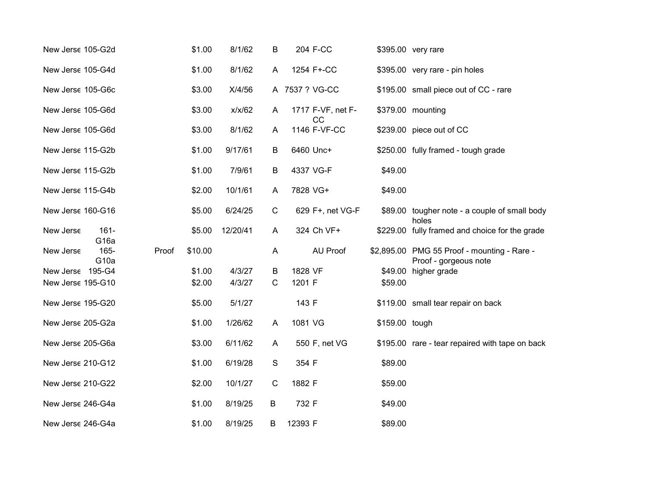| New Jerse 105-G2d |                             |       | \$1.00  | 8/1/62   | B              |                | 204 F-CC                |                | \$395.00 very rare                                                   |
|-------------------|-----------------------------|-------|---------|----------|----------------|----------------|-------------------------|----------------|----------------------------------------------------------------------|
| New Jerse 105-G4d |                             |       | \$1.00  | 8/1/62   | A              |                | 1254 F+-CC              |                | \$395.00 very rare - pin holes                                       |
| New Jerse 105-G6c |                             |       | \$3.00  | X/4/56   |                | A 7537 ? VG-CC |                         |                | \$195.00 small piece out of CC - rare                                |
| New Jerse 105-G6d |                             |       | \$3.00  | x/x/62   | A              |                | 1717 F-VF, net F-<br>CC |                | \$379.00 mounting                                                    |
| New Jerse 105-G6d |                             |       | \$3.00  | 8/1/62   | A              |                | 1146 F-VF-CC            |                | \$239.00 piece out of CC                                             |
| New Jerse 115-G2b |                             |       | \$1.00  | 9/17/61  | B              | 6460 Unc+      |                         |                | \$250.00 fully framed - tough grade                                  |
| New Jerse 115-G2b |                             |       | \$1.00  | 7/9/61   | $\sf B$        | 4337 VG-F      |                         | \$49.00        |                                                                      |
| New Jerse 115-G4b |                             |       | \$2.00  | 10/1/61  | $\overline{A}$ | 7828 VG+       |                         | \$49.00        |                                                                      |
| New Jerse 160-G16 |                             |       | \$5.00  | 6/24/25  | $\mathsf C$    |                | 629 F+, net VG-F        |                | \$89.00 tougher note - a couple of small body<br>holes               |
| New Jerse         | $161 -$<br>G <sub>16a</sub> |       | \$5.00  | 12/20/41 | $\mathsf{A}$   |                | 324 Ch VF+              |                | \$229.00 fully framed and choice for the grade                       |
| New Jerse         | 165-<br>G <sub>10a</sub>    | Proof | \$10.00 |          | $\overline{A}$ |                | AU Proof                |                | \$2,895.00 PMG 55 Proof - mounting - Rare -<br>Proof - gorgeous note |
| New Jerse 195-G4  |                             |       | \$1.00  | 4/3/27   | B              | 1828 VF        |                         | \$49.00        | higher grade                                                         |
| New Jerse 195-G10 |                             |       | \$2.00  | 4/3/27   | $\mathsf{C}$   | 1201 F         |                         | \$59.00        |                                                                      |
| New Jerse 195-G20 |                             |       | \$5.00  | 5/1/27   |                | 143 F          |                         |                | \$119.00 small tear repair on back                                   |
| New Jerse 205-G2a |                             |       | \$1.00  | 1/26/62  | $\overline{A}$ | 1081 VG        |                         | \$159.00 tough |                                                                      |
| New Jerse 205-G6a |                             |       | \$3.00  | 6/11/62  | $\mathsf{A}$   |                | 550 F, net VG           |                | \$195.00 rare - tear repaired with tape on back                      |
| New Jerse 210-G12 |                             |       | \$1.00  | 6/19/28  | $\mathsf S$    | 354 F          |                         | \$89.00        |                                                                      |
| New Jerse 210-G22 |                             |       | \$2.00  | 10/1/27  | $\mathsf{C}$   | 1882 F         |                         | \$59.00        |                                                                      |
| New Jerse 246-G4a |                             |       | \$1.00  | 8/19/25  | B              | 732 F          |                         | \$49.00        |                                                                      |
| New Jerse 246-G4a |                             |       | \$1.00  | 8/19/25  | В              | 12393 F        |                         | \$89.00        |                                                                      |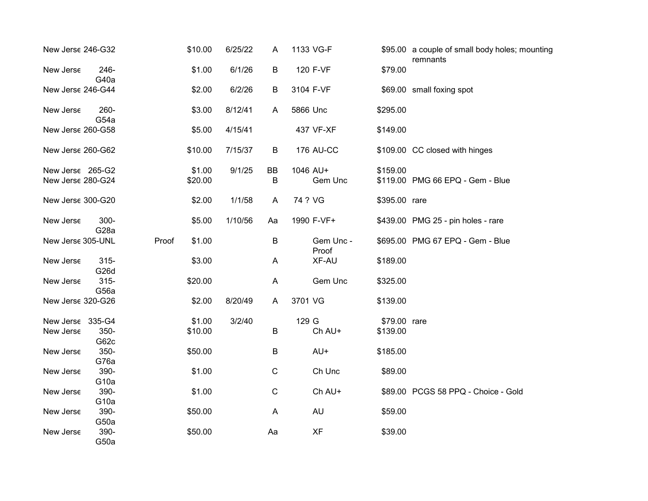| New Jerse 246-G32                     |                              |       | \$10.00           | 6/25/22 | A           | 1133 VG-F           |               | \$95.00 a couple of small body holes; mounting<br>remnants |
|---------------------------------------|------------------------------|-------|-------------------|---------|-------------|---------------------|---------------|------------------------------------------------------------|
| New Jerse                             | 246-<br>G40a                 |       | \$1.00            | 6/1/26  | $\sf B$     | 120 F-VF            | \$79.00       |                                                            |
| New Jerse 246-G44                     |                              |       | \$2.00            | 6/2/26  | B           | 3104 F-VF           |               | \$69.00 small foxing spot                                  |
| New Jerse                             | 260-<br>G54a                 |       | \$3.00            | 8/12/41 | A           | 5866 Unc            | \$295.00      |                                                            |
| New Jerse 260-G58                     |                              |       | \$5.00            | 4/15/41 |             | 437 VF-XF           | \$149.00      |                                                            |
| New Jerse 260-G62                     |                              |       | \$10.00           | 7/15/37 | Β           | <b>176 AU-CC</b>    |               | \$109.00 CC closed with hinges                             |
| New Jerse 265-G2<br>New Jerse 280-G24 |                              |       | \$1.00<br>\$20.00 | 9/1/25  | BB<br>B     | 1046 AU+<br>Gem Unc | \$159.00      | \$119.00 PMG 66 EPQ - Gem - Blue                           |
| New Jerse 300-G20                     |                              |       | \$2.00            | 1/1/58  | A           | 74 ? VG             | \$395.00 rare |                                                            |
| New Jerse                             | $300 -$<br>G <sub>28</sub> a |       | \$5.00            | 1/10/56 | Aa          | 1990 F-VF+          |               | \$439.00 PMG 25 - pin holes - rare                         |
| New Jerse 305-UNL                     |                              | Proof | \$1.00            |         | B           | Gem Unc -<br>Proof  |               | \$695.00 PMG 67 EPQ - Gem - Blue                           |
| New Jerse                             | $315 -$<br>G26d              |       | \$3.00            |         | A           | XF-AU               | \$189.00      |                                                            |
| New Jerse                             | $315 -$<br>G56a              |       | \$20.00           |         | A           | Gem Unc             | \$325.00      |                                                            |
| New Jerse 320-G26                     |                              |       | \$2.00            | 8/20/49 | A           | 3701 VG             | \$139.00      |                                                            |
| New Jerse                             | 335-G4                       |       | \$1.00            | 3/2/40  |             | 129 G               | \$79.00 rare  |                                                            |
| New Jerse                             | 350-<br>G62c                 |       | \$10.00           |         | B           | Ch AU+              | \$139.00      |                                                            |
| New Jerse                             | 350-<br>G76a                 |       | \$50.00           |         | B           | AU+                 | \$185.00      |                                                            |
| New Jerse                             | 390-<br>G <sub>10a</sub>     |       | \$1.00            |         | $\mathbf C$ | Ch Unc              | \$89.00       |                                                            |
| New Jerse                             | 390-<br>G <sub>10a</sub>     |       | \$1.00            |         | $\mathsf C$ | Ch AU+              |               | \$89.00 PCGS 58 PPQ - Choice - Gold                        |
| New Jerse                             | 390-<br>G50a                 |       | \$50.00           |         | A           | <b>AU</b>           | \$59.00       |                                                            |
| New Jerse                             | 390-<br>G50a                 |       | \$50.00           |         | Aa          | <b>XF</b>           | \$39.00       |                                                            |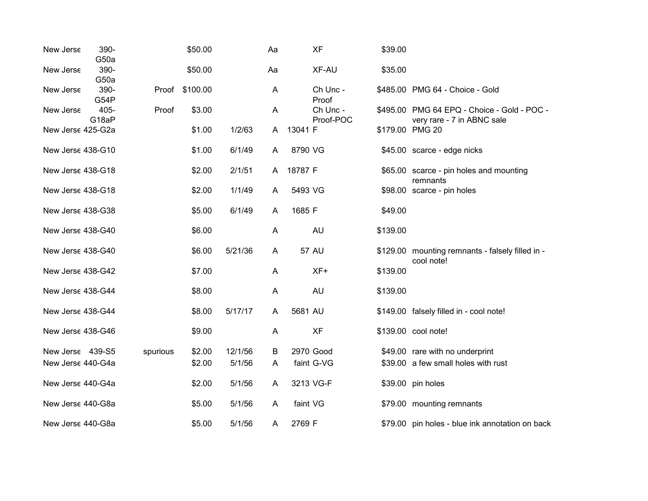| New Jerse         | 390-<br>G50a  |          | \$50.00  |         | Aa | <b>XF</b>             | \$39.00  |                                                                           |
|-------------------|---------------|----------|----------|---------|----|-----------------------|----------|---------------------------------------------------------------------------|
| New Jerse         | 390-<br>G50a  |          | \$50.00  |         | Aa | XF-AU                 | \$35.00  |                                                                           |
| New Jerse         | 390-<br>G54P  | Proof    | \$100.00 |         | A  | Ch Unc -<br>Proof     |          | \$485.00 PMG 64 - Choice - Gold                                           |
| New Jerse         | 405-<br>G18aP | Proof    | \$3.00   |         | A  | Ch Unc -<br>Proof-POC |          | \$495.00 PMG 64 EPQ - Choice - Gold - POC -<br>very rare - 7 in ABNC sale |
| New Jerse 425-G2a |               |          | \$1.00   | 1/2/63  | A  | 13041 F               |          | \$179.00 PMG 20                                                           |
| New Jerse 438-G10 |               |          | \$1.00   | 6/1/49  | A  | 8790 VG               |          | \$45.00 scarce - edge nicks                                               |
| New Jerse 438-G18 |               |          | \$2.00   | 2/1/51  | A  | 18787 F               |          | \$65.00 scarce - pin holes and mounting<br>remnants                       |
| New Jerse 438-G18 |               |          | \$2.00   | 1/1/49  | A  | 5493 VG               |          | \$98.00 scarce - pin holes                                                |
| New Jerse 438-G38 |               |          | \$5.00   | 6/1/49  | A  | 1685 F                | \$49.00  |                                                                           |
| New Jerse 438-G40 |               |          | \$6.00   |         | A  | <b>AU</b>             | \$139.00 |                                                                           |
| New Jerse 438-G40 |               |          | \$6.00   | 5/21/36 | A  | <b>57 AU</b>          |          | \$129.00 mounting remnants - falsely filled in -<br>cool note!            |
| New Jerse 438-G42 |               |          | \$7.00   |         | A  | XF+                   | \$139.00 |                                                                           |
| New Jerse 438-G44 |               |          | \$8.00   |         | A  | <b>AU</b>             | \$139.00 |                                                                           |
| New Jerse 438-G44 |               |          | \$8.00   | 5/17/17 | A  | 5681 AU               |          | \$149.00 falsely filled in - cool note!                                   |
| New Jerse 438-G46 |               |          | \$9.00   |         | A  | <b>XF</b>             |          | \$139.00 cool note!                                                       |
| New Jerse 439-S5  |               | spurious | \$2.00   | 12/1/56 | В  | 2970 Good             |          | \$49.00 rare with no underprint                                           |
| New Jerse 440-G4a |               |          | \$2.00   | 5/1/56  | A  | faint G-VG            |          | \$39.00 a few small holes with rust                                       |
| New Jerse 440-G4a |               |          | \$2.00   | 5/1/56  | A  | 3213 VG-F             |          | \$39.00 pin holes                                                         |
| New Jerse 440-G8a |               |          | \$5.00   | 5/1/56  | A  | faint VG              |          | \$79.00 mounting remnants                                                 |
| New Jerse 440-G8a |               |          | \$5.00   | 5/1/56  | A  | 2769 F                |          | \$79.00 pin holes - blue ink annotation on back                           |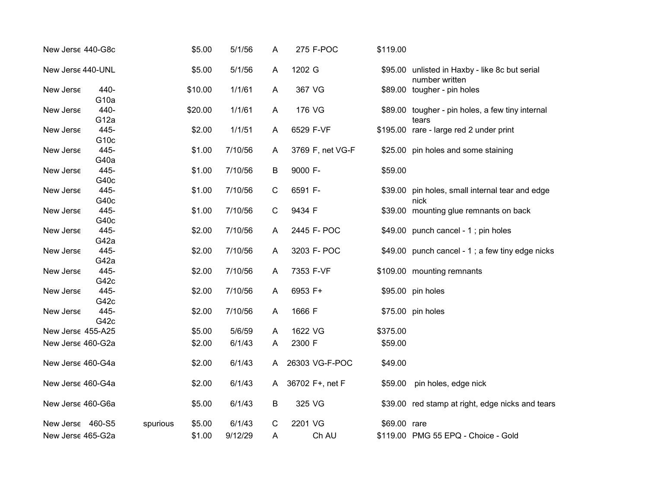| New Jerse 440-G8c |                          |          | \$5.00  | 5/1/56  | A           | 275 F-POC        | \$119.00     |                                                                  |
|-------------------|--------------------------|----------|---------|---------|-------------|------------------|--------------|------------------------------------------------------------------|
| New Jerse 440-UNL |                          |          | \$5.00  | 5/1/56  | A           | 1202 G           |              | \$95.00 unlisted in Haxby - like 8c but serial<br>number written |
| New Jerse         | 440-<br>G <sub>10a</sub> |          | \$10.00 | 1/1/61  | A           | 367 VG           |              | \$89.00 tougher - pin holes                                      |
| New Jerse         | 440-<br>G <sub>12a</sub> |          | \$20.00 | 1/1/61  | A           | 176 VG           |              | \$89.00 tougher - pin holes, a few tiny internal<br>tears        |
| New Jerse         | 445-<br>G <sub>10c</sub> |          | \$2.00  | 1/1/51  | A           | 6529 F-VF        |              | \$195.00 rare - large red 2 under print                          |
| New Jerse         | 445-<br>G40a             |          | \$1.00  | 7/10/56 | A           | 3769 F, net VG-F |              | \$25.00 pin holes and some staining                              |
| New Jerse         | 445-<br>G40c             |          | \$1.00  | 7/10/56 | B           | 9000 F-          | \$59.00      |                                                                  |
| New Jerse         | 445-<br>G40c             |          | \$1.00  | 7/10/56 | C           | 6591 F-          |              | \$39.00 pin holes, small internal tear and edge<br>nick          |
| New Jerse         | 445-<br>G40c             |          | \$1.00  | 7/10/56 | $\mathbf C$ | 9434 F           |              | \$39.00 mounting glue remnants on back                           |
| New Jerse         | 445-<br>G42a             |          | \$2.00  | 7/10/56 | A           | 2445 F- POC      |              | \$49.00 punch cancel - 1; pin holes                              |
| New Jerse         | 445-                     |          | \$2.00  | 7/10/56 | A           | 3203 F- POC      |              | \$49.00 punch cancel - 1; a few tiny edge nicks                  |
| New Jerse         | G42a<br>445-<br>G42c     |          | \$2.00  | 7/10/56 | A           | 7353 F-VF        |              | \$109.00 mounting remnants                                       |
| New Jerse         | 445-                     |          | \$2.00  | 7/10/56 | A           | 6953 F+          |              | \$95.00 pin holes                                                |
| New Jerse         | G42c<br>445-             |          | \$2.00  | 7/10/56 | A           | 1666 F           |              | \$75.00 pin holes                                                |
| New Jerse 455-A25 | G42c                     |          | \$5.00  | 5/6/59  | A           | 1622 VG          | \$375.00     |                                                                  |
| New Jerse 460-G2a |                          |          | \$2.00  | 6/1/43  | A           | 2300 F           | \$59.00      |                                                                  |
| New Jerse 460-G4a |                          |          | \$2.00  | 6/1/43  | A           | 26303 VG-F-POC   | \$49.00      |                                                                  |
| New Jerse 460-G4a |                          |          | \$2.00  | 6/1/43  | A           | 36702 F+, net F  | \$59.00      | pin holes, edge nick                                             |
| New Jerse 460-G6a |                          |          | \$5.00  | 6/1/43  | B           | 325 VG           |              | \$39.00 red stamp at right, edge nicks and tears                 |
| New Jerse 460-S5  |                          | spurious | \$5.00  | 6/1/43  | C           | 2201 VG          | \$69.00 rare |                                                                  |
| New Jerse 465-G2a |                          |          | \$1.00  | 9/12/29 | A           | Ch AU            |              | \$119.00 PMG 55 EPQ - Choice - Gold                              |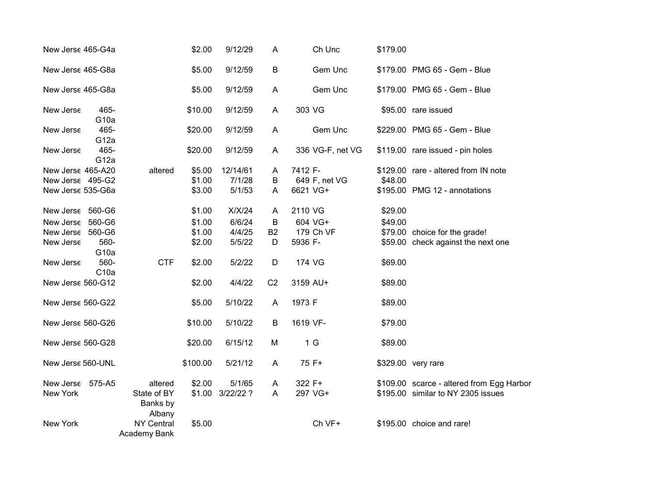| New Jerse 465-G4a                     |                          |                                   | \$2.00           | 9/12/29            | $\overline{A}$ | Ch Unc                   | \$179.00 |                                           |
|---------------------------------------|--------------------------|-----------------------------------|------------------|--------------------|----------------|--------------------------|----------|-------------------------------------------|
| New Jerse 465-G8a                     |                          |                                   | \$5.00           | 9/12/59            | B              | Gem Unc                  |          | \$179.00 PMG 65 - Gem - Blue              |
| New Jerse 465-G8a                     |                          |                                   | \$5.00           | 9/12/59            | A              | Gem Unc                  |          | \$179.00 PMG 65 - Gem - Blue              |
| New Jerse                             | 465-<br>G <sub>10a</sub> |                                   | \$10.00          | 9/12/59            | $\overline{A}$ | 303 VG                   |          | \$95.00 rare issued                       |
| New Jerse                             | 465-<br>G <sub>12a</sub> |                                   | \$20.00          | 9/12/59            | A              | Gem Unc                  |          | \$229.00 PMG 65 - Gem - Blue              |
| New Jerse                             | 465-<br>G <sub>12a</sub> |                                   | \$20.00          | 9/12/59            | $\mathsf{A}$   | 336 VG-F, net VG         |          | \$119.00 rare issued - pin holes          |
| New Jerse 465-A20<br>New Jerse 495-G2 |                          | altered                           | \$5.00<br>\$1.00 | 12/14/61<br>7/1/28 | A<br>B         | 7412 F-<br>649 F, net VG | \$48.00  | \$129.00 rare - altered from IN note      |
| New Jerse 535-G6a                     |                          |                                   | \$3.00           | 5/1/53             | A              | 6621 VG+                 |          | \$195.00 PMG 12 - annotations             |
| New Jerse 560-G6                      |                          |                                   | \$1.00           | X/X/24             | $\overline{A}$ | 2110 VG                  | \$29.00  |                                           |
| New Jerse 560-G6                      |                          |                                   | \$1.00           | 6/6/24             | B              | 604 VG+                  | \$49.00  |                                           |
| New Jerse 560-G6                      |                          |                                   | \$1.00           | 4/4/25             | <b>B2</b>      | 179 Ch VF                |          | \$79.00 choice for the grade!             |
| New Jerse                             | 560-<br>G <sub>10a</sub> |                                   | \$2.00           | 5/5/22             | D              | 5936 F-                  |          | \$59.00 check against the next one        |
| New Jerse                             | 560-<br>C10a             | <b>CTF</b>                        | \$2.00           | 5/2/22             | D              | 174 VG                   | \$69.00  |                                           |
| New Jerse 560-G12                     |                          |                                   | \$2.00           | 4/4/22             | C <sub>2</sub> | 3159 AU+                 | \$89.00  |                                           |
| New Jerse 560-G22                     |                          |                                   | \$5.00           | 5/10/22            | $\overline{A}$ | 1973 F                   | \$89.00  |                                           |
| New Jerse 560-G26                     |                          |                                   | \$10.00          | 5/10/22            | B              | 1619 VF-                 | \$79.00  |                                           |
| New Jerse 560-G28                     |                          |                                   | \$20.00          | 6/15/12            | M              | 1 <sub>G</sub>           | \$89.00  |                                           |
| New Jerse 560-UNL                     |                          |                                   | \$100.00         | 5/21/12            | $\mathsf{A}$   | 75 F+                    |          | \$329.00 very rare                        |
| New Jerse                             | 575-A5                   | altered                           | \$2.00           | 5/1/65             | A              | 322 F+                   |          | \$109.00 scarce - altered from Egg Harbor |
| New York                              |                          | State of BY<br>Banks by<br>Albany | \$1.00           | 3/22/22?           | A              | 297 VG+                  |          | \$195.00 similar to NY 2305 issues        |
| New York                              |                          | <b>NY Central</b><br>Academy Bank | \$5.00           |                    |                | Ch VF+                   |          | \$195.00 choice and rare!                 |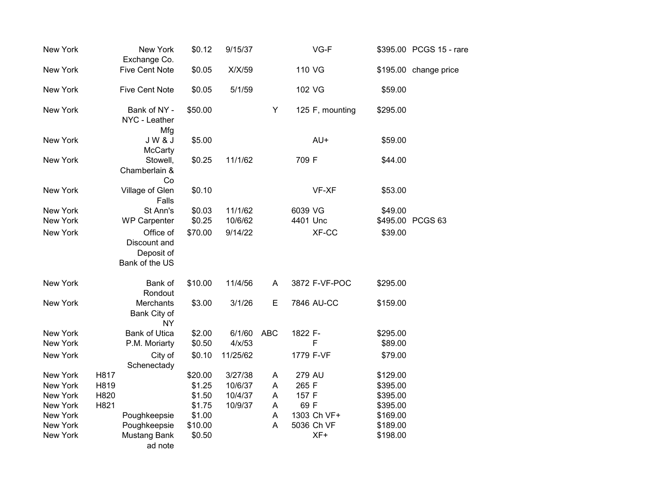| New York        | New York<br>Exchange Co.                                  | \$0.12  | 9/15/37  |            | VG-F            |          | \$395.00 PCGS 15 - rare |
|-----------------|-----------------------------------------------------------|---------|----------|------------|-----------------|----------|-------------------------|
| New York        | <b>Five Cent Note</b>                                     | \$0.05  | X/X/59   |            | 110 VG          |          | \$195.00 change price   |
| New York        | <b>Five Cent Note</b>                                     | \$0.05  | 5/1/59   |            | 102 VG          | \$59.00  |                         |
| New York        | Bank of NY -<br>NYC - Leather<br>Mfg                      | \$50.00 |          | Y          | 125 F, mounting | \$295.00 |                         |
| New York        | <b>JW&amp;J</b><br><b>McCarty</b>                         | \$5.00  |          |            | AU+             | \$59.00  |                         |
| New York        | Stowell,<br>Chamberlain &<br>Co                           | \$0.25  | 11/1/62  |            | 709 F           | \$44.00  |                         |
| New York        | Village of Glen<br>Falls                                  | \$0.10  |          |            | VF-XF           | \$53.00  |                         |
| New York        | St Ann's                                                  | \$0.03  | 11/1/62  |            | 6039 VG         | \$49.00  |                         |
| New York        | <b>WP Carpenter</b>                                       | \$0.25  | 10/6/62  |            | 4401 Unc        |          | \$495.00 PCGS 63        |
| New York        | Office of<br>Discount and<br>Deposit of<br>Bank of the US | \$70.00 | 9/14/22  |            | XF-CC           | \$39.00  |                         |
| New York        | Bank of<br>Rondout                                        | \$10.00 | 11/4/56  | A          | 3872 F-VF-POC   | \$295.00 |                         |
| New York        | Merchants<br>Bank City of<br><b>NY</b>                    | \$3.00  | 3/1/26   | Е          | 7846 AU-CC      | \$159.00 |                         |
| New York        | <b>Bank of Utica</b>                                      | \$2.00  | 6/1/60   | <b>ABC</b> | 1822 F-         | \$295.00 |                         |
| <b>New York</b> | P.M. Moriarty                                             | \$0.50  | 4/x/53   |            | F               | \$89.00  |                         |
| New York        | City of<br>Schenectady                                    | \$0.10  | 11/25/62 |            | 1779 F-VF       | \$79.00  |                         |
| New York        | H817                                                      | \$20.00 | 3/27/38  | A          | 279 AU          | \$129.00 |                         |
| New York        | H819                                                      | \$1.25  | 10/6/37  | A          | 265 F           | \$395.00 |                         |
| New York        | H820                                                      | \$1.50  | 10/4/37  | A          | 157 F           | \$395.00 |                         |
| New York        | H821                                                      | \$1.75  | 10/9/37  | A          | 69 F            | \$395.00 |                         |
| New York        | Poughkeepsie                                              | \$1.00  |          | A          | 1303 Ch VF+     | \$169.00 |                         |
| New York        | Poughkeepsie                                              | \$10.00 |          | A          | 5036 Ch VF      | \$189.00 |                         |
| New York        | Mustang Bank<br>ad note                                   | \$0.50  |          |            | XF+             | \$198.00 |                         |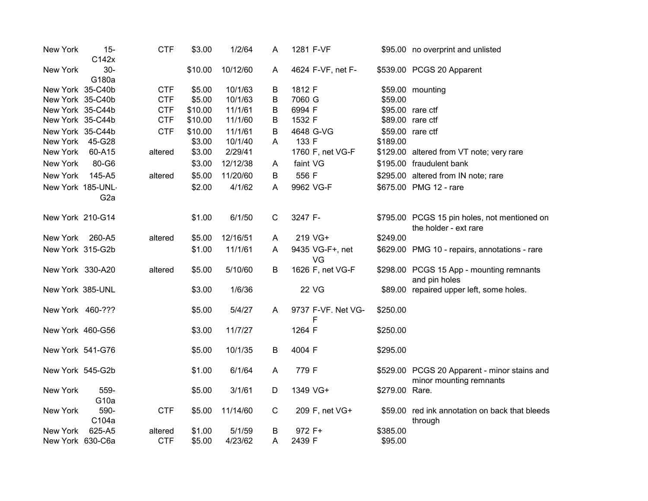| New York          | $15-$<br>C142x   | <b>CTF</b> | \$3.00  | 1/2/64   | Α            | 1281 F-VF               |                | \$95.00 no overprint and unlisted                                       |
|-------------------|------------------|------------|---------|----------|--------------|-------------------------|----------------|-------------------------------------------------------------------------|
| New York          | $30-$<br>G180a   |            | \$10.00 | 10/12/60 | A            | 4624 F-VF, net F-       |                | \$539.00 PCGS 20 Apparent                                               |
| New York 35-C40b  |                  | <b>CTF</b> | \$5.00  | 10/1/63  | B            | 1812 F                  |                | \$59.00 mounting                                                        |
| New York 35-C40b  |                  | <b>CTF</b> | \$5.00  | 10/1/63  | B            | 7060 G                  | \$59.00        |                                                                         |
| New York 35-C44b  |                  | <b>CTF</b> | \$10.00 | 11/1/61  | B            | 6994 F                  |                | \$95.00 rare ctf                                                        |
| New York 35-C44b  |                  | <b>CTF</b> | \$10.00 | 11/1/60  | B            | 1532 F                  |                | \$89.00 rare ctf                                                        |
| New York 35-C44b  |                  | <b>CTF</b> | \$10.00 | 11/1/61  | B            | 4648 G-VG               |                | \$59.00 rare ctf                                                        |
| New York          | 45-G28           |            | \$3.00  | 10/1/40  | A            | 133 F                   | \$189.00       |                                                                         |
| New York          | 60-A15           | altered    | \$3.00  | 2/29/41  |              | 1760 F, net VG-F        |                | \$129.00 altered from VT note; very rare                                |
| New York          | 80-G6            |            | \$3.00  | 12/12/38 | Α            | faint VG                |                | \$195.00 fraudulent bank                                                |
| New York          | 145-A5           | altered    | \$5.00  | 11/20/60 | B            | 556 F                   |                | \$295.00 altered from IN note; rare                                     |
| New York 185-UNL- |                  |            | \$2.00  | 4/1/62   | A            | 9962 VG-F               |                | \$675.00 PMG 12 - rare                                                  |
|                   | G <sub>2</sub> a |            |         |          |              |                         |                |                                                                         |
| New York 210-G14  |                  |            | \$1.00  | 6/1/50   | $\mathsf{C}$ | 3247 F-                 |                | \$795.00 PCGS 15 pin holes, not mentioned on<br>the holder - ext rare   |
| New York          | 260-A5           | altered    | \$5.00  | 12/16/51 | A            | 219 VG+                 | \$249.00       |                                                                         |
| New York 315-G2b  |                  |            | \$1.00  | 11/1/61  | A            | 9435 VG-F+, net<br>VG   |                | \$629.00 PMG 10 - repairs, annotations - rare                           |
| New York 330-A20  |                  | altered    | \$5.00  | 5/10/60  | B            | 1626 F, net VG-F        |                | \$298.00 PCGS 15 App - mounting remnants<br>and pin holes               |
| New York 385-UNL  |                  |            | \$3.00  | 1/6/36   |              | <b>22 VG</b>            |                | \$89.00 repaired upper left, some holes.                                |
| New York 460-???  |                  |            | \$5.00  | 5/4/27   | A            | 9737 F-VF. Net VG-<br>F | \$250.00       |                                                                         |
| New York 460-G56  |                  |            | \$3.00  | 11/7/27  |              | 1264 F                  | \$250.00       |                                                                         |
| New York 541-G76  |                  |            | \$5.00  | 10/1/35  | B            | 4004 F                  | \$295.00       |                                                                         |
| New York 545-G2b  |                  |            | \$1.00  | 6/1/64   | Α            | 779 F                   |                | \$529.00 PCGS 20 Apparent - minor stains and<br>minor mounting remnants |
| New York          | 559-<br>G10a     |            | \$5.00  | 3/1/61   | D            | 1349 VG+                | \$279.00 Rare. |                                                                         |
| New York          | 590-<br>C104a    | <b>CTF</b> | \$5.00  | 11/14/60 | C            | 209 F, net VG+          |                | \$59.00 red ink annotation on back that bleeds<br>through               |
| New York          | 625-A5           | altered    | \$1.00  | 5/1/59   | Β            | 972 F+                  | \$385.00       |                                                                         |
| New York 630-C6a  |                  | <b>CTF</b> | \$5.00  | 4/23/62  | A            | 2439 F                  | \$95.00        |                                                                         |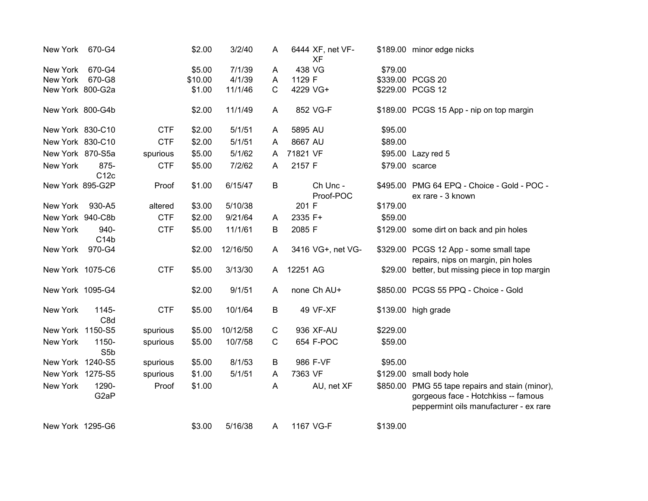| New York         | 670-G4                     |            | \$2.00  | 3/2/40   | A | 6444 XF, net VF-<br><b>XF</b> |          | \$189.00 minor edge nicks                                                                                                        |
|------------------|----------------------------|------------|---------|----------|---|-------------------------------|----------|----------------------------------------------------------------------------------------------------------------------------------|
| New York         | 670-G4                     |            | \$5.00  | 7/1/39   | A | 438 VG                        | \$79.00  |                                                                                                                                  |
| New York         | 670-G8                     |            | \$10.00 | 4/1/39   | A | 1129 F                        |          | \$339.00 PCGS 20                                                                                                                 |
| New York 800-G2a |                            |            | \$1.00  | 11/1/46  | C | 4229 VG+                      |          | \$229.00 PCGS 12                                                                                                                 |
| New York 800-G4b |                            |            | \$2.00  | 11/1/49  | A | 852 VG-F                      |          | \$189.00 PCGS 15 App - nip on top margin                                                                                         |
| New York 830-C10 |                            | <b>CTF</b> | \$2.00  | 5/1/51   | A | 5895 AU                       | \$95.00  |                                                                                                                                  |
| New York 830-C10 |                            | <b>CTF</b> | \$2.00  | 5/1/51   | A | 8667 AU                       | \$89.00  |                                                                                                                                  |
| New York 870-S5a |                            | spurious   | \$5.00  | 5/1/62   | A | 71821 VF                      |          | \$95.00 Lazy red 5                                                                                                               |
| New York         | 875-<br>C12c               | <b>CTF</b> | \$5.00  | 7/2/62   | A | 2157 F                        |          | \$79.00 scarce                                                                                                                   |
| New York 895-G2P |                            | Proof      | \$1.00  | 6/15/47  | B | Ch Unc -<br>Proof-POC         |          | \$495.00 PMG 64 EPQ - Choice - Gold - POC -<br>ex rare - 3 known                                                                 |
| New York         | 930-A5                     | altered    | \$3.00  | 5/10/38  |   | 201 F                         | \$179.00 |                                                                                                                                  |
| New York 940-C8b |                            | <b>CTF</b> | \$2.00  | 9/21/64  | A | 2335 F+                       | \$59.00  |                                                                                                                                  |
| New York         | 940-                       | <b>CTF</b> | \$5.00  | 11/1/61  | B | 2085 F                        |          | \$129.00 some dirt on back and pin holes                                                                                         |
|                  | C14b                       |            |         |          |   |                               |          |                                                                                                                                  |
| New York         | 970-G4                     |            | \$2.00  | 12/16/50 | A | 3416 VG+, net VG-             |          | \$329.00 PCGS 12 App - some small tape<br>repairs, nips on margin, pin holes                                                     |
| New York 1075-C6 |                            | <b>CTF</b> | \$5.00  | 3/13/30  | A | 12251 AG                      |          | \$29.00 better, but missing piece in top margin                                                                                  |
| New York 1095-G4 |                            |            | \$2.00  | 9/1/51   | A | none Ch AU+                   |          | \$850.00 PCGS 55 PPQ - Choice - Gold                                                                                             |
| New York         | 1145-<br>C8d               | <b>CTF</b> | \$5.00  | 10/1/64  | B | 49 VF-XF                      |          | \$139.00 high grade                                                                                                              |
| New York 1150-S5 |                            | spurious   | \$5.00  | 10/12/58 | C | 936 XF-AU                     | \$229.00 |                                                                                                                                  |
| New York         | 1150-<br>S5b               | spurious   | \$5.00  | 10/7/58  | C | 654 F-POC                     | \$59.00  |                                                                                                                                  |
| New York 1240-S5 |                            | spurious   | \$5.00  | 8/1/53   | B | 986 F-VF                      | \$95.00  |                                                                                                                                  |
| New York 1275-S5 |                            | spurious   | \$1.00  | 5/1/51   | A | 7363 VF                       |          | \$129.00 small body hole                                                                                                         |
| New York         | 1290-<br>G <sub>2</sub> aP | Proof      | \$1.00  |          | A | AU, net XF                    |          | \$850.00 PMG 55 tape repairs and stain (minor),<br>gorgeous face - Hotchkiss -- famous<br>peppermint oils manufacturer - ex rare |
| New York 1295-G6 |                            |            | \$3.00  | 5/16/38  | A | 1167 VG-F                     | \$139.00 |                                                                                                                                  |
|                  |                            |            |         |          |   |                               |          |                                                                                                                                  |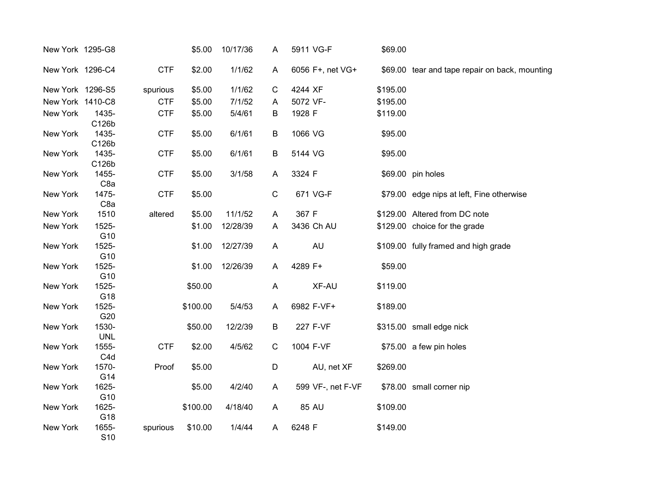| New York 1295-G8 |                           |            | \$5.00   | 10/17/36 | A           | 5911 VG-F         | \$69.00  |                                                |
|------------------|---------------------------|------------|----------|----------|-------------|-------------------|----------|------------------------------------------------|
| New York 1296-C4 |                           | <b>CTF</b> | \$2.00   | 1/1/62   | A           | 6056 F+, net VG+  |          | \$69.00 tear and tape repair on back, mounting |
| New York 1296-S5 |                           | spurious   | \$5.00   | 1/1/62   | $\mathsf C$ | 4244 XF           | \$195.00 |                                                |
| New York 1410-C8 |                           | <b>CTF</b> | \$5.00   | 7/1/52   | A           | 5072 VF-          | \$195.00 |                                                |
| New York         | 1435-<br>C126b            | <b>CTF</b> | \$5.00   | 5/4/61   | B           | 1928 F            | \$119.00 |                                                |
| New York         | 1435-<br>C126b            | <b>CTF</b> | \$5.00   | 6/1/61   | B           | 1066 VG           | \$95.00  |                                                |
| New York         | 1435-<br>C126b            | <b>CTF</b> | \$5.00   | 6/1/61   | B           | 5144 VG           | \$95.00  |                                                |
| New York         | 1455-<br>C <sub>8a</sub>  | <b>CTF</b> | \$5.00   | 3/1/58   | A           | 3324 F            |          | \$69.00 pin holes                              |
| New York         | 1475-<br>C <sub>8a</sub>  | <b>CTF</b> | \$5.00   |          | $\mathsf C$ | 671 VG-F          |          | \$79.00 edge nips at left, Fine otherwise      |
| New York         | 1510                      | altered    | \$5.00   | 11/1/52  | A           | 367 F             |          | \$129.00 Altered from DC note                  |
| New York         | 1525-<br>G10              |            | \$1.00   | 12/28/39 | A           | 3436 Ch AU        |          | \$129.00 choice for the grade                  |
| New York         | 1525-<br>G10              |            | \$1.00   | 12/27/39 | A           | <b>AU</b>         |          | \$109.00 fully framed and high grade           |
| New York         | 1525-<br>G10              |            | \$1.00   | 12/26/39 | A           | 4289 F+           | \$59.00  |                                                |
| New York         | 1525-<br>G18              |            | \$50.00  |          | A           | XF-AU             | \$119.00 |                                                |
| New York         | 1525-<br>G20              |            | \$100.00 | 5/4/53   | A           | 6982 F-VF+        | \$189.00 |                                                |
| New York         | 1530-<br><b>UNL</b>       |            | \$50.00  | 12/2/39  | B           | 227 F-VF          |          | \$315.00 small edge nick                       |
| New York         | 1555-<br>C <sub>4</sub> d | <b>CTF</b> | \$2.00   | 4/5/62   | $\mathbf C$ | 1004 F-VF         |          | \$75.00 a few pin holes                        |
| New York         | 1570-<br>G14              | Proof      | \$5.00   |          | D           | AU, net XF        | \$269.00 |                                                |
| New York         | 1625-<br>G10              |            | \$5.00   | 4/2/40   | A           | 599 VF-, net F-VF |          | \$78.00 small corner nip                       |
| New York         | 1625-<br>G18              |            | \$100.00 | 4/18/40  | A           | 85 AU             | \$109.00 |                                                |
| New York         | 1655-<br>S <sub>10</sub>  | spurious   | \$10.00  | 1/4/44   | A           | 6248 F            | \$149.00 |                                                |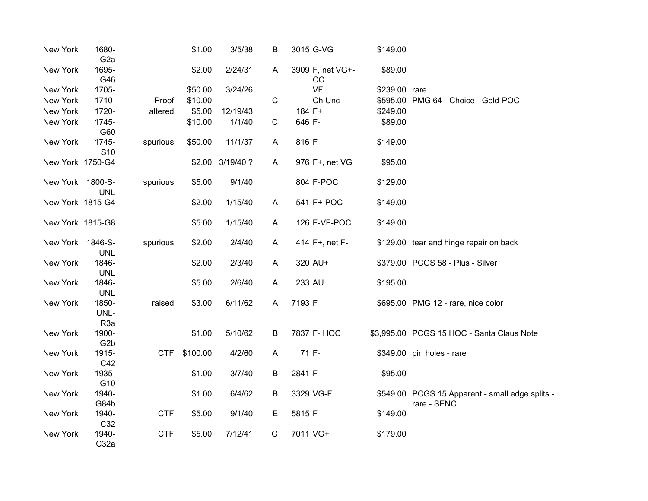| New York         | 1680-<br>G <sub>2</sub> a |            | \$1.00   | 3/5/38           | Β | 3015 G-VG              | \$149.00      |                                                 |
|------------------|---------------------------|------------|----------|------------------|---|------------------------|---------------|-------------------------------------------------|
| New York         | 1695-<br>G46              |            | \$2.00   | 2/24/31          | A | 3909 F, net VG+-<br>cc | \$89.00       |                                                 |
| New York         | 1705-                     |            | \$50.00  | 3/24/26          |   | <b>VF</b>              | \$239.00 rare |                                                 |
| New York         | 1710-                     | Proof      | \$10.00  |                  | C | Ch Unc -               |               | \$595.00 PMG 64 - Choice - Gold-POC             |
| New York         | 1720-                     | altered    | \$5.00   | 12/19/43         |   | 184 F+                 | \$249.00      |                                                 |
| New York         | 1745-                     |            | \$10.00  | 1/1/40           | C | 646 F-                 | \$89.00       |                                                 |
|                  | G60                       |            |          |                  |   |                        |               |                                                 |
| New York         | 1745-                     | spurious   | \$50.00  | 11/1/37          | A | 816 F                  | \$149.00      |                                                 |
|                  | S <sub>10</sub>           |            |          |                  |   |                        |               |                                                 |
| New York 1750-G4 |                           |            |          | \$2.00 3/19/40 ? | A | 976 F+, net VG         | \$95.00       |                                                 |
| New York         | 1800-S-<br><b>UNL</b>     | spurious   | \$5.00   | 9/1/40           |   | 804 F-POC              | \$129.00      |                                                 |
| New York 1815-G4 |                           |            | \$2.00   | 1/15/40          | A | 541 F+-POC             | \$149.00      |                                                 |
| New York 1815-G8 |                           |            | \$5.00   | 1/15/40          | A | 126 F-VF-POC           | \$149.00      |                                                 |
|                  |                           |            |          |                  |   |                        |               |                                                 |
| New York         | 1846-S-                   | spurious   | \$2.00   | 2/4/40           | A | 414 F+, net F-         |               | \$129.00 tear and hinge repair on back          |
|                  | <b>UNL</b>                |            |          |                  |   |                        |               |                                                 |
| New York         | 1846-                     |            | \$2.00   | 2/3/40           | A | 320 AU+                |               | \$379.00 PCGS 58 - Plus - Silver                |
|                  | <b>UNL</b>                |            |          |                  |   |                        |               |                                                 |
| New York         | 1846-                     |            | \$5.00   | 2/6/40           | A | 233 AU                 | \$195.00      |                                                 |
| New York         | <b>UNL</b><br>1850-       | raised     | \$3.00   | 6/11/62          | A | 7193 F                 |               | \$695.00 PMG 12 - rare, nice color              |
|                  | UNL-                      |            |          |                  |   |                        |               |                                                 |
|                  | R <sub>3a</sub>           |            |          |                  |   |                        |               |                                                 |
| New York         | 1900-                     |            | \$1.00   | 5/10/62          | B | 7837 F- HOC            |               | \$3,995.00 PCGS 15 HOC - Santa Claus Note       |
|                  | G <sub>2</sub> b          |            |          |                  |   |                        |               |                                                 |
| New York         | 1915-                     | <b>CTF</b> | \$100.00 | 4/2/60           | A | 71 F-                  |               | \$349.00 pin holes - rare                       |
|                  | C42                       |            |          |                  |   |                        |               |                                                 |
| New York         | 1935-                     |            | \$1.00   | 3/7/40           | B | 2841 F                 | \$95.00       |                                                 |
|                  | G10                       |            |          |                  |   |                        |               |                                                 |
| New York         | 1940-                     |            | \$1.00   | 6/4/62           | B | 3329 VG-F              |               | \$549.00 PCGS 15 Apparent - small edge splits - |
|                  | G84b                      |            |          |                  |   |                        |               | rare - SENC                                     |
| New York         | 1940-                     | <b>CTF</b> | \$5.00   | 9/1/40           | Е | 5815 F                 | \$149.00      |                                                 |
|                  | C32                       |            |          |                  |   |                        |               |                                                 |
| New York         | 1940-<br>C32a             | <b>CTF</b> | \$5.00   | 7/12/41          | G | 7011 VG+               | \$179.00      |                                                 |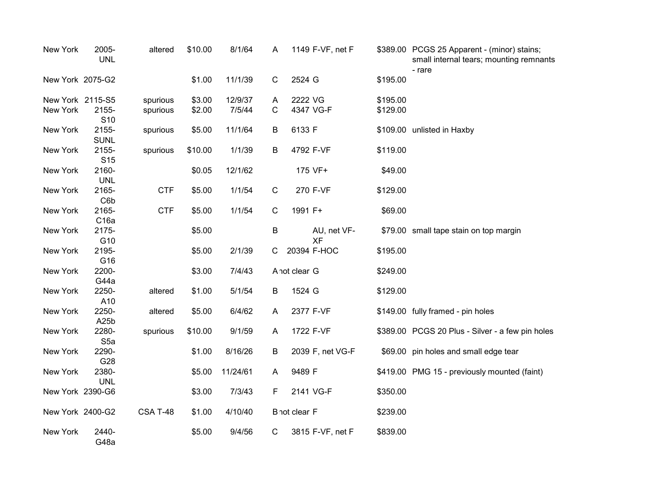| New York         | 2005-<br><b>UNL</b>       | altered    | \$10.00 | 8/1/64   | A           | 1149 F-VF, net F         |          | \$389.00 PCGS 25 Apparent - (minor) stains;<br>small internal tears; mounting remnants<br>- rare |
|------------------|---------------------------|------------|---------|----------|-------------|--------------------------|----------|--------------------------------------------------------------------------------------------------|
| New York 2075-G2 |                           |            | \$1.00  | 11/1/39  | C           | 2524 G                   | \$195.00 |                                                                                                  |
| New York 2115-S5 |                           | spurious   | \$3.00  | 12/9/37  | A           | 2222 VG                  | \$195.00 |                                                                                                  |
| New York         | 2155-<br>S <sub>10</sub>  | spurious   | \$2.00  | 7/5/44   | C           | 4347 VG-F                | \$129.00 |                                                                                                  |
| New York         | 2155-<br><b>SUNL</b>      | spurious   | \$5.00  | 11/1/64  | B           | 6133 F                   |          | \$109.00 unlisted in Haxby                                                                       |
| New York         | 2155-<br>S <sub>15</sub>  | spurious   | \$10.00 | 1/1/39   | B           | 4792 F-VF                | \$119.00 |                                                                                                  |
| New York         | 2160-<br><b>UNL</b>       |            | \$0.05  | 12/1/62  |             | 175 VF+                  | \$49.00  |                                                                                                  |
| New York         | 2165-<br>C6b              | <b>CTF</b> | \$5.00  | 1/1/54   | C           | 270 F-VF                 | \$129.00 |                                                                                                  |
| New York         | 2165-<br>C <sub>16a</sub> | <b>CTF</b> | \$5.00  | 1/1/54   | $\mathsf C$ | 1991 F+                  | \$69.00  |                                                                                                  |
| New York         | 2175-<br>G10              |            | \$5.00  |          | B           | AU, net VF-<br><b>XF</b> |          | \$79.00 small tape stain on top margin                                                           |
| New York         | 2195-<br>G16              |            | \$5.00  | 2/1/39   | С           | 20394 F-HOC              | \$195.00 |                                                                                                  |
| New York         | 2200-<br>G44a             |            | \$3.00  | 7/4/43   |             | A not clear G            | \$249.00 |                                                                                                  |
| New York         | 2250-<br>A10              | altered    | \$1.00  | 5/1/54   | B           | 1524 G                   | \$129.00 |                                                                                                  |
| New York         | 2250-<br>A25b             | altered    | \$5.00  | 6/4/62   | A           | 2377 F-VF                |          | \$149.00 fully framed - pin holes                                                                |
| New York         | 2280-<br>S <sub>5a</sub>  | spurious   | \$10.00 | 9/1/59   | A           | 1722 F-VF                |          | \$389.00 PCGS 20 Plus - Silver - a few pin holes                                                 |
| New York         | 2290-<br>G28              |            | \$1.00  | 8/16/26  | В           | 2039 F, net VG-F         |          | \$69.00 pin holes and small edge tear                                                            |
| New York         | 2380-<br><b>UNL</b>       |            | \$5.00  | 11/24/61 | A           | 9489 F                   |          | \$419.00 PMG 15 - previously mounted (faint)                                                     |
| New York 2390-G6 |                           |            | \$3.00  | 7/3/43   | F           | 2141 VG-F                | \$350.00 |                                                                                                  |
| New York 2400-G2 |                           | CSA T-48   | \$1.00  | 4/10/40  |             | B not clear F            | \$239.00 |                                                                                                  |
| New York         | 2440-<br>G48a             |            | \$5.00  | 9/4/56   | C           | 3815 F-VF, net F         | \$839.00 |                                                                                                  |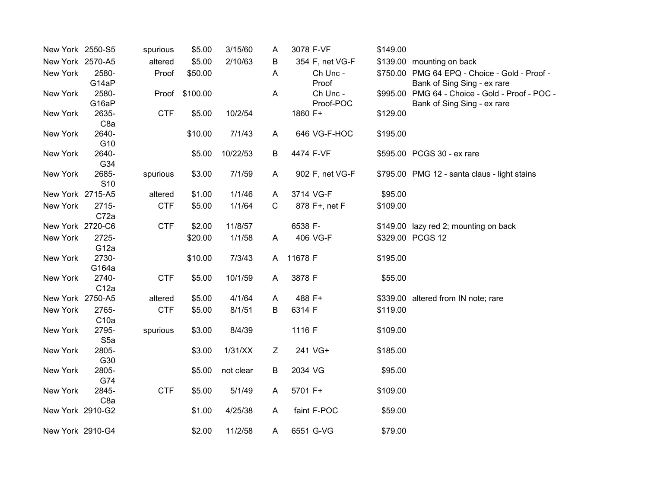| New York 2550-S5 |                  | spurious   | \$5.00         | 3/15/60   | A            | 3078 F-VF       | \$149.00 |                                                 |
|------------------|------------------|------------|----------------|-----------|--------------|-----------------|----------|-------------------------------------------------|
| New York 2570-A5 |                  | altered    | \$5.00         | 2/10/63   | B            | 354 F, net VG-F |          | \$139.00 mounting on back                       |
| New York         | 2580-            | Proof      | \$50.00        |           | A            | Ch Unc -        |          | \$750.00 PMG 64 EPQ - Choice - Gold - Proof -   |
|                  | G14aP            |            |                |           |              | Proof           |          | Bank of Sing Sing - ex rare                     |
| New York         | 2580-            |            | Proof \$100.00 |           | A            | Ch Unc -        |          | \$995.00 PMG 64 - Choice - Gold - Proof - POC - |
|                  | G16aP            |            |                |           |              | Proof-POC       |          | Bank of Sing Sing - ex rare                     |
| New York         | 2635-            | <b>CTF</b> | \$5.00         | 10/2/54   |              | 1860 F+         | \$129.00 |                                                 |
|                  | C <sub>8a</sub>  |            |                |           |              |                 |          |                                                 |
| New York         | 2640-            |            | \$10.00        | 7/1/43    | A            | 646 VG-F-HOC    | \$195.00 |                                                 |
|                  | G10              |            |                |           |              |                 |          |                                                 |
| New York         | 2640-            |            | \$5.00         | 10/22/53  | B            | 4474 F-VF       |          | \$595.00 PCGS 30 - ex rare                      |
|                  | G34              |            |                |           |              |                 |          |                                                 |
| New York         | 2685-            | spurious   | \$3.00         | 7/1/59    | A            | 902 F, net VG-F |          | \$795.00 PMG 12 - santa claus - light stains    |
| New York 2715-A5 | S <sub>10</sub>  | altered    |                | 1/1/46    | A            | 3714 VG-F       | \$95.00  |                                                 |
|                  |                  |            | \$1.00         |           |              |                 |          |                                                 |
| New York         | 2715-            | <b>CTF</b> | \$5.00         | 1/1/64    | $\mathsf{C}$ | 878 F+, net F   | \$109.00 |                                                 |
|                  | C72a             |            |                |           |              |                 |          |                                                 |
| New York 2720-C6 |                  | <b>CTF</b> | \$2.00         | 11/8/57   |              | 6538 F-         |          | \$149.00 lazy red 2; mounting on back           |
| New York         | 2725-            |            | \$20.00        | 1/1/58    | A            | 406 VG-F        |          | \$329.00 PCGS 12                                |
|                  | G <sub>12a</sub> |            |                |           |              |                 |          |                                                 |
| New York         | 2730-            |            | \$10.00        | 7/3/43    | A            | 11678 F         | \$195.00 |                                                 |
| New York         | G164a<br>2740-   | <b>CTF</b> | \$5.00         | 10/1/59   | A            | 3878 F          | \$55.00  |                                                 |
|                  | C12a             |            |                |           |              |                 |          |                                                 |
| New York 2750-A5 |                  | altered    | \$5.00         | 4/1/64    | A            | 488 F+          |          | \$339.00 altered from IN note; rare             |
| New York         | 2765-            | <b>CTF</b> | \$5.00         | 8/1/51    | B            | 6314 F          | \$119.00 |                                                 |
|                  | C10a             |            |                |           |              |                 |          |                                                 |
| New York         | 2795-            | spurious   | \$3.00         | 8/4/39    |              | 1116 F          | \$109.00 |                                                 |
|                  | S <sub>5a</sub>  |            |                |           |              |                 |          |                                                 |
| New York         | 2805-            |            | \$3.00         | 1/31/XX   | Z            | 241 VG+         | \$185.00 |                                                 |
|                  | G30              |            |                |           |              |                 |          |                                                 |
| New York         | 2805-            |            | \$5.00         | not clear | B            | 2034 VG         | \$95.00  |                                                 |
|                  | G74              |            |                |           |              |                 |          |                                                 |
| New York         | 2845-            | <b>CTF</b> | \$5.00         | 5/1/49    | A            | 5701 F+         | \$109.00 |                                                 |
|                  | C <sub>8a</sub>  |            |                |           |              |                 |          |                                                 |
| New York 2910-G2 |                  |            | \$1.00         | 4/25/38   | A            | faint F-POC     | \$59.00  |                                                 |
|                  |                  |            |                |           |              |                 |          |                                                 |
| New York 2910-G4 |                  |            | \$2.00         | 11/2/58   | A            | 6551 G-VG       | \$79.00  |                                                 |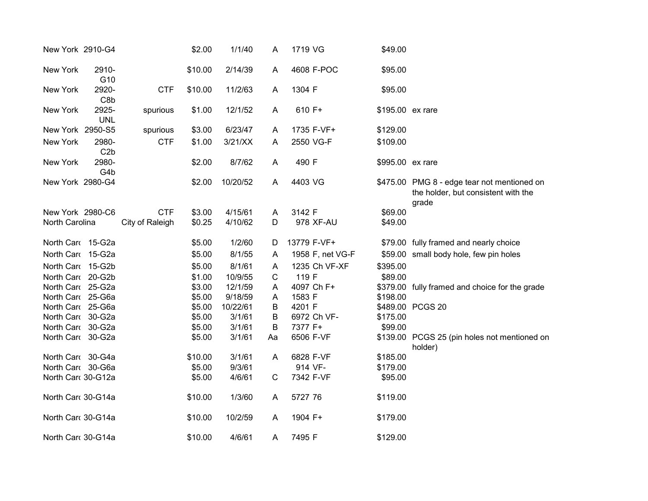| New York 2910-G4   |                     |                 | \$2.00  | 1/1/40   | A  | 1719 VG          | \$49.00          |                                                                                             |
|--------------------|---------------------|-----------------|---------|----------|----|------------------|------------------|---------------------------------------------------------------------------------------------|
| New York           | 2910-<br>G10        |                 | \$10.00 | 2/14/39  | A  | 4608 F-POC       | \$95.00          |                                                                                             |
| New York           | 2920-<br>C8b        | <b>CTF</b>      | \$10.00 | 11/2/63  | A  | 1304 F           | \$95.00          |                                                                                             |
| New York           | 2925-<br><b>UNL</b> | spurious        | \$1.00  | 12/1/52  | A  | 610 F+           | \$195.00 ex rare |                                                                                             |
| New York 2950-S5   |                     | spurious        | \$3.00  | 6/23/47  | A  | 1735 F-VF+       | \$129.00         |                                                                                             |
| New York           | 2980-<br>C2b        | <b>CTF</b>      | \$1.00  | 3/21/XX  | A  | 2550 VG-F        | \$109.00         |                                                                                             |
| New York           | 2980-<br>G4b        |                 | \$2.00  | 8/7/62   | A  | 490 F            | \$995.00 ex rare |                                                                                             |
| New York 2980-G4   |                     |                 | \$2.00  | 10/20/52 | A  | 4403 VG          |                  | \$475.00 PMG 8 - edge tear not mentioned on<br>the holder, but consistent with the<br>grade |
| New York 2980-C6   |                     | <b>CTF</b>      | \$3.00  | 4/15/61  | A  | 3142 F           | \$69.00          |                                                                                             |
| North Carolina     |                     | City of Raleigh | \$0.25  | 4/10/62  | D  | 978 XF-AU        | \$49.00          |                                                                                             |
| North Card 15-G2a  |                     |                 | \$5.00  | 1/2/60   | D  | 13779 F-VF+      |                  | \$79.00 fully framed and nearly choice                                                      |
| North Card 15-G2a  |                     |                 | \$5.00  | 8/1/55   | A  | 1958 F, net VG-F |                  | \$59.00 small body hole, few pin holes                                                      |
| North Card 15-G2b  |                     |                 | \$5.00  | 8/1/61   | A  | 1235 Ch VF-XF    | \$395.00         |                                                                                             |
| North Card 20-G2b  |                     |                 | \$1.00  | 10/9/55  | C  | 119 F            | \$89.00          |                                                                                             |
| North Card 25-G2a  |                     |                 | \$3.00  | 12/1/59  | A  | 4097 Ch F+       |                  | \$379.00 fully framed and choice for the grade                                              |
| North Car 25-G6a   |                     |                 | \$5.00  | 9/18/59  | Α  | 1583 F           | \$198.00         |                                                                                             |
| North Card 25-G6a  |                     |                 | \$5.00  | 10/22/61 | B  | 4201 F           |                  | \$489.00 PCGS 20                                                                            |
| North Card 30-G2a  |                     |                 | \$5.00  | 3/1/61   | B  | 6972 Ch VF-      | \$175.00         |                                                                                             |
| North Card 30-G2a  |                     |                 | \$5.00  | 3/1/61   | B  | 7377 F+          | \$99.00          |                                                                                             |
| North Card 30-G2a  |                     |                 | \$5.00  | 3/1/61   | Aa | 6506 F-VF        |                  | \$139.00 PCGS 25 (pin holes not mentioned on<br>holder)                                     |
| North Card 30-G4a  |                     |                 | \$10.00 | 3/1/61   | A  | 6828 F-VF        | \$185.00         |                                                                                             |
| North Card 30-G6a  |                     |                 | \$5.00  | 9/3/61   |    | 914 VF-          | \$179.00         |                                                                                             |
| North Car 30-G12a  |                     |                 | \$5.00  | 4/6/61   | C  | 7342 F-VF        | \$95.00          |                                                                                             |
| North Card 30-G14a |                     |                 | \$10.00 | 1/3/60   | A  | 5727 76          | \$119.00         |                                                                                             |
| North Car 30-G14a  |                     |                 | \$10.00 | 10/2/59  | A  | 1904 F+          | \$179.00         |                                                                                             |
| North Card 30-G14a |                     |                 | \$10.00 | 4/6/61   | A  | 7495 F           | \$129.00         |                                                                                             |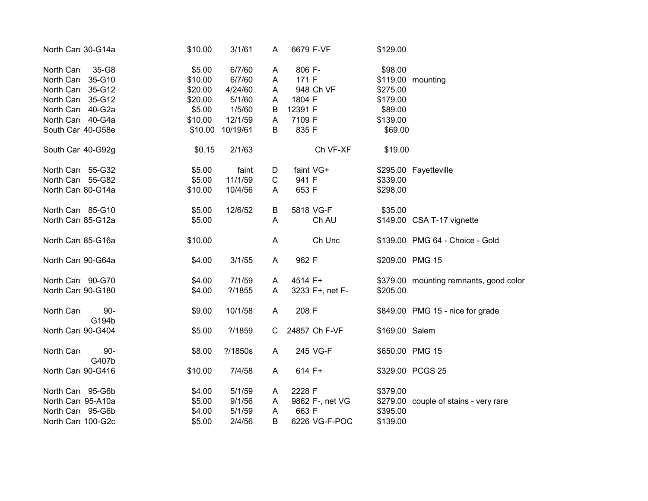| North Car 30-G14a  |                 | \$10.00 | 3/1/61    | A           | 6679 F-VF       | \$129.00        |                                        |
|--------------------|-----------------|---------|-----------|-------------|-----------------|-----------------|----------------------------------------|
| North Card         | 35-G8           | \$5.00  | 6/7/60    | A           | 806 F-          | \$98.00         |                                        |
| North Car 35-G10   |                 | \$10.00 | 6/7/60    | A           | 171 F           |                 | \$119.00 mounting                      |
| North Card 35-G12  |                 | \$20.00 | 4/24/60   | A           | 948 Ch VF       | \$275.00        |                                        |
| North Card 35-G12  |                 | \$20.00 | 5/1/60    | A           | 1804 F          | \$179.00        |                                        |
| North Card 40-G2a  |                 | \$5.00  | 1/5/60    | B           | 12391 F         | \$89.00         |                                        |
| North Card 40-G4a  |                 | \$10.00 | 12/1/59   | A           | 7109 F          | \$139.00        |                                        |
| South Car 40-G58e  |                 | \$10.00 | 10/19/61  | B           | 835 F           | \$69.00         |                                        |
| South Car 40-G92g  |                 | \$0.15  | 2/1/63    |             | Ch VF-XF        | \$19.00         |                                        |
| North Card 55-G32  |                 | \$5.00  | faint     | D           | faint VG+       |                 | \$295.00 Fayetteville                  |
| North Card 55-G82  |                 | \$5.00  | 11/1/59   | $\mathbf C$ | 941 F           | \$339.00        |                                        |
| North Car 80-G14a  |                 | \$10.00 | 10/4/56   | A           | 653 F           | \$298.00        |                                        |
| North Card 85-G10  |                 | \$5.00  | 12/6/52   | B           | 5818 VG-F       | \$35.00         |                                        |
| North Car 85-G12a  |                 | \$5.00  |           | A           | Ch AU           |                 | \$149.00 CSA T-17 vignette             |
| North Car 85-G16a  |                 | \$10.00 |           | A           | Ch Unc          |                 | \$139.00 PMG 64 - Choice - Gold        |
| North Card 90-G64a |                 | \$4.00  | 3/1/55    | A           | 962 F           | \$209.00 PMG 15 |                                        |
| North Card 90-G70  |                 | \$4.00  | 7/1/59    | A           | 4514 F+         |                 | \$379.00 mounting remnants, good color |
| North Car  90-G180 |                 | \$4.00  | ? / 1855  | A           | 3233 F+, net F- | \$205.00        |                                        |
| North Card         | $90 -$<br>G194b | \$9.00  | 10/1/58   | A           | 208 F           |                 | \$849.00 PMG 15 - nice for grade       |
| North Card 90-G404 |                 | \$5.00  | ?/1859    | C           | 24857 Ch F-VF   | \$169.00 Salem  |                                        |
| North Card         | $90 -$<br>G407b | \$8.00  | ? / 1850s | A           | 245 VG-F        | \$650.00 PMG 15 |                                        |
| North Car 90-G416  |                 | \$10.00 | 7/4/58    | A           | 614 F+          |                 | \$329.00 PCGS 25                       |
| North Card 95-G6b  |                 | \$4.00  | 5/1/59    | A           | 2228 F          | \$379.00        |                                        |
| North Card 95-A10a |                 | \$5.00  | 9/1/56    | Α           | 9862 F-, net VG |                 | \$279.00 couple of stains - very rare  |
| North Card 95-G6b  |                 | \$4.00  | 5/1/59    | A           | 663 F           | \$395.00        |                                        |
| North Car  100-G2c |                 | \$5.00  | 2/4/56    | B           | 6226 VG-F-POC   | \$139.00        |                                        |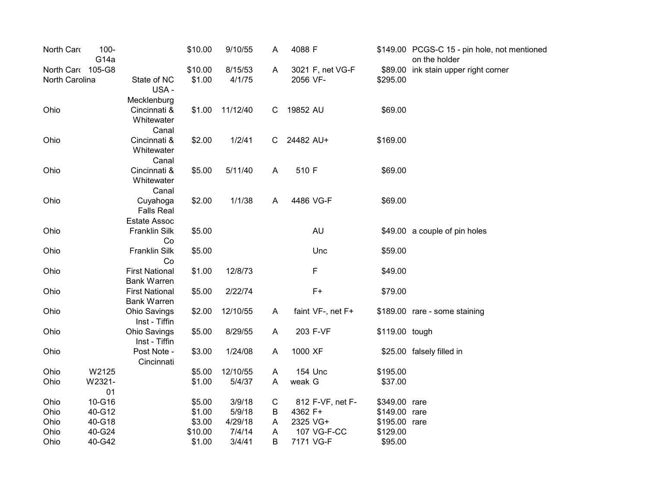| North Card        | $100 -$<br>G <sub>14a</sub> |                                                   | \$10.00 | 9/10/55  | A  | 4088 F            |                | \$149.00 PCGS-C 15 - pin hole, not mentioned<br>on the holder |
|-------------------|-----------------------------|---------------------------------------------------|---------|----------|----|-------------------|----------------|---------------------------------------------------------------|
| North Card 105-G8 |                             |                                                   | \$10.00 | 8/15/53  | A  | 3021 F, net VG-F  |                | \$89.00 ink stain upper right corner                          |
| North Carolina    |                             | State of NC<br>USA-                               | \$1.00  | 4/1/75   |    | 2056 VF-          | \$295.00       |                                                               |
|                   |                             | Mecklenburg                                       |         |          |    |                   |                |                                                               |
| Ohio              |                             | Cincinnati &<br>Whitewater<br>Canal               | \$1.00  | 11/12/40 | C  | 19852 AU          | \$69.00        |                                                               |
| Ohio              |                             | Cincinnati &<br>Whitewater<br>Canal               | \$2.00  | 1/2/41   | C. | 24482 AU+         | \$169.00       |                                                               |
| Ohio              |                             | Cincinnati &<br>Whitewater                        | \$5.00  | 5/11/40  | A  | 510 F             | \$69.00        |                                                               |
| Ohio              |                             | Canal<br>Cuyahoga<br><b>Falls Real</b>            | \$2.00  | 1/1/38   | A  | 4486 VG-F         | \$69.00        |                                                               |
| Ohio              |                             | <b>Estate Assoc</b><br><b>Franklin Silk</b><br>Co | \$5.00  |          |    | <b>AU</b>         |                | \$49.00 a couple of pin holes                                 |
| Ohio              |                             | <b>Franklin Silk</b><br>Co                        | \$5.00  |          |    | Unc               | \$59.00        |                                                               |
| Ohio              |                             | <b>First National</b><br><b>Bank Warren</b>       | \$1.00  | 12/8/73  |    | F                 | \$49.00        |                                                               |
| Ohio              |                             | <b>First National</b><br><b>Bank Warren</b>       | \$5.00  | 2/22/74  |    | $F+$              | \$79.00        |                                                               |
| Ohio              |                             | <b>Ohio Savings</b><br>Inst - Tiffin              | \$2.00  | 12/10/55 | A  | faint VF-, net F+ |                | \$189.00 rare - some staining                                 |
| Ohio              |                             | <b>Ohio Savings</b><br>Inst - Tiffin              | \$5.00  | 8/29/55  | A  | 203 F-VF          | \$119.00 tough |                                                               |
| Ohio              |                             | Post Note -<br>Cincinnati                         | \$3.00  | 1/24/08  | A  | 1000 XF           |                | \$25.00 falsely filled in                                     |
| Ohio              | W2125                       |                                                   | \$5.00  | 12/10/55 | A  | 154 Unc           | \$195.00       |                                                               |
| Ohio              | W2321-<br>01                |                                                   | \$1.00  | 5/4/37   | A  | weak G            | \$37.00        |                                                               |
| Ohio              | 10-G16                      |                                                   | \$5.00  | 3/9/18   | C  | 812 F-VF, net F-  | \$349.00 rare  |                                                               |
| Ohio              | 40-G12                      |                                                   | \$1.00  | 5/9/18   | Β  | 4362 F+           | \$149.00 rare  |                                                               |
| Ohio              | 40-G18                      |                                                   | \$3.00  | 4/29/18  | A  | 2325 VG+          | \$195.00 rare  |                                                               |
| Ohio              | 40-G24                      |                                                   | \$10.00 | 7/4/14   | A  | 107 VG-F-CC       | \$129.00       |                                                               |
| Ohio              | 40-G42                      |                                                   | \$1.00  | 3/4/41   | B  | 7171 VG-F         | \$95.00        |                                                               |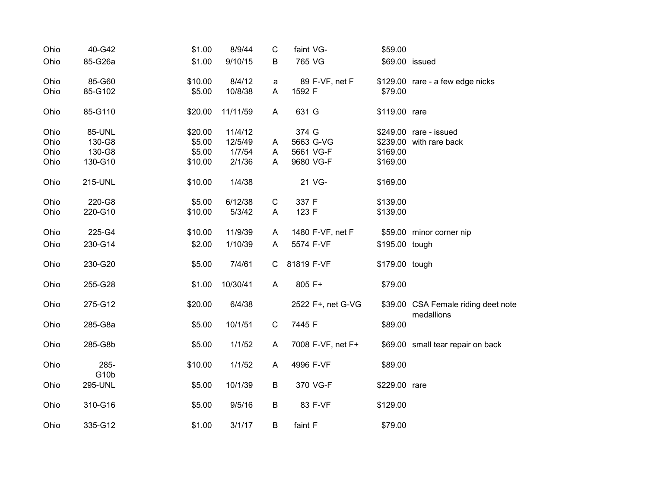| Ohio | 40-G42          | \$1.00  | 8/9/44   | C           | faint VG-         | \$59.00        |                                                   |
|------|-----------------|---------|----------|-------------|-------------------|----------------|---------------------------------------------------|
| Ohio | 85-G26a         | \$1.00  | 9/10/15  | B           | 765 VG            | \$69.00 issued |                                                   |
| Ohio | 85-G60          | \$10.00 | 8/4/12   | a           | 89 F-VF, net F    |                | \$129.00 rare - a few edge nicks                  |
| Ohio | 85-G102         | \$5.00  | 10/8/38  | A           | 1592 F            | \$79.00        |                                                   |
| Ohio | 85-G110         | \$20.00 | 11/11/59 | A           | 631 G             | \$119.00 rare  |                                                   |
| Ohio | 85-UNL          | \$20.00 | 11/4/12  |             | 374 G             |                | \$249.00 rare - issued                            |
| Ohio | 130-G8          | \$5.00  | 12/5/49  | A           | 5663 G-VG         |                | \$239.00 with rare back                           |
| Ohio | 130-G8          | \$5.00  | 1/7/54   | A           | 5661 VG-F         | \$169.00       |                                                   |
| Ohio | 130-G10         | \$10.00 | 2/1/36   | A           | 9680 VG-F         | \$169.00       |                                                   |
| Ohio | 215-UNL         | \$10.00 | 1/4/38   |             | 21 VG-            | \$169.00       |                                                   |
| Ohio | 220-G8          | \$5.00  | 6/12/38  | $\mathsf C$ | 337 F             | \$139.00       |                                                   |
| Ohio | 220-G10         | \$10.00 | 5/3/42   | A           | 123 F             | \$139.00       |                                                   |
| Ohio | 225-G4          | \$10.00 | 11/9/39  | A           | 1480 F-VF, net F  |                | \$59.00 minor corner nip                          |
| Ohio | 230-G14         | \$2.00  | 1/10/39  | A           | 5574 F-VF         | \$195.00 tough |                                                   |
| Ohio | 230-G20         | \$5.00  | 7/4/61   | C           | 81819 F-VF        | \$179.00 tough |                                                   |
| Ohio | 255-G28         | \$1.00  | 10/30/41 | A           | 805 F+            | \$79.00        |                                                   |
| Ohio | 275-G12         | \$20.00 | 6/4/38   |             | 2522 F+, net G-VG |                | \$39.00 CSA Female riding deet note<br>medallions |
| Ohio | 285-G8a         | \$5.00  | 10/1/51  | $\mathbf C$ | 7445 F            | \$89.00        |                                                   |
| Ohio | 285-G8b         | \$5.00  | 1/1/52   | A           | 7008 F-VF, net F+ |                | \$69.00 small tear repair on back                 |
| Ohio | 285-            | \$10.00 | 1/1/52   | A           | 4996 F-VF         | \$89.00        |                                                   |
| Ohio | G10b<br>295-UNL | \$5.00  | 10/1/39  | B           | 370 VG-F          | \$229.00 rare  |                                                   |
| Ohio | 310-G16         | \$5.00  | 9/5/16   | B           | 83 F-VF           | \$129.00       |                                                   |
| Ohio | 335-G12         | \$1.00  | 3/1/17   | B           | faint F           | \$79.00        |                                                   |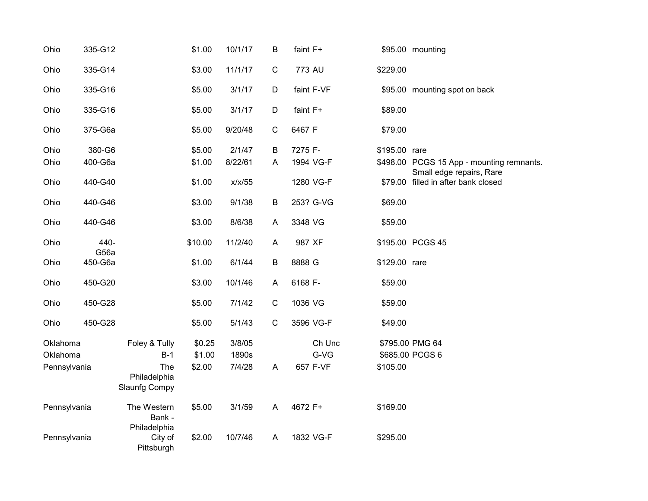| Ohio         | 335-G12      |                                       | \$1.00  | 10/1/17 | B            | faint F+   |               | \$95.00 mounting                                                |
|--------------|--------------|---------------------------------------|---------|---------|--------------|------------|---------------|-----------------------------------------------------------------|
| Ohio         | 335-G14      |                                       | \$3.00  | 11/1/17 | ${\bf C}$    | 773 AU     | \$229.00      |                                                                 |
| Ohio         | 335-G16      |                                       | \$5.00  | 3/1/17  | D            | faint F-VF |               | \$95.00 mounting spot on back                                   |
| Ohio         | 335-G16      |                                       | \$5.00  | 3/1/17  | D            | faint F+   | \$89.00       |                                                                 |
| Ohio         | 375-G6a      |                                       | \$5.00  | 9/20/48 | $\mathsf{C}$ | 6467 F     | \$79.00       |                                                                 |
| Ohio         | 380-G6       |                                       | \$5.00  | 2/1/47  | B            | 7275 F-    | \$195.00 rare |                                                                 |
| Ohio         | 400-G6a      |                                       | \$1.00  | 8/22/61 | A            | 1994 VG-F  |               | \$498.00 PCGS 15 App - mounting remnants.                       |
| Ohio         | 440-G40      |                                       | \$1.00  | x/x/55  |              | 1280 VG-F  |               | Small edge repairs, Rare<br>\$79.00 filled in after bank closed |
|              |              |                                       |         |         |              |            |               |                                                                 |
| Ohio         | 440-G46      |                                       | \$3.00  | 9/1/38  | $\mathsf B$  | 253? G-VG  | \$69.00       |                                                                 |
| Ohio         | 440-G46      |                                       | \$3.00  | 8/6/38  | A            | 3348 VG    | \$59.00       |                                                                 |
| Ohio         | 440-<br>G56a |                                       | \$10.00 | 11/2/40 | $\mathsf{A}$ | 987 XF     |               | \$195.00 PCGS 45                                                |
| Ohio         | 450-G6a      |                                       | \$1.00  | 6/1/44  | B            | 8888 G     | \$129.00 rare |                                                                 |
| Ohio         | 450-G20      |                                       | \$3.00  | 10/1/46 | A            | 6168 F-    | \$59.00       |                                                                 |
| Ohio         | 450-G28      |                                       | \$5.00  | 7/1/42  | ${\bf C}$    | 1036 VG    | \$59.00       |                                                                 |
| Ohio         | 450-G28      |                                       | \$5.00  | 5/1/43  | $\mathsf{C}$ | 3596 VG-F  | \$49.00       |                                                                 |
| Oklahoma     |              | Foley & Tully                         | \$0.25  | 3/8/05  |              | Ch Unc     |               | \$795.00 PMG 64                                                 |
| Oklahoma     |              | $B-1$                                 | \$1.00  | 1890s   |              | G-VG       |               | \$685.00 PCGS 6                                                 |
| Pennsylvania |              | The                                   | \$2.00  | 7/4/28  | $\mathsf{A}$ | 657 F-VF   | \$105.00      |                                                                 |
|              |              | Philadelphia<br><b>Slaunfg Compy</b>  |         |         |              |            |               |                                                                 |
| Pennsylvania |              | The Western<br>Bank -                 | \$5.00  | 3/1/59  | A            | 4672 F+    | \$169.00      |                                                                 |
| Pennsylvania |              | Philadelphia<br>City of<br>Pittsburgh | \$2.00  | 10/7/46 | A            | 1832 VG-F  | \$295.00      |                                                                 |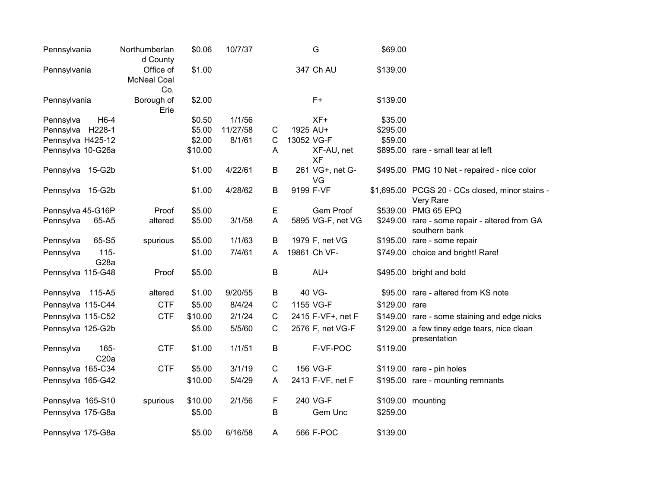| Pennsylvania      |                              | Northumberlan<br>d County              | \$0.06  | 10/7/37  |              | G                     | \$69.00       |                                                                |
|-------------------|------------------------------|----------------------------------------|---------|----------|--------------|-----------------------|---------------|----------------------------------------------------------------|
| Pennsylvania      |                              | Office of<br><b>McNeal Coal</b><br>Co. | \$1.00  |          |              | 347 Ch AU             | \$139.00      |                                                                |
| Pennsylvania      |                              | Borough of<br>Erie                     | \$2.00  |          |              | $F+$                  | \$139.00      |                                                                |
| Pennsylva         | $H6-4$                       |                                        | \$0.50  | 1/1/56   |              | XF+                   | \$35.00       |                                                                |
| Pennsylva         | H228-1                       |                                        | \$5.00  | 11/27/58 | $\mathsf{C}$ | 1925 AU+              | \$295.00      |                                                                |
| Pennsylva H425-12 |                              |                                        | \$2.00  | 8/1/61   | C            | 13052 VG-F            | \$59.00       |                                                                |
| Pennsylva 10-G26a |                              |                                        | \$10.00 |          | A            | XF-AU, net<br>XF      |               | \$895.00 rare - small tear at left                             |
| Pennsylva 15-G2b  |                              |                                        | \$1.00  | 4/22/61  | B            | 261 VG+, net G-<br>VG |               | \$495.00 PMG 10 Net - repaired - nice color                    |
| Pennsylva 15-G2b  |                              |                                        | \$1.00  | 4/28/62  | B            | 9199 F-VF             |               | \$1,695.00 PCGS 20 - CCs closed, minor stains -<br>Very Rare   |
| Pennsylva 45-G16P |                              | Proof                                  | \$5.00  |          | E            | Gem Proof             |               | \$539.00 PMG 65 EPQ                                            |
| Pennsylva         | 65-A5                        | altered                                | \$5.00  | 3/1/58   | A            | 5895 VG-F, net VG     |               | \$249.00 rare - some repair - altered from GA<br>southern bank |
| Pennsylva         | 65-S5                        | spurious                               | \$5.00  | 1/1/63   | B            | 1979 F, net VG        |               | \$195.00 rare - some repair                                    |
| Pennsylva         | $115 -$<br>G <sub>28</sub> a |                                        | \$1.00  | 7/4/61   | A            | 19861 Ch VF-          |               | \$749.00 choice and bright! Rare!                              |
| Pennsylva 115-G48 |                              | Proof                                  | \$5.00  |          | B            | AU+                   |               | \$495.00 bright and bold                                       |
| Pennsylva 115-A5  |                              | altered                                | \$1.00  | 9/20/55  | B            | 40 VG-                |               | \$95.00 rare - altered from KS note                            |
| Pennsylva 115-C44 |                              | <b>CTF</b>                             | \$5.00  | 8/4/24   | С            | 1155 VG-F             | \$129.00 rare |                                                                |
| Pennsylva 115-C52 |                              | <b>CTF</b>                             | \$10.00 | 2/1/24   | $\mathsf{C}$ | 2415 F-VF+, net F     |               | \$149.00 rare - some staining and edge nicks                   |
| Pennsylva 125-G2b |                              |                                        | \$5.00  | 5/5/60   | С            | 2576 F, net VG-F      |               | \$129.00 a few tiney edge tears, nice clean<br>presentation    |
| Pennsylva         | 165-<br>C <sub>20a</sub>     | <b>CTF</b>                             | \$1.00  | 1/1/51   | B            | F-VF-POC              | \$119.00      |                                                                |
| Pennsylva 165-C34 |                              | <b>CTF</b>                             | \$5.00  | 3/1/19   | C            | 156 VG-F              |               | \$119.00 rare - pin holes                                      |
| Pennsylva 165-G42 |                              |                                        | \$10.00 | 5/4/29   | A            | 2413 F-VF, net F      |               | \$195.00 rare - mounting remnants                              |
| Pennsylva 165-S10 |                              | spurious                               | \$10.00 | 2/1/56   | F            | 240 VG-F              |               | \$109.00 mounting                                              |
| Pennsylva 175-G8a |                              |                                        | \$5.00  |          | B            | Gem Unc               | \$259.00      |                                                                |
| Pennsylva 175-G8a |                              |                                        | \$5.00  | 6/16/58  | A            | 566 F-POC             | \$139.00      |                                                                |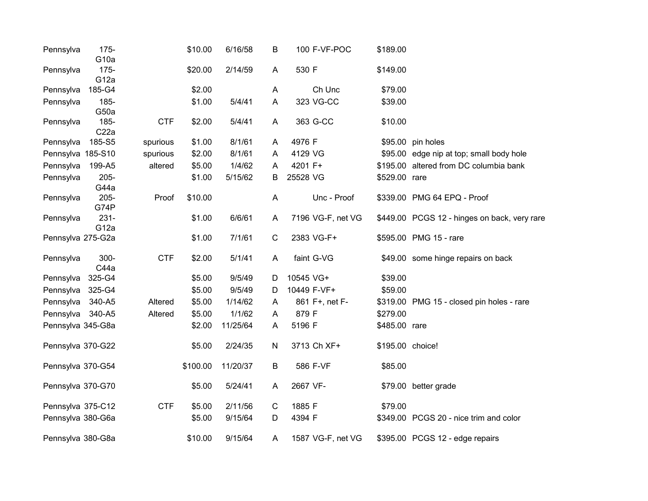| Pennsylva         | $175 -$<br>G <sub>10a</sub> |            | \$10.00  | 6/16/58  | B              | 100 F-VF-POC      | \$189.00         |                                              |
|-------------------|-----------------------------|------------|----------|----------|----------------|-------------------|------------------|----------------------------------------------|
| Pennsylva         | $175 -$<br>G <sub>12a</sub> |            | \$20.00  | 2/14/59  | A              | 530 F             | \$149.00         |                                              |
| Pennsylva         | 185-G4                      |            | \$2.00   |          | $\mathsf{A}$   | Ch Unc            | \$79.00          |                                              |
| Pennsylva         | 185-                        |            | \$1.00   | 5/4/41   | A              | 323 VG-CC         | \$39.00          |                                              |
|                   | G50a                        |            |          |          |                |                   |                  |                                              |
| Pennsylva         | 185-                        | <b>CTF</b> | \$2.00   | 5/4/41   | A              | 363 G-CC          | \$10.00          |                                              |
|                   | C <sub>22a</sub>            |            |          |          |                |                   |                  |                                              |
| Pennsylva         | 185-S5                      | spurious   | \$1.00   | 8/1/61   | A              | 4976 F            |                  | \$95.00 pin holes                            |
| Pennsylva 185-S10 |                             | spurious   | \$2.00   | 8/1/61   | A              | 4129 VG           |                  | \$95.00 edge nip at top; small body hole     |
| Pennsylva         | 199-A5                      | altered    | \$5.00   | 1/4/62   | A              | 4201 F+           |                  | \$195.00 altered from DC columbia bank       |
| Pennsylva         | $205 -$<br>G44a             |            | \$1.00   | 5/15/62  | B              | 25528 VG          | \$529.00 rare    |                                              |
| Pennsylva         | 205-<br>G74P                | Proof      | \$10.00  |          | $\overline{A}$ | Unc - Proof       |                  | \$339.00 PMG 64 EPQ - Proof                  |
| Pennsylva         | $231 -$<br>G <sub>12a</sub> |            | \$1.00   | 6/6/61   | A              | 7196 VG-F, net VG |                  | \$449.00 PCGS 12 - hinges on back, very rare |
| Pennsylva 275-G2a |                             |            | \$1.00   | 7/1/61   | $\mathbf C$    | 2383 VG-F+        |                  | \$595.00 PMG 15 - rare                       |
| Pennsylva         | 300-<br>C44a                | <b>CTF</b> | \$2.00   | 5/1/41   | A              | faint G-VG        |                  | \$49.00 some hinge repairs on back           |
| Pennsylva         | 325-G4                      |            | \$5.00   | 9/5/49   | D              | 10545 VG+         | \$39.00          |                                              |
| Pennsylva         | 325-G4                      |            | \$5.00   | 9/5/49   | D              | 10449 F-VF+       | \$59.00          |                                              |
| Pennsylva         | 340-A5                      | Altered    | \$5.00   | 1/14/62  | A              | 861 F+, net F-    |                  | \$319.00 PMG 15 - closed pin holes - rare    |
| Pennsylva         | 340-A5                      | Altered    | \$5.00   | 1/1/62   | A              | 879 F             | \$279.00         |                                              |
| Pennsylva 345-G8a |                             |            | \$2.00   | 11/25/64 | A              | 5196 F            | \$485.00 rare    |                                              |
| Pennsylva 370-G22 |                             |            | \$5.00   | 2/24/35  | ${\sf N}$      | 3713 Ch XF+       | \$195.00 choice! |                                              |
| Pennsylva 370-G54 |                             |            | \$100.00 | 11/20/37 | $\sf B$        | 586 F-VF          | \$85.00          |                                              |
| Pennsylva 370-G70 |                             |            | \$5.00   | 5/24/41  | A              | 2667 VF-          |                  | \$79.00 better grade                         |
| Pennsylva 375-C12 |                             | <b>CTF</b> | \$5.00   | 2/11/56  | $\mathsf C$    | 1885 F            | \$79.00          |                                              |
| Pennsylva 380-G6a |                             |            | \$5.00   | 9/15/64  | D              | 4394 F            |                  | \$349.00 PCGS 20 - nice trim and color       |
| Pennsylva 380-G8a |                             |            | \$10.00  | 9/15/64  | A              | 1587 VG-F, net VG |                  | \$395.00 PCGS 12 - edge repairs              |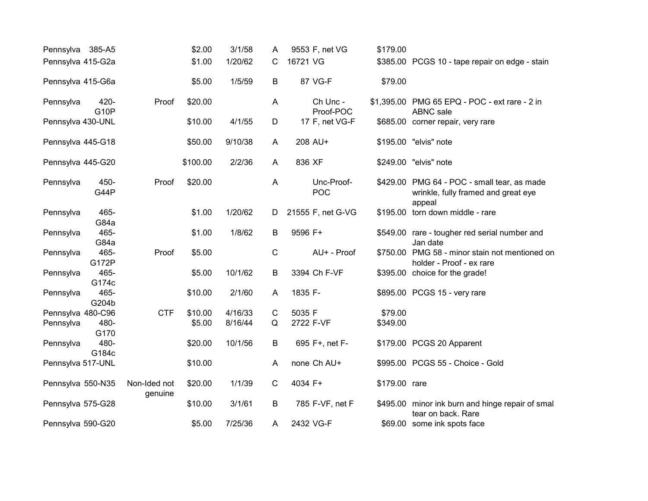| Pennsylva 385-A5  |                     |                         | \$2.00   | 3/1/58  | A           | 9553 F, net VG           | \$179.00      |                                                                                              |
|-------------------|---------------------|-------------------------|----------|---------|-------------|--------------------------|---------------|----------------------------------------------------------------------------------------------|
| Pennsylva 415-G2a |                     |                         | \$1.00   | 1/20/62 | C           | 16721 VG                 |               | \$385.00 PCGS 10 - tape repair on edge - stain                                               |
| Pennsylva 415-G6a |                     |                         | \$5.00   | 1/5/59  | B           | 87 VG-F                  | \$79.00       |                                                                                              |
| Pennsylva         | 420-<br><b>G10P</b> | Proof                   | \$20.00  |         | A           | Ch Unc -<br>Proof-POC    |               | \$1,395.00 PMG 65 EPQ - POC - ext rare - 2 in<br><b>ABNC</b> sale                            |
| Pennsylva 430-UNL |                     |                         | \$10.00  | 4/1/55  | D           | 17 F, net VG-F           |               | \$685.00 corner repair, very rare                                                            |
| Pennsylva 445-G18 |                     |                         | \$50.00  | 9/10/38 | A           | 208 AU+                  |               | \$195.00 "elvis" note                                                                        |
| Pennsylva 445-G20 |                     |                         | \$100.00 | 2/2/36  | A           | 836 XF                   |               | \$249.00 "elvis" note                                                                        |
| Pennsylva         | 450-<br>G44P        | Proof                   | \$20.00  |         | A           | Unc-Proof-<br><b>POC</b> |               | \$429.00 PMG 64 - POC - small tear, as made<br>wrinkle, fully framed and great eye<br>appeal |
| Pennsylva         | 465-<br>G84a        |                         | \$1.00   | 1/20/62 | D           | 21555 F, net G-VG        |               | \$195.00 torn down middle - rare                                                             |
| Pennsylva         | 465-<br>G84a        |                         | \$1.00   | 1/8/62  | B           | 9596 F+                  |               | \$549.00 rare - tougher red serial number and<br>Jan date                                    |
| Pennsylva         | 465-<br>G172P       | Proof                   | \$5.00   |         | $\mathbf C$ | AU+ - Proof              |               | \$750.00 PMG 58 - minor stain not mentioned on<br>holder - Proof - ex rare                   |
| Pennsylva         | 465-<br>G174c       |                         | \$5.00   | 10/1/62 | B           | 3394 Ch F-VF             |               | \$395.00 choice for the grade!                                                               |
| Pennsylva         | 465-<br>G204b       |                         | \$10.00  | 2/1/60  | A           | 1835 F-                  |               | \$895.00 PCGS 15 - very rare                                                                 |
| Pennsylva 480-C96 |                     | <b>CTF</b>              | \$10.00  | 4/16/33 | $\mathbf C$ | 5035 F                   | \$79.00       |                                                                                              |
| Pennsylva         | 480-<br>G170        |                         | \$5.00   | 8/16/44 | Q           | 2722 F-VF                | \$349.00      |                                                                                              |
| Pennsylva         | 480-<br>G184c       |                         | \$20.00  | 10/1/56 | B           | 695 F+, net F-           |               | \$179.00 PCGS 20 Apparent                                                                    |
| Pennsylva 517-UNL |                     |                         | \$10.00  |         | A           | none Ch AU+              |               | \$995.00 PCGS 55 - Choice - Gold                                                             |
| Pennsylva 550-N35 |                     | Non-Ided not<br>genuine | \$20.00  | 1/1/39  | C           | 4034 F+                  | \$179.00 rare |                                                                                              |
| Pennsylva 575-G28 |                     |                         | \$10.00  | 3/1/61  | B           | 785 F-VF, net F          |               | \$495.00 minor ink burn and hinge repair of smal<br>tear on back. Rare                       |
| Pennsylva 590-G20 |                     |                         | \$5.00   | 7/25/36 | A           | 2432 VG-F                |               | \$69.00 some ink spots face                                                                  |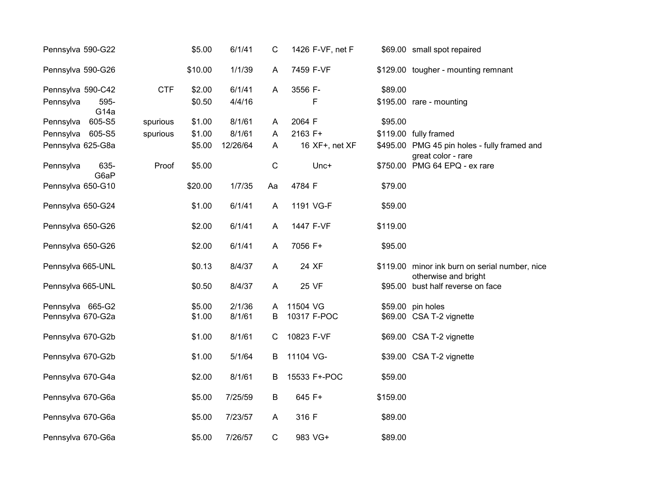| Pennsylva 590-G22                     |            | \$5.00  | 6/1/41   | C            | 1426 F-VF, net F |          | \$69.00 small spot repaired                                            |
|---------------------------------------|------------|---------|----------|--------------|------------------|----------|------------------------------------------------------------------------|
| Pennsylva 590-G26                     |            | \$10.00 | 1/1/39   | A            | 7459 F-VF        |          | \$129.00 tougher - mounting remnant                                    |
| Pennsylva 590-C42                     | <b>CTF</b> | \$2.00  | 6/1/41   | A            | 3556 F-          | \$89.00  |                                                                        |
| 595-<br>Pennsylva<br>G <sub>14a</sub> |            | \$0.50  | 4/4/16   |              | F                |          | \$195.00 rare - mounting                                               |
| 605-S5<br>Pennsylva                   | spurious   | \$1.00  | 8/1/61   | A            | 2064 F           | \$95.00  |                                                                        |
| 605-S5<br>Pennsylva                   | spurious   | \$1.00  | 8/1/61   | A            | 2163 F+          |          | \$119.00 fully framed                                                  |
| Pennsylva 625-G8a                     |            | \$5.00  | 12/26/64 | A            | 16 XF+, net XF   |          | \$495.00 PMG 45 pin holes - fully framed and<br>great color - rare     |
| 635-<br>Pennsylva<br>G6aP             | Proof      | \$5.00  |          | $\mathsf{C}$ | Unc+             |          | \$750.00 PMG 64 EPQ - ex rare                                          |
| Pennsylva 650-G10                     |            | \$20.00 | 1/7/35   | Aa           | 4784 F           | \$79.00  |                                                                        |
| Pennsylva 650-G24                     |            | \$1.00  | 6/1/41   | A            | 1191 VG-F        | \$59.00  |                                                                        |
| Pennsylva 650-G26                     |            | \$2.00  | 6/1/41   | A            | 1447 F-VF        | \$119.00 |                                                                        |
| Pennsylva 650-G26                     |            | \$2.00  | 6/1/41   | A            | 7056 F+          | \$95.00  |                                                                        |
| Pennsylva 665-UNL                     |            | \$0.13  | 8/4/37   | A            | 24 XF            |          | \$119.00 minor ink burn on serial number, nice<br>otherwise and bright |
| Pennsylva 665-UNL                     |            | \$0.50  | 8/4/37   | A            | 25 VF            |          | \$95.00 bust half reverse on face                                      |
| Pennsylva 665-G2                      |            | \$5.00  | 2/1/36   | A            | 11504 VG         |          | \$59.00 pin holes                                                      |
| Pennsylva 670-G2a                     |            | \$1.00  | 8/1/61   | В            | 10317 F-POC      |          | \$69.00 CSA T-2 vignette                                               |
| Pennsylva 670-G2b                     |            | \$1.00  | 8/1/61   | C            | 10823 F-VF       |          | \$69.00 CSA T-2 vignette                                               |
| Pennsylva 670-G2b                     |            | \$1.00  | 5/1/64   | В            | 11104 VG-        |          | \$39.00 CSA T-2 vignette                                               |
| Pennsylva 670-G4a                     |            | \$2.00  | 8/1/61   | B            | 15533 F+-POC     | \$59.00  |                                                                        |
| Pennsylva 670-G6a                     |            | \$5.00  | 7/25/59  | $\sf B$      | 645 F+           | \$159.00 |                                                                        |
| Pennsylva 670-G6a                     |            | \$5.00  | 7/23/57  | A            | 316 F            | \$89.00  |                                                                        |
| Pennsylva 670-G6a                     |            | \$5.00  | 7/26/57  | $\mathsf C$  | 983 VG+          | \$89.00  |                                                                        |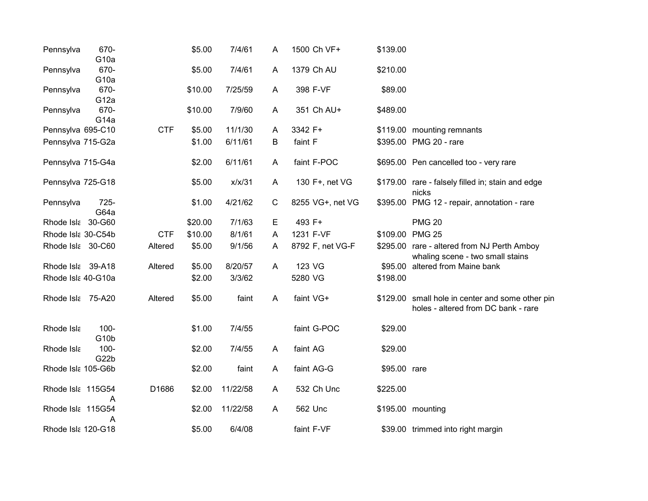| Pennsylva          | 670-<br>G <sub>10a</sub>  |            | \$5.00  | 7/4/61   | Α           | 1500 Ch VF+      | \$139.00     |                                                                                         |
|--------------------|---------------------------|------------|---------|----------|-------------|------------------|--------------|-----------------------------------------------------------------------------------------|
| Pennsylva          | 670-<br>G <sub>10a</sub>  |            | \$5.00  | 7/4/61   | A           | 1379 Ch AU       | \$210.00     |                                                                                         |
| Pennsylva          | 670-<br>G <sub>12a</sub>  |            | \$10.00 | 7/25/59  | A           | 398 F-VF         | \$89.00      |                                                                                         |
| Pennsylva          | 670-<br>G <sub>14a</sub>  |            | \$10.00 | 7/9/60   | A           | 351 Ch AU+       | \$489.00     |                                                                                         |
| Pennsylva 695-C10  |                           | <b>CTF</b> | \$5.00  | 11/1/30  | A           | 3342 F+          |              | \$119.00 mounting remnants                                                              |
| Pennsylva 715-G2a  |                           |            | \$1.00  | 6/11/61  | В           | faint F          |              | \$395.00 PMG 20 - rare                                                                  |
| Pennsylva 715-G4a  |                           |            | \$2.00  | 6/11/61  | A           | faint F-POC      |              | \$695.00 Pen cancelled too - very rare                                                  |
| Pennsylva 725-G18  |                           |            | \$5.00  | x/x/31   | A           | 130 F+, net VG   |              | \$179.00 rare - falsely filled in; stain and edge<br>nicks                              |
| Pennsylva          | 725-<br>G64a              |            | \$1.00  | 4/21/62  | $\mathbf C$ | 8255 VG+, net VG |              | \$395.00 PMG 12 - repair, annotation - rare                                             |
| Rhode Isla 30-G60  |                           |            | \$20.00 | 7/1/63   | Е           | 493 F+           |              | <b>PMG 20</b>                                                                           |
| Rhode Isla 30-C54b |                           | <b>CTF</b> | \$10.00 | 8/1/61   | A           | 1231 F-VF        |              | \$109.00 PMG 25                                                                         |
| Rhode Isla 30-C60  |                           | Altered    | \$5.00  | 9/1/56   | A           | 8792 F, net VG-F |              | \$295.00 rare - altered from NJ Perth Amboy<br>whaling scene - two small stains         |
| Rhode Isla 39-A18  |                           | Altered    | \$5.00  | 8/20/57  | A           | 123 VG           | \$95.00      | altered from Maine bank                                                                 |
| Rhode Isla 40-G10a |                           |            | \$2.00  | 3/3/62   |             | 5280 VG          | \$198.00     |                                                                                         |
| Rhode Isla 75-A20  |                           | Altered    | \$5.00  | faint    | A           | faint VG+        |              | \$129.00 small hole in center and some other pin<br>holes - altered from DC bank - rare |
| Rhode Isla         | $100 -$<br>G10b           |            | \$1.00  | 7/4/55   |             | faint G-POC      | \$29.00      |                                                                                         |
| Rhode Isla         | 100-<br>G <sub>22</sub> b |            | \$2.00  | 7/4/55   | A           | faint AG         | \$29.00      |                                                                                         |
| Rhode Isla 105-G6b |                           |            | \$2.00  | faint    | A           | faint AG-G       | \$95.00 rare |                                                                                         |
| Rhode Isla 115G54  | A                         | D1686      | \$2.00  | 11/22/58 | A           | 532 Ch Unc       | \$225.00     |                                                                                         |
| Rhode Isla 115G54  | Α                         |            | \$2.00  | 11/22/58 | A           | 562 Unc          |              | \$195.00 mounting                                                                       |
| Rhode Isla 120-G18 |                           |            | \$5.00  | 6/4/08   |             | faint F-VF       |              | \$39.00 trimmed into right margin                                                       |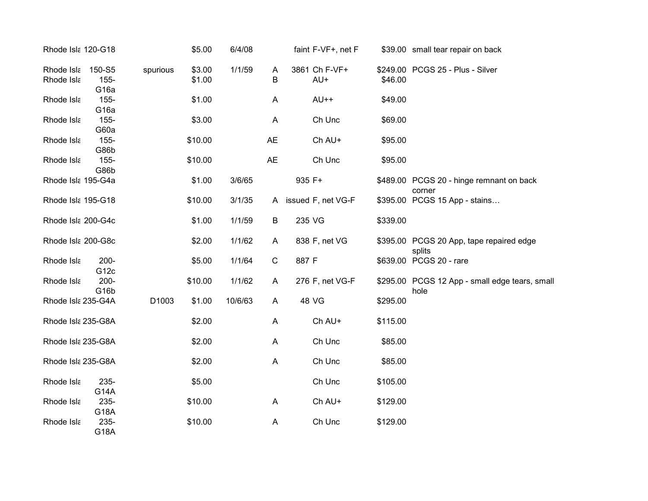| Rhode Isla 120-G18       |                                       |          | \$5.00           | 6/4/08  |              | faint F-VF+, net F   |          | \$39.00 small tear repair on back                      |
|--------------------------|---------------------------------------|----------|------------------|---------|--------------|----------------------|----------|--------------------------------------------------------|
| Rhode Isla<br>Rhode Isla | 150-S5<br>$155 -$<br>G <sub>16a</sub> | spurious | \$3.00<br>\$1.00 | 1/1/59  | A<br>В       | 3861 Ch F-VF+<br>AU+ | \$46.00  | \$249.00 PCGS 25 - Plus - Silver                       |
| Rhode Isla               | $155 -$<br>G <sub>16a</sub>           |          | \$1.00           |         | A            | $AU++$               | \$49.00  |                                                        |
| Rhode Isla               | $155 -$<br>G60a                       |          | \$3.00           |         | A            | Ch Unc               | \$69.00  |                                                        |
| Rhode Isla               | $155 -$<br>G86b                       |          | \$10.00          |         | <b>AE</b>    | Ch AU+               | \$95.00  |                                                        |
| Rhode Isla               | $155 -$<br>G86b                       |          | \$10.00          |         | <b>AE</b>    | Ch Unc               | \$95.00  |                                                        |
| Rhode Isla 195-G4a       |                                       |          | \$1.00           | 3/6/65  |              | 935 F+               |          | \$489.00 PCGS 20 - hinge remnant on back<br>corner     |
| Rhode Isla 195-G18       |                                       |          | \$10.00          | 3/1/35  | A            | issued F, net VG-F   |          | \$395.00 PCGS 15 App - stains                          |
| Rhode Isla 200-G4c       |                                       |          | \$1.00           | 1/1/59  | B            | 235 VG               | \$339.00 |                                                        |
| Rhode Isla 200-G8c       |                                       |          | \$2.00           | 1/1/62  | A            | 838 F, net VG        |          | \$395.00 PCGS 20 App, tape repaired edge<br>splits     |
| Rhode Isla               | $200 -$<br>G <sub>12c</sub>           |          | \$5.00           | 1/1/64  | $\mathsf{C}$ | 887 F                |          | \$639.00 PCGS 20 - rare                                |
| Rhode Isla               | 200-<br>G <sub>16</sub> b             |          | \$10.00          | 1/1/62  | A            | 276 F, net VG-F      |          | \$295.00 PCGS 12 App - small edge tears, small<br>hole |
| Rhode Isla 235-G4A       |                                       | D1003    | \$1.00           | 10/6/63 | A            | 48 VG                | \$295.00 |                                                        |
| Rhode Isla 235-G8A       |                                       |          | \$2.00           |         | A            | Ch AU+               | \$115.00 |                                                        |
| Rhode Isla 235-G8A       |                                       |          | \$2.00           |         | A            | Ch Unc               | \$85.00  |                                                        |
| Rhode Isla 235-G8A       |                                       |          | \$2.00           |         | A            | Ch Unc               | \$85.00  |                                                        |
| Rhode Isla               | 235-<br>G14A                          |          | \$5.00           |         |              | Ch Unc               | \$105.00 |                                                        |
| Rhode Isla               | 235-<br>G18A                          |          | \$10.00          |         | A            | Ch AU+               | \$129.00 |                                                        |
| Rhode Isla               | 235-<br>G18A                          |          | \$10.00          |         | A            | Ch Unc               | \$129.00 |                                                        |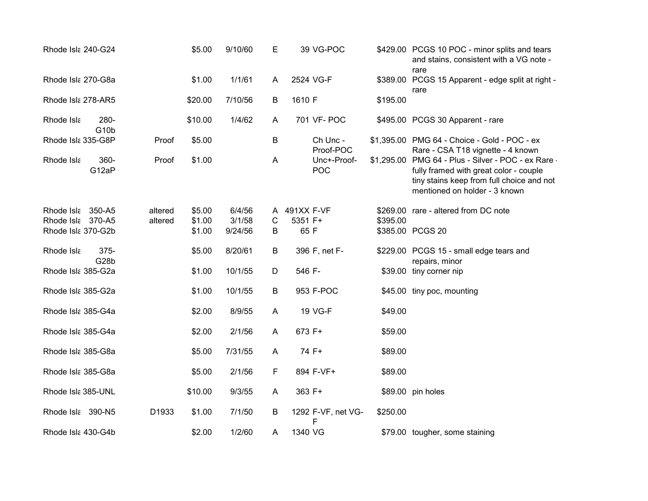| Rhode Isla 240-G24                      |                           |         | \$5.00           | 9/10/60           | E                         | 39 VG-POC               |          | \$429.00 PCGS 10 POC - minor splits and tears<br>and stains, consistent with a VG note -<br>rare                                                                            |
|-----------------------------------------|---------------------------|---------|------------------|-------------------|---------------------------|-------------------------|----------|-----------------------------------------------------------------------------------------------------------------------------------------------------------------------------|
| Rhode Isla 270-G8a                      |                           |         | \$1.00           | 1/1/61            | A                         | 2524 VG-F               |          | \$389.00 PCGS 15 Apparent - edge split at right -<br>rare                                                                                                                   |
| Rhode Isla 278-AR5                      |                           |         | \$20.00          | 7/10/56           | B                         | 1610 F                  | \$195.00 |                                                                                                                                                                             |
| Rhode Isla                              | 280-<br>G <sub>10</sub> b |         | \$10.00          | 1/4/62            | A                         | 701 VF- POC             |          | \$495.00 PCGS 30 Apparent - rare                                                                                                                                            |
| Rhode Isla 335-G8P                      |                           | Proof   | \$5.00           |                   | B                         | Ch Unc -<br>Proof-POC   |          | \$1,395.00 PMG 64 - Choice - Gold - POC - ex<br>Rare - CSA T18 vignette - 4 known                                                                                           |
| Rhode Isla                              | 360-<br>G12aP             | Proof   | \$1.00           |                   | $\boldsymbol{\mathsf{A}}$ | Unc+-Proof-<br>POC      |          | \$1,295.00 PMG 64 - Plus - Silver - POC - ex Rare -<br>fully framed with great color - couple<br>tiny stains keep from full choice and not<br>mentioned on holder - 3 known |
| Rhode Isla 350-A5                       |                           | altered | \$5.00           | 6/4/56            | A                         | 491XX F-VF              |          | \$269.00 rare - altered from DC note                                                                                                                                        |
| Rhode Isla 370-A5<br>Rhode Isla 370-G2b |                           | altered | \$1.00<br>\$1.00 | 3/1/58<br>9/24/56 | C<br>B                    | 5351 F+<br>65 F         | \$395.00 | \$385.00 PCGS 20                                                                                                                                                            |
| Rhode Isla                              | 375-<br>G28b              |         | \$5.00           | 8/20/61           | B                         | 396 F, net F-           |          | \$229.00 PCGS 15 - small edge tears and<br>repairs, minor                                                                                                                   |
| Rhode Isla 385-G2a                      |                           |         | \$1.00           | 10/1/55           | D                         | 546 F-                  |          | \$39.00 tiny corner nip                                                                                                                                                     |
| Rhode Isla 385-G2a                      |                           |         | \$1.00           | 10/1/55           | B                         | 953 F-POC               |          | \$45.00 tiny poc, mounting                                                                                                                                                  |
| Rhode Isla 385-G4a                      |                           |         | \$2.00           | 8/9/55            | A                         | 19 VG-F                 | \$49.00  |                                                                                                                                                                             |
| Rhode Isla 385-G4a                      |                           |         | \$2.00           | 2/1/56            | A                         | 673 F+                  | \$59.00  |                                                                                                                                                                             |
| Rhode Isla 385-G8a                      |                           |         | \$5.00           | 7/31/55           | A                         | 74 F+                   | \$89.00  |                                                                                                                                                                             |
| Rhode Isla 385-G8a                      |                           |         | \$5.00           | 2/1/56            | F                         | 894 F-VF+               | \$89.00  |                                                                                                                                                                             |
| Rhode Isla 385-UNL                      |                           |         | \$10.00          | 9/3/55            | A                         | 363 F+                  |          | \$89.00 pin holes                                                                                                                                                           |
| Rhode Isla 390-N5                       |                           | D1933   | \$1.00           | 7/1/50            | B                         | 1292 F-VF, net VG-<br>F | \$250.00 |                                                                                                                                                                             |
| Rhode Isla 430-G4b                      |                           |         | \$2.00           | 1/2/60            | A                         | 1340 VG                 |          | \$79.00 tougher, some staining                                                                                                                                              |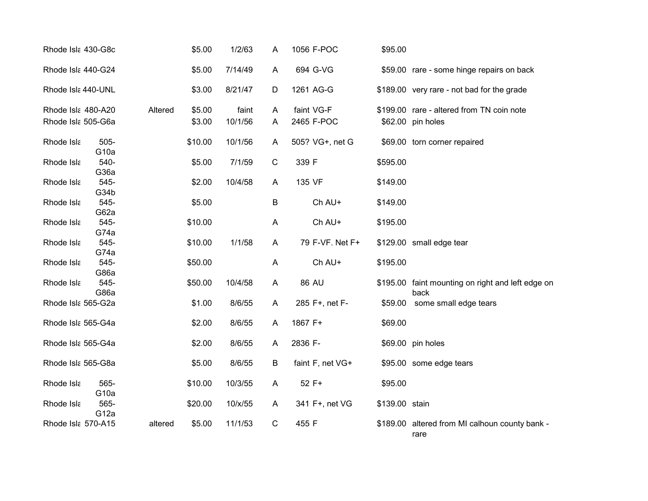| Rhode Isla 430-G8c |                             |         | \$5.00  | 1/2/63  | A           | 1056 F-POC       | \$95.00        |                                                           |
|--------------------|-----------------------------|---------|---------|---------|-------------|------------------|----------------|-----------------------------------------------------------|
| Rhode Isla 440-G24 |                             |         | \$5.00  | 7/14/49 | A           | 694 G-VG         |                | \$59.00 rare - some hinge repairs on back                 |
| Rhode Isla 440-UNL |                             |         | \$3.00  | 8/21/47 | D           | 1261 AG-G        |                | \$189.00 very rare - not bad for the grade                |
| Rhode Isla 480-A20 |                             | Altered | \$5.00  | faint   | A           | faint VG-F       |                | \$199.00 rare - altered from TN coin note                 |
| Rhode Isla 505-G6a |                             |         | \$3.00  | 10/1/56 | A           | 2465 F-POC       |                | \$62.00 pin holes                                         |
| Rhode Isla         | $505 -$<br>G <sub>10a</sub> |         | \$10.00 | 10/1/56 | A           | 505? VG+, net G  |                | \$69.00 torn corner repaired                              |
| Rhode Isla         | 540-<br>G36a                |         | \$5.00  | 7/1/59  | $\mathsf C$ | 339 F            | \$595.00       |                                                           |
| Rhode Isla         | 545-<br>G34b                |         | \$2.00  | 10/4/58 | A           | 135 VF           | \$149.00       |                                                           |
| Rhode Isla         | 545-<br>G62a                |         | \$5.00  |         | B           | Ch AU+           | \$149.00       |                                                           |
| Rhode Isla         | 545-<br>G74a                |         | \$10.00 |         | A           | Ch AU+           | \$195.00       |                                                           |
| Rhode Isla         | 545-<br>G74a                |         | \$10.00 | 1/1/58  | A           | 79 F-VF. Net F+  |                | \$129.00 small edge tear                                  |
| Rhode Isla         | 545-<br>G86a                |         | \$50.00 |         | A           | Ch AU+           | \$195.00       |                                                           |
| Rhode Isla         | 545-<br>G86a                |         | \$50.00 | 10/4/58 | A           | 86 AU            |                | \$195.00 faint mounting on right and left edge on<br>back |
| Rhode Isla 565-G2a |                             |         | \$1.00  | 8/6/55  | A           | 285 F+, net F-   |                | \$59.00 some small edge tears                             |
| Rhode Isla 565-G4a |                             |         | \$2.00  | 8/6/55  | A           | 1867 F+          | \$69.00        |                                                           |
| Rhode Isla 565-G4a |                             |         | \$2.00  | 8/6/55  | A           | 2836 F-          |                | \$69.00 pin holes                                         |
| Rhode Isla 565-G8a |                             |         | \$5.00  | 8/6/55  | B           | faint F, net VG+ |                | \$95.00 some edge tears                                   |
| Rhode Isla         | 565-<br>G <sub>10a</sub>    |         | \$10.00 | 10/3/55 | A           | 52 F+            | \$95.00        |                                                           |
| Rhode Isla         | 565-<br>G <sub>12a</sub>    |         | \$20.00 | 10/x/55 | A           | 341 F+, net VG   | \$139.00 stain |                                                           |
| Rhode Isla 570-A15 |                             | altered | \$5.00  | 11/1/53 | $\mathbf C$ | 455 F            |                | \$189.00 altered from MI calhoun county bank -<br>rare    |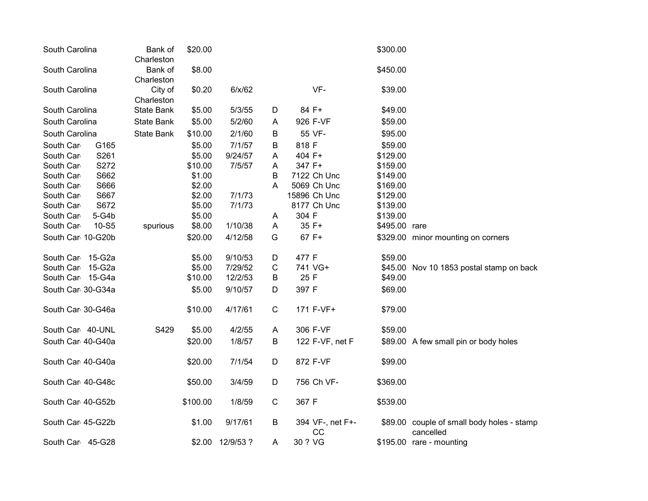| South Carolina     | Bank of<br>Charleston | \$20.00  |                 |   |                        | \$300.00      |                                                         |
|--------------------|-----------------------|----------|-----------------|---|------------------------|---------------|---------------------------------------------------------|
| South Carolina     | Bank of<br>Charleston | \$8.00   |                 |   |                        |               |                                                         |
| South Carolina     | City of<br>Charleston | \$0.20   | 6/x/62          |   | VF-                    | \$39.00       |                                                         |
| South Carolina     | State Bank            | \$5.00   | 5/3/55          | D | 84 F+                  | \$49.00       |                                                         |
| South Carolina     | <b>State Bank</b>     | \$5.00   | 5/2/60          | A | 926 F-VF               | \$59.00       |                                                         |
| South Carolina     | State Bank            | \$10.00  | 2/1/60          | B | 55 VF-                 | \$95.00       |                                                         |
| G165<br>South Car  |                       | \$5.00   | 7/1/57          | В | 818 F                  | \$59.00       |                                                         |
| S261<br>South Car  |                       | \$5.00   | 9/24/57         | A | 404 F+                 | \$129.00      |                                                         |
| S272<br>South Car  |                       | \$10.00  | 7/5/57          | A | 347 F+                 | \$159.00      |                                                         |
| S662<br>South Car  |                       | \$1.00   |                 | B | 7122 Ch Unc            | \$149.00      |                                                         |
| S666<br>South Car  |                       | \$2.00   |                 | A | 5069 Ch Unc            | \$169.00      |                                                         |
| S667<br>South Car  |                       | \$2.00   | 7/1/73          |   | 15896 Ch Unc           | \$129.00      |                                                         |
| S672<br>South Car  |                       | \$5.00   | 7/1/73          |   | 8177 Ch Unc            | \$139.00      |                                                         |
| 5-G4b<br>South Car |                       | \$5.00   |                 | Α | 304 F                  | \$139.00      |                                                         |
| South Car<br>10-S5 | spurious              | \$8.00   | 1/10/38         | A | 35 F+                  | \$495.00 rare |                                                         |
| South Car 10-G20b  |                       | \$20.00  | 4/12/58         | G | 67 F+                  |               | \$329.00 minor mounting on corners                      |
| South Car 15-G2a   |                       | \$5.00   | 9/10/53         | D | 477 F                  | \$59.00       |                                                         |
| South Car 15-G2a   |                       | \$5.00   | 7/29/52         | C | 741 VG+                |               | \$45.00 Nov 10 1853 postal stamp on back                |
| South Car 15-G4a   |                       | \$10.00  | 12/2/53         | B | 25 F                   | \$49.00       |                                                         |
| South Car 30-G34a  |                       | \$5.00   | 9/10/57         | D | 397 F                  | \$69.00       |                                                         |
| South Car 30-G46a  |                       | \$10.00  | 4/17/61         | C | 171 F-VF+              | \$79.00       |                                                         |
| South Car 40-UNL   | S429                  | \$5.00   | 4/2/55          | A | 306 F-VF               | \$59.00       |                                                         |
| South Car 40-G40a  |                       | \$20.00  | 1/8/57          | B | 122 F-VF, net F        |               | \$89.00 A few small pin or body holes                   |
| South Car 40-G40a  |                       | \$20.00  | 7/1/54          | D | 872 F-VF               | \$99.00       |                                                         |
| South Car 40-G48c  |                       | \$50.00  | 3/4/59          | D | 756 Ch VF-             | \$369.00      |                                                         |
| South Car 40-G52b  |                       | \$100.00 | 1/8/59          | C | 367 F                  | \$539.00      |                                                         |
| South Car 45-G22b  |                       | \$1.00   | 9/17/61         | B | 394 VF-, net F+-<br>CC |               | \$89.00 couple of small body holes - stamp<br>cancelled |
| South Car 45-G28   |                       |          | \$2.00 12/9/53? | A | 30 ? VG                |               | \$195.00 rare - mounting                                |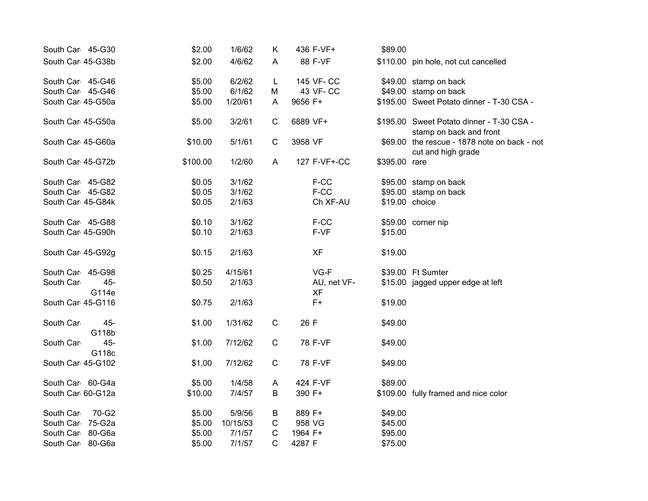| South Car 45-G30  |              | \$2.00   | 1/6/62   | Κ            | 436 F-VF+                | \$89.00        |                                                                      |
|-------------------|--------------|----------|----------|--------------|--------------------------|----------------|----------------------------------------------------------------------|
| South Car 45-G38b |              | \$2.00   | 4/6/62   | A            | 88 F-VF                  |                | \$110.00 pin hole, not cut cancelled                                 |
| South Car 45-G46  |              | \$5.00   | 6/2/62   | L            | 145 VF-CC                |                | \$49.00 stamp on back                                                |
| South Car 45-G46  |              | \$5.00   | 6/1/62   | M            | 43 VF-CC                 |                | \$49.00 stamp on back                                                |
| South Car 45-G50a |              | \$5.00   | 1/20/61  | A            | 9656 F+                  |                | \$195.00 Sweet Potato dinner - T-30 CSA -                            |
| South Car 45-G50a |              | \$5.00   | 3/2/61   | $\mathsf{C}$ | 6889 VF+                 |                | \$195.00 Sweet Potato dinner - T-30 CSA -<br>stamp on back and front |
| South Car 45-G60a |              | \$10.00  | 5/1/61   | $\mathsf{C}$ | 3958 VF                  |                | \$69.00 the rescue - 1878 note on back - not<br>cut and high grade   |
| South Car 45-G72b |              | \$100.00 | 1/2/60   | A            | 127 F-VF+-CC             | \$395.00 rare  |                                                                      |
| South Car 45-G82  |              | \$0.05   | 3/1/62   |              | F-CC                     |                | \$95.00 stamp on back                                                |
| South Car 45-G82  |              | \$0.05   | 3/1/62   |              | F-CC                     |                | \$95.00 stamp on back                                                |
| South Car 45-G84k |              | \$0.05   | 2/1/63   |              | Ch XF-AU                 | \$19.00 choice |                                                                      |
| South Car 45-G88  |              | \$0.10   | 3/1/62   |              | F-CC                     |                | \$59.00 corner nip                                                   |
| South Car 45-G90h |              | \$0.10   | 2/1/63   |              | F-VF                     | \$15.00        |                                                                      |
| South Car 45-G92g |              | \$0.15   | 2/1/63   |              | <b>XF</b>                | \$19.00        |                                                                      |
| South Car 45-G98  |              | \$0.25   | 4/15/61  |              | $VG-F$                   |                | \$39.00 Ft Sumter                                                    |
| South Car         | 45-<br>G114e | \$0.50   | 2/1/63   |              | AU, net VF-<br><b>XF</b> |                | \$15.00 jagged upper edge at left                                    |
| South Car 45-G116 |              | \$0.75   | 2/1/63   |              | $F+$                     | \$19.00        |                                                                      |
| South Car         | 45-<br>G118b | \$1.00   | 1/31/62  | $\mathsf C$  | 26 F                     | \$49.00        |                                                                      |
| South Car         | 45-<br>G118c | \$1.00   | 7/12/62  | $\mathsf{C}$ | 78 F-VF                  | \$49.00        |                                                                      |
| South Car 45-G102 |              | \$1.00   | 7/12/62  | ${\bf C}$    | 78 F-VF                  | \$49.00        |                                                                      |
| South Car 60-G4a  |              | \$5.00   | 1/4/58   | A            | 424 F-VF                 | \$89.00        |                                                                      |
| South Car 60-G12a |              | \$10.00  | 7/4/57   | B            | 390 F+                   |                | \$109.00 fully framed and nice color                                 |
| South Car         | 70-G2        | \$5.00   | 5/9/56   | Β            | 889 F+                   | \$49.00        |                                                                      |
| South Car 75-G2a  |              | \$5.00   | 10/15/53 | C            | 958 VG                   | \$45.00        |                                                                      |
| South Car 80-G6a  |              | \$5.00   | 7/1/57   | C            | 1964 F+                  | \$95.00        |                                                                      |
| South Car 80-G6a  |              | \$5.00   | 7/1/57   | $\mathsf{C}$ | 4287 F                   | \$75.00        |                                                                      |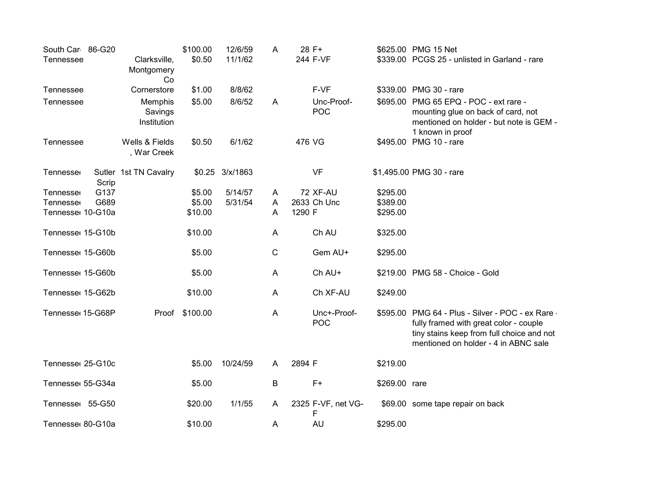| South Car 86-G20<br><b>Tennessee</b> | Clarksville,                      | \$100.00<br>\$0.50 | 12/6/59<br>11/1/62 | A           | 28 F+<br>244 F-VF         |               | \$625.00 PMG 15 Net<br>\$339.00 PCGS 25 - unlisted in Garland - rare                                                                                                             |
|--------------------------------------|-----------------------------------|--------------------|--------------------|-------------|---------------------------|---------------|----------------------------------------------------------------------------------------------------------------------------------------------------------------------------------|
|                                      | Montgomery<br>Co                  |                    |                    |             |                           |               |                                                                                                                                                                                  |
| Tennessee                            | Cornerstore                       | \$1.00             | 8/8/62             |             | F-VF                      |               | \$339.00 PMG 30 - rare                                                                                                                                                           |
| Tennessee                            | Memphis<br>Savings<br>Institution | \$5.00             | 8/6/52             | A           | Unc-Proof-<br><b>POC</b>  |               | \$695.00 PMG 65 EPQ - POC - ext rare -<br>mounting glue on back of card, not<br>mentioned on holder - but note is GEM -<br>1 known in proof                                      |
| Tennessee                            | Wells & Fields<br>, War Creek     | \$0.50             | 6/1/62             |             | 476 VG                    |               | \$495.00 PMG 10 - rare                                                                                                                                                           |
| Tennesse<br>Scrip                    | Sutler 1st TN Cavalry             |                    | $$0.25$ $3/x/1863$ |             | <b>VF</b>                 |               | \$1,495.00 PMG 30 - rare                                                                                                                                                         |
| G137<br>Tennesse                     |                                   | \$5.00             | 5/14/57            | A           | <b>72 XF-AU</b>           | \$295.00      |                                                                                                                                                                                  |
| G689<br><b>Tennesse</b>              |                                   | \$5.00             | 5/31/54            | A           | 2633 Ch Unc               | \$389.00      |                                                                                                                                                                                  |
| Tennesse 10-G10a                     |                                   | \$10.00            |                    | A           | 1290 F                    | \$295.00      |                                                                                                                                                                                  |
| Tennesse 15-G10b                     |                                   | \$10.00            |                    | A           | Ch AU                     | \$325.00      |                                                                                                                                                                                  |
| Tennesse 15-G60b                     |                                   | \$5.00             |                    | $\mathsf C$ | Gem AU+                   | \$295.00      |                                                                                                                                                                                  |
| Tennesse 15-G60b                     |                                   | \$5.00             |                    | A           | Ch AU+                    |               | \$219.00 PMG 58 - Choice - Gold                                                                                                                                                  |
| Tennesse 15-G62b                     |                                   | \$10.00            |                    | A           | Ch XF-AU                  | \$249.00      |                                                                                                                                                                                  |
| Tennesse 15-G68P                     | Proof                             | \$100.00           |                    | A           | Unc+-Proof-<br><b>POC</b> |               | \$595.00 PMG 64 - Plus - Silver - POC - ex Rare -<br>fully framed with great color - couple<br>tiny stains keep from full choice and not<br>mentioned on holder - 4 in ABNC sale |
| Tennesse 25-G10c                     |                                   | \$5.00             | 10/24/59           | A           | 2894 F                    | \$219.00      |                                                                                                                                                                                  |
| Tennesse 55-G34a                     |                                   | \$5.00             |                    | B           | $F+$                      | \$269.00 rare |                                                                                                                                                                                  |
| Tennesse 55-G50                      |                                   | \$20.00            | 1/1/55             | A           | 2325 F-VF, net VG-<br>F   |               | \$69.00 some tape repair on back                                                                                                                                                 |
| Tennesse 80-G10a                     |                                   | \$10.00            |                    | A           | <b>AU</b>                 | \$295.00      |                                                                                                                                                                                  |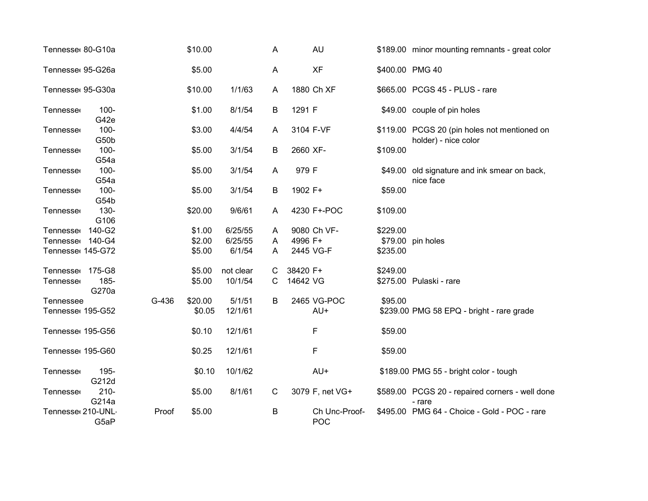| Tennesse 80-G10a  |                  |       | \$10.00 |           | A            |          | <b>AU</b>            |          | \$189.00 minor mounting remnants - great color                       |
|-------------------|------------------|-------|---------|-----------|--------------|----------|----------------------|----------|----------------------------------------------------------------------|
| Tennesse 95-G26a  |                  |       | \$5.00  |           | A            |          | <b>XF</b>            |          | \$400.00 PMG 40                                                      |
| Tennesse 95-G30a  |                  |       | \$10.00 | 1/1/63    | A            |          | 1880 Ch XF           |          | \$665.00 PCGS 45 - PLUS - rare                                       |
| Tennesse          | $100 -$<br>G42e  |       | \$1.00  | 8/1/54    | B            | 1291 F   |                      |          | \$49.00 couple of pin holes                                          |
| Tennesse          | $100 -$<br>G50b  |       | \$3.00  | 4/4/54    | A            |          | 3104 F-VF            |          | \$119.00 PCGS 20 (pin holes not mentioned on<br>holder) - nice color |
| Tennesse          | $100 -$<br>G54a  |       | \$5.00  | 3/1/54    | B            | 2660 XF- |                      | \$109.00 |                                                                      |
| Tennesse          | $100 -$<br>G54a  |       | \$5.00  | 3/1/54    | A            | 979 F    |                      |          | \$49.00 old signature and ink smear on back,<br>nice face            |
| Tennesse          | $100 -$<br>G54b  |       | \$5.00  | 3/1/54    | B            | 1902 F+  |                      | \$59.00  |                                                                      |
| <b>Tennesse</b>   | $130 -$<br>G106  |       | \$20.00 | 9/6/61    | A            |          | 4230 F+-POC          | \$109.00 |                                                                      |
| <b>Tennesse</b>   | 140-G2           |       | \$1.00  | 6/25/55   | A            |          | 9080 Ch VF-          | \$229.00 |                                                                      |
| Tennesse 140-G4   |                  |       | \$2.00  | 6/25/55   | A            | 4996 F+  |                      |          | \$79.00 pin holes                                                    |
| Tennesse 145-G72  |                  |       | \$5.00  | 6/1/54    | A            |          | 2445 VG-F            | \$235.00 |                                                                      |
| <b>Tennesse</b>   | 175-G8           |       | \$5.00  | not clear | С            | 38420 F+ |                      | \$249.00 |                                                                      |
| Tennesse          | 185-<br>G270a    |       | \$5.00  | 10/1/54   | C            | 14642 VG |                      |          | \$275.00 Pulaski - rare                                              |
| Tennessee         |                  | G-436 | \$20.00 | 5/1/51    | B            |          | 2465 VG-POC          | \$95.00  |                                                                      |
| Tennesse 195-G52  |                  |       | \$0.05  | 12/1/61   |              |          | AU+                  |          | \$239.00 PMG 58 EPQ - bright - rare grade                            |
| Tennesse 195-G56  |                  |       | \$0.10  | 12/1/61   |              |          | F                    | \$59.00  |                                                                      |
| Tennesse 195-G60  |                  |       | \$0.25  | 12/1/61   |              |          | F                    | \$59.00  |                                                                      |
| Tennesse          | 195-<br>G212d    |       | \$0.10  | 10/1/62   |              |          | AU+                  |          | \$189.00 PMG 55 - bright color - tough                               |
| Tennesse          | $210 -$<br>G214a |       | \$5.00  | 8/1/61    | $\mathsf{C}$ |          | 3079 F, net VG+      |          | \$589.00 PCGS 20 - repaired corners - well done<br>- rare            |
| Tennesse 210-UNL- | G5aP             | Proof | \$5.00  |           | В            |          | Ch Unc-Proof-<br>POC |          | \$495.00 PMG 64 - Choice - Gold - POC - rare                         |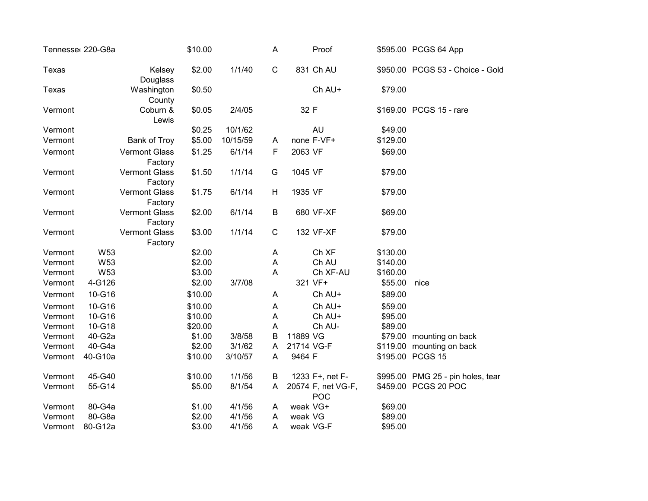|         | Tennesse 220-G8a |                                 | \$10.00 |          | A              |            | Proof                            |          | \$595.00 PCGS 64 App              |
|---------|------------------|---------------------------------|---------|----------|----------------|------------|----------------------------------|----------|-----------------------------------|
| Texas   |                  | Kelsey<br>Douglass              | \$2.00  | 1/1/40   | $\mathsf{C}$   |            | 831 Ch AU                        |          | \$950.00 PCGS 53 - Choice - Gold  |
| Texas   |                  | Washington<br>County            | \$0.50  |          |                |            | Ch AU+                           | \$79.00  |                                   |
| Vermont |                  | Coburn &<br>Lewis               | \$0.05  | 2/4/05   |                | 32 F       |                                  |          | \$169.00 PCGS 15 - rare           |
| Vermont |                  |                                 | \$0.25  | 10/1/62  |                |            | <b>AU</b>                        | \$49.00  |                                   |
| Vermont |                  | Bank of Troy                    | \$5.00  | 10/15/59 | A              |            | none F-VF+                       | \$129.00 |                                   |
| Vermont |                  | <b>Vermont Glass</b><br>Factory | \$1.25  | 6/1/14   | F              | 2063 VF    |                                  | \$69.00  |                                   |
| Vermont |                  | <b>Vermont Glass</b><br>Factory | \$1.50  | 1/1/14   | G              | 1045 VF    |                                  | \$79.00  |                                   |
| Vermont |                  | <b>Vermont Glass</b><br>Factory | \$1.75  | 6/1/14   | H              | 1935 VF    |                                  | \$79.00  |                                   |
| Vermont |                  | <b>Vermont Glass</b><br>Factory | \$2.00  | 6/1/14   | B              |            | 680 VF-XF                        | \$69.00  |                                   |
| Vermont |                  | <b>Vermont Glass</b><br>Factory | \$3.00  | 1/1/14   | $\mathbf C$    |            | 132 VF-XF                        | \$79.00  |                                   |
| Vermont | W53              |                                 | \$2.00  |          | A              |            | Ch XF                            | \$130.00 |                                   |
| Vermont | W53              |                                 | \$2.00  |          | $\mathsf A$    |            | Ch AU                            | \$140.00 |                                   |
| Vermont | W53              |                                 | \$3.00  |          | $\overline{A}$ |            | Ch XF-AU                         | \$160.00 |                                   |
| Vermont | 4-G126           |                                 | \$2.00  | 3/7/08   |                |            | 321 VF+                          | \$55.00  | nice                              |
| Vermont | 10-G16           |                                 | \$10.00 |          | A              |            | Ch AU+                           | \$89.00  |                                   |
| Vermont | 10-G16           |                                 | \$10.00 |          | A              |            | Ch AU+                           | \$59.00  |                                   |
| Vermont | 10-G16           |                                 | \$10.00 |          | A              |            | Ch AU+                           | \$95.00  |                                   |
| Vermont | 10-G18           |                                 | \$20.00 |          | A              |            | Ch AU-                           | \$89.00  |                                   |
| Vermont | 40-G2a           |                                 | \$1.00  | 3/8/58   | B              | 11889 VG   |                                  |          | \$79.00 mounting on back          |
| Vermont | 40-G4a           |                                 | \$2.00  | 3/1/62   | A              | 21714 VG-F |                                  |          | \$119.00 mounting on back         |
| Vermont | 40-G10a          |                                 | \$10.00 | 3/10/57  | A              | 9464 F     |                                  |          | \$195.00 PCGS 15                  |
| Vermont | 45-G40           |                                 | \$10.00 | 1/1/56   | B              |            | 1233 F+, net F-                  |          | \$995.00 PMG 25 - pin holes, tear |
| Vermont | 55-G14           |                                 | \$5.00  | 8/1/54   | A              |            | 20574 F, net VG-F,<br><b>POC</b> |          | \$459.00 PCGS 20 POC              |
| Vermont | 80-G4a           |                                 | \$1.00  | 4/1/56   | A              | weak VG+   |                                  | \$69.00  |                                   |
| Vermont | 80-G8a           |                                 | \$2.00  | 4/1/56   | A              | weak VG    |                                  | \$89.00  |                                   |
| Vermont | 80-G12a          |                                 | \$3.00  | 4/1/56   | Α              |            | weak VG-F                        | \$95.00  |                                   |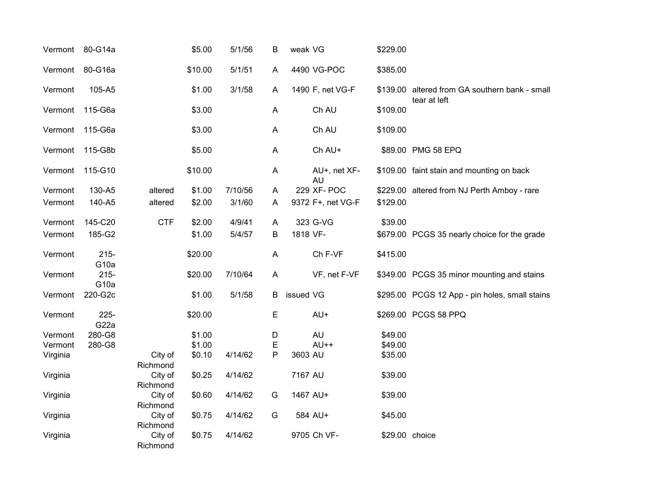| Vermont  | 80-G14a                     |                     | \$5.00  | 5/1/56  | Β            | weak VG   |                    | \$229.00       |                                                                |
|----------|-----------------------------|---------------------|---------|---------|--------------|-----------|--------------------|----------------|----------------------------------------------------------------|
| Vermont  | 80-G16a                     |                     | \$10.00 | 5/1/51  | A            |           | 4490 VG-POC        | \$385.00       |                                                                |
| Vermont  | 105-A5                      |                     | \$1.00  | 3/1/58  | A            |           | 1490 F, net VG-F   |                | \$139.00 altered from GA southern bank - small<br>tear at left |
| Vermont  | 115-G6a                     |                     | \$3.00  |         | A            |           | Ch AU              | \$109.00       |                                                                |
| Vermont  | 115-G6a                     |                     | \$3.00  |         | A            |           | Ch AU              | \$109.00       |                                                                |
| Vermont  | 115-G8b                     |                     | \$5.00  |         | A            |           | Ch AU+             |                | \$89.00 PMG 58 EPQ                                             |
| Vermont  | 115-G10                     |                     | \$10.00 |         | Α            |           | AU+, net XF-<br>AU |                | \$109.00 faint stain and mounting on back                      |
| Vermont  | 130-A5                      | altered             | \$1.00  | 7/10/56 | A            |           | 229 XF- POC        |                | \$229.00 altered from NJ Perth Amboy - rare                    |
| Vermont  | 140-A5                      | altered             | \$2.00  | 3/1/60  | Α            |           | 9372 F+, net VG-F  | \$129.00       |                                                                |
| Vermont  | 145-C20                     | <b>CTF</b>          | \$2.00  | 4/9/41  | A            |           | 323 G-VG           | \$39.00        |                                                                |
| Vermont  | 185-G2                      |                     | \$1.00  | 5/4/57  | B            | 1818 VF-  |                    |                | \$679.00 PCGS 35 nearly choice for the grade                   |
| Vermont  | $215 -$<br>G <sub>10a</sub> |                     | \$20.00 |         | A            |           | Ch F-VF            | \$415.00       |                                                                |
| Vermont  | $215 -$<br>G <sub>10a</sub> |                     | \$20.00 | 7/10/64 | $\mathsf{A}$ |           | VF, net F-VF       |                | \$349.00 PCGS 35 minor mounting and stains                     |
| Vermont  | 220-G2c                     |                     | \$1.00  | 5/1/58  | B            | issued VG |                    |                | \$295.00 PCGS 12 App - pin holes, small stains                 |
| Vermont  | $225 -$<br>G22a             |                     | \$20.00 |         | E            |           | AU+                |                | \$269.00 PCGS 58 PPQ                                           |
| Vermont  | 280-G8                      |                     | \$1.00  |         | D            |           | <b>AU</b>          | \$49.00        |                                                                |
| Vermont  | 280-G8                      |                     | \$1.00  |         | Ε            |           | $AU++$             | \$49.00        |                                                                |
| Virginia |                             | City of<br>Richmond | \$0.10  | 4/14/62 | P            | 3603 AU   |                    | \$35.00        |                                                                |
| Virginia |                             | City of<br>Richmond | \$0.25  | 4/14/62 |              | 7167 AU   |                    | \$39.00        |                                                                |
| Virginia |                             | City of<br>Richmond | \$0.60  | 4/14/62 | G            | 1467 AU+  |                    | \$39.00        |                                                                |
| Virginia |                             | City of<br>Richmond | \$0.75  | 4/14/62 | G            |           | 584 AU+            | \$45.00        |                                                                |
| Virginia |                             | City of<br>Richmond | \$0.75  | 4/14/62 |              |           | 9705 Ch VF-        | \$29.00 choice |                                                                |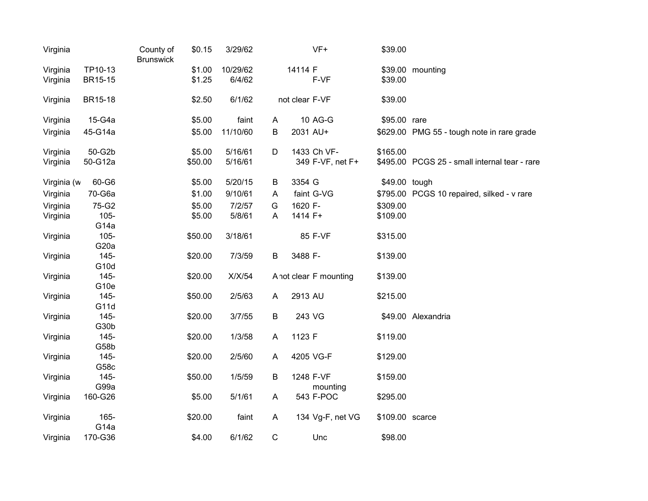| Virginia             |                    | County of<br><b>Brunswick</b> | \$0.15           | 3/29/62            |              |                | VF+                    | \$39.00         |                                               |
|----------------------|--------------------|-------------------------------|------------------|--------------------|--------------|----------------|------------------------|-----------------|-----------------------------------------------|
| Virginia<br>Virginia | TP10-13<br>BR15-15 |                               | \$1.00<br>\$1.25 | 10/29/62<br>6/4/62 |              | 14114 F        | F-VF                   | \$39.00         | \$39.00 mounting                              |
| Virginia             | BR15-18            |                               | \$2.50           | 6/1/62             |              | not clear F-VF |                        | \$39.00         |                                               |
| Virginia             | 15-G4a             |                               | \$5.00           | faint              | A            |                | 10 AG-G                | \$95.00 rare    |                                               |
| Virginia             | 45-G14a            |                               | \$5.00           | 11/10/60           | B            | 2031 AU+       |                        |                 | \$629.00 PMG 55 - tough note in rare grade    |
| Virginia             | 50-G2b             |                               | \$5.00           | 5/16/61            | D            |                | 1433 Ch VF-            | \$165.00        |                                               |
| Virginia             | 50-G12a            |                               | \$50.00          | 5/16/61            |              |                | 349 F-VF, net F+       |                 | \$495.00 PCGS 25 - small internal tear - rare |
| Virginia (w          | 60-G6              |                               | \$5.00           | 5/20/15            | B            | 3354 G         |                        | \$49.00 tough   |                                               |
| Virginia             | 70-G6a             |                               | \$1.00           | 9/10/61            | A            |                | faint G-VG             |                 | \$795.00 PCGS 10 repaired, silked - v rare    |
| Virginia             | 75-G2              |                               | \$5.00           | 7/2/57             | G            | 1620 F-        |                        | \$309.00        |                                               |
| Virginia             | $105 -$            |                               | \$5.00           | 5/8/61             | A            | 1414 F+        |                        | \$109.00        |                                               |
|                      | G <sub>14a</sub>   |                               |                  |                    |              |                |                        |                 |                                               |
| Virginia             | $105 -$            |                               | \$50.00          | 3/18/61            |              |                | 85 F-VF                | \$315.00        |                                               |
|                      | G <sub>20</sub> a  |                               |                  |                    |              |                |                        |                 |                                               |
| Virginia             | 145-               |                               | \$20.00          | 7/3/59             | B            | 3488 F-        |                        | \$139.00        |                                               |
|                      | G10d               |                               |                  |                    |              |                |                        |                 |                                               |
| Virginia             | 145-               |                               | \$20.00          | X/X/54             |              |                | A not clear F mounting | \$139.00        |                                               |
|                      | G <sub>10e</sub>   |                               |                  |                    |              |                |                        |                 |                                               |
| Virginia             | $145 -$            |                               | \$50.00          | 2/5/63             | A            | 2913 AU        |                        | \$215.00        |                                               |
|                      | G11d<br>145-       |                               | \$20.00          | 3/7/55             |              | 243 VG         |                        |                 | \$49.00 Alexandria                            |
| Virginia             | G30b               |                               |                  |                    | B            |                |                        |                 |                                               |
| Virginia             | 145-               |                               | \$20.00          | 1/3/58             | A            | 1123 F         |                        | \$119.00        |                                               |
|                      | G58b               |                               |                  |                    |              |                |                        |                 |                                               |
| Virginia             | 145-               |                               | \$20.00          | 2/5/60             | A            |                | 4205 VG-F              | \$129.00        |                                               |
|                      | G58c               |                               |                  |                    |              |                |                        |                 |                                               |
| Virginia             | 145-               |                               | \$50.00          | 1/5/59             | B            |                | 1248 F-VF              | \$159.00        |                                               |
|                      | G99a               |                               |                  |                    |              |                | mounting               |                 |                                               |
| Virginia             | 160-G26            |                               | \$5.00           | 5/1/61             | $\mathsf{A}$ |                | 543 F-POC              | \$295.00        |                                               |
|                      | 165-               |                               | \$20.00          | faint              | $\mathsf{A}$ |                |                        | \$109.00 scarce |                                               |
| Virginia             | G <sub>14a</sub>   |                               |                  |                    |              |                | 134 Vg-F, net VG       |                 |                                               |
| Virginia             | 170-G36            |                               | \$4.00           | 6/1/62             | $\mathbf C$  |                | Unc                    | \$98.00         |                                               |
|                      |                    |                               |                  |                    |              |                |                        |                 |                                               |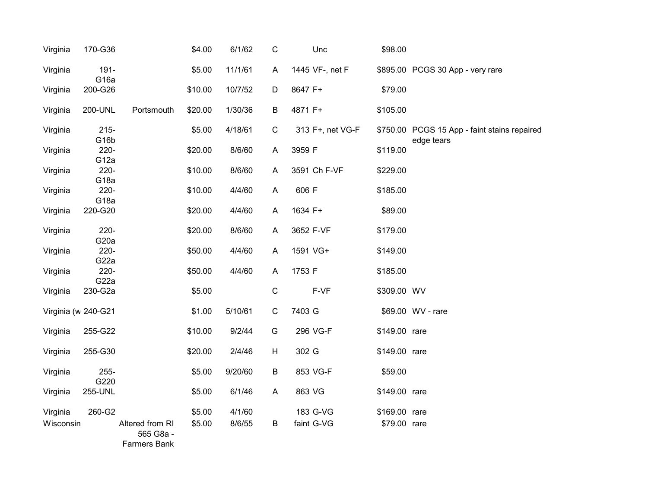| Virginia  | 170-G36                      |                                                     | \$4.00  | 6/1/62  | $\mathsf C$ | Unc              | \$98.00       |                                                            |
|-----------|------------------------------|-----------------------------------------------------|---------|---------|-------------|------------------|---------------|------------------------------------------------------------|
| Virginia  | $191 -$<br>G <sub>16a</sub>  |                                                     | \$5.00  | 11/1/61 | A           | 1445 VF-, net F  |               | \$895.00 PCGS 30 App - very rare                           |
| Virginia  | 200-G26                      |                                                     | \$10.00 | 10/7/52 | D           | 8647 F+          | \$79.00       |                                                            |
| Virginia  | 200-UNL                      | Portsmouth                                          | \$20.00 | 1/30/36 | В           | 4871 F+          | \$105.00      |                                                            |
| Virginia  | $215 -$<br>G <sub>16</sub> b |                                                     | \$5.00  | 4/18/61 | $\mathsf C$ | 313 F+, net VG-F |               | \$750.00 PCGS 15 App - faint stains repaired<br>edge tears |
| Virginia  | $220 -$<br>G <sub>12a</sub>  |                                                     | \$20.00 | 8/6/60  | A           | 3959 F           | \$119.00      |                                                            |
| Virginia  | $220 -$<br>G <sub>18a</sub>  |                                                     | \$10.00 | 8/6/60  | A           | 3591 Ch F-VF     | \$229.00      |                                                            |
| Virginia  | $220 -$<br>G <sub>18a</sub>  |                                                     | \$10.00 | 4/4/60  | A           | 606 F            | \$185.00      |                                                            |
| Virginia  | 220-G20                      |                                                     | \$20.00 | 4/4/60  | A           | 1634 F+          | \$89.00       |                                                            |
| Virginia  | 220-<br>G <sub>20</sub> a    |                                                     | \$20.00 | 8/6/60  | A           | 3652 F-VF        | \$179.00      |                                                            |
| Virginia  | $220 -$<br>G22a              |                                                     | \$50.00 | 4/4/60  | A           | 1591 VG+         | \$149.00      |                                                            |
| Virginia  | $220 -$<br>G22a              |                                                     | \$50.00 | 4/4/60  | A           | 1753 F           | \$185.00      |                                                            |
| Virginia  | 230-G2a                      |                                                     | \$5.00  |         | $\mathsf C$ | F-VF             | \$309.00 WV   |                                                            |
|           | Virginia (w 240-G21          |                                                     | \$1.00  | 5/10/61 | $\mathsf C$ | 7403 G           |               | \$69.00 WV - rare                                          |
| Virginia  | 255-G22                      |                                                     | \$10.00 | 9/2/44  | G           | 296 VG-F         | \$149.00 rare |                                                            |
| Virginia  | 255-G30                      |                                                     | \$20.00 | 2/4/46  | н           | 302 G            | \$149.00 rare |                                                            |
| Virginia  | $255 -$<br>G220              |                                                     | \$5.00  | 9/20/60 | B           | 853 VG-F         | \$59.00       |                                                            |
| Virginia  | 255-UNL                      |                                                     | \$5.00  | 6/1/46  | A           | 863 VG           | \$149.00 rare |                                                            |
| Virginia  | 260-G2                       |                                                     | \$5.00  | 4/1/60  |             | 183 G-VG         | \$169.00 rare |                                                            |
| Wisconsin |                              | Altered from RI<br>565 G8a -<br><b>Farmers Bank</b> | \$5.00  | 8/6/55  | B           | faint G-VG       | \$79.00 rare  |                                                            |